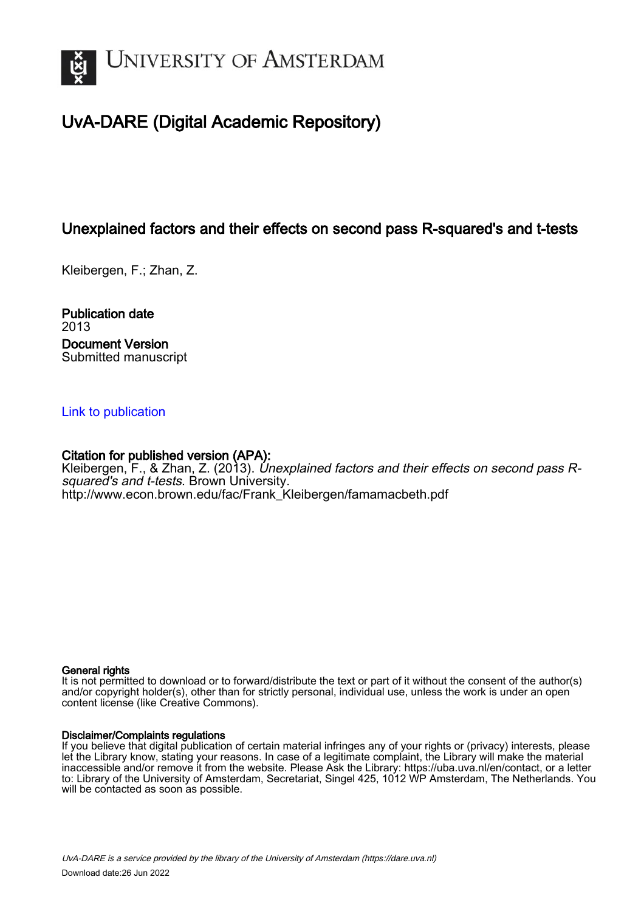

## UvA-DARE (Digital Academic Repository)

## Unexplained factors and their effects on second pass R-squared's and t-tests

Kleibergen, F.; Zhan, Z.

Publication date 2013 Document Version Submitted manuscript

## [Link to publication](https://dare.uva.nl/personal/pure/en/publications/unexplained-factors-and-their-effects-on-second-pass-rsquareds-and-ttests(33bdcfe0-b577-4d67-ab18-862f52382e04).html)

## Citation for published version (APA):

Kleibergen, F., & Zhan, Z. (2013). Unexplained factors and their effects on second pass Rsquared's and t-tests. Brown University. [http://www.econ.brown.edu/fac/Frank\\_Kleibergen/famamacbeth.pdf](http://www.econ.brown.edu/fac/Frank_Kleibergen/famamacbeth.pdf)

## General rights

It is not permitted to download or to forward/distribute the text or part of it without the consent of the author(s) and/or copyright holder(s), other than for strictly personal, individual use, unless the work is under an open content license (like Creative Commons).

## Disclaimer/Complaints regulations

If you believe that digital publication of certain material infringes any of your rights or (privacy) interests, please let the Library know, stating your reasons. In case of a legitimate complaint, the Library will make the material inaccessible and/or remove it from the website. Please Ask the Library: https://uba.uva.nl/en/contact, or a letter to: Library of the University of Amsterdam, Secretariat, Singel 425, 1012 WP Amsterdam, The Netherlands. You will be contacted as soon as possible.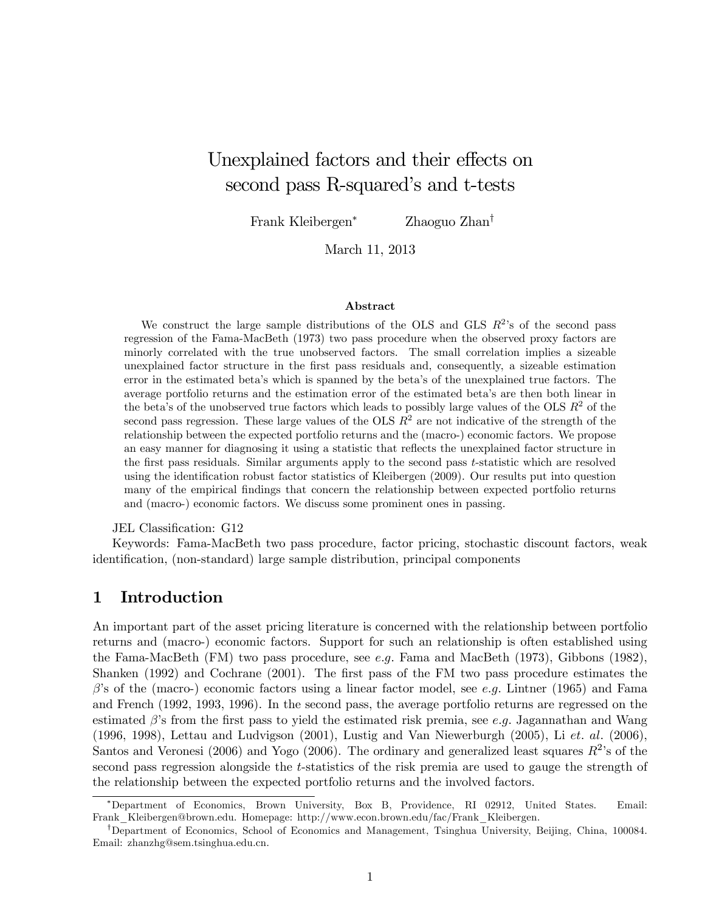# Unexplained factors and their effects on second pass R-squared's and t-tests

Frank Kleibergen<sup>∗</sup> Zhaoguo Zhan†

March 11, 2013

#### Abstract

We construct the large sample distributions of the OLS and GLS  $R^2$ 's of the second pass regression of the Fama-MacBeth (1973) two pass procedure when the observed proxy factors are minorly correlated with the true unobserved factors. The small correlation implies a sizeable unexplained factor structure in the first pass residuals and, consequently, a sizeable estimation error in the estimated beta's which is spanned by the beta's of the unexplained true factors. The average portfolio returns and the estimation error of the estimated beta's are then both linear in the beta's of the unobserved true factors which leads to possibly large values of the OLS  $R^2$  of the second pass regression. These large values of the OLS  $R<sup>2</sup>$  are not indicative of the strength of the relationship between the expected portfolio returns and the (macro-) economic factors. We propose an easy manner for diagnosing it using a statistic that reflects the unexplained factor structure in the first pass residuals. Similar arguments apply to the second pass t-statistic which are resolved using the identification robust factor statistics of Kleibergen (2009). Our results put into question many of the empirical findings that concern the relationship between expected portfolio returns and (macro-) economic factors. We discuss some prominent ones in passing.

JEL Classification: G12

Keywords: Fama-MacBeth two pass procedure, factor pricing, stochastic discount factors, weak identification, (non-standard) large sample distribution, principal components

## 1 Introduction

An important part of the asset pricing literature is concerned with the relationship between portfolio returns and (macro-) economic factors. Support for such an relationship is often established using the Fama-MacBeth (FM) two pass procedure, see e.g. Fama and MacBeth (1973), Gibbons (1982), Shanken (1992) and Cochrane (2001). The first pass of the FM two pass procedure estimates the  $\beta$ 's of the (macro-) economic factors using a linear factor model, see e.g. Lintner (1965) and Fama and French (1992, 1993, 1996). In the second pass, the average portfolio returns are regressed on the estimated  $\beta$ 's from the first pass to yield the estimated risk premia, see e.g. Jagannathan and Wang (1996, 1998), Lettau and Ludvigson (2001), Lustig and Van Niewerburgh (2005), Li et. al. (2006), Santos and Veronesi (2006) and Yogo (2006). The ordinary and generalized least squares  $R^2$ 's of the second pass regression alongside the t-statistics of the risk premia are used to gauge the strength of the relationship between the expected portfolio returns and the involved factors.

<sup>∗</sup>Department of Economics, Brown University, Box B, Providence, RI 02912, United States. Email: Frank\_Kleibergen@brown.edu. Homepage: http://www.econ.brown.edu/fac/Frank\_Kleibergen.

<sup>†</sup>Department of Economics, School of Economics and Management, Tsinghua University, Beijing, China, 100084. Email: zhanzhg@sem.tsinghua.edu.cn.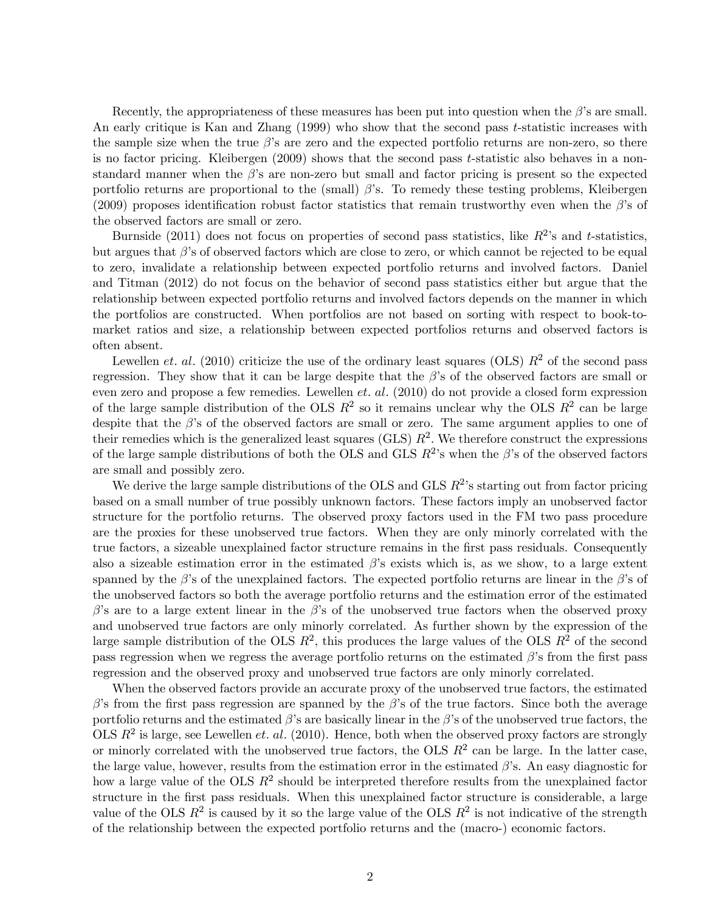Recently, the appropriateness of these measures has been put into question when the  $\beta$ 's are small. An early critique is Kan and Zhang (1999) who show that the second pass t-statistic increases with the sample size when the true  $\beta$ 's are zero and the expected portfolio returns are non-zero, so there is no factor pricing. Kleibergen (2009) shows that the second pass t-statistic also behaves in a nonstandard manner when the  $\beta$ 's are non-zero but small and factor pricing is present so the expected portfolio returns are proportional to the (small)  $\beta$ 's. To remedy these testing problems, Kleibergen (2009) proposes identification robust factor statistics that remain trustworthy even when the  $\beta$ 's of the observed factors are small or zero.

Burnside (2011) does not focus on properties of second pass statistics, like  $R^2$ 's and t-statistics, but argues that  $\beta$ 's of observed factors which are close to zero, or which cannot be rejected to be equal to zero, invalidate a relationship between expected portfolio returns and involved factors. Daniel and Titman (2012) do not focus on the behavior of second pass statistics either but argue that the relationship between expected portfolio returns and involved factors depends on the manner in which the portfolios are constructed. When portfolios are not based on sorting with respect to book-tomarket ratios and size, a relationship between expected portfolios returns and observed factors is often absent.

Lewellen *et. al.* (2010) criticize the use of the ordinary least squares (OLS)  $R^2$  of the second pass regression. They show that it can be large despite that the  $\beta$ 's of the observed factors are small or even zero and propose a few remedies. Lewellen *et. al.* (2010) do not provide a closed form expression of the large sample distribution of the OLS  $R^2$  so it remains unclear why the OLS  $R^2$  can be large despite that the  $\beta$ 's of the observed factors are small or zero. The same argument applies to one of their remedies which is the generalized least squares (GLS)  $R^2$ . We therefore construct the expressions of the large sample distributions of both the OLS and GLS  $R^2$ 's when the β's of the observed factors are small and possibly zero.

We derive the large sample distributions of the OLS and GLS  $R^2$ 's starting out from factor pricing based on a small number of true possibly unknown factors. These factors imply an unobserved factor structure for the portfolio returns. The observed proxy factors used in the FM two pass procedure are the proxies for these unobserved true factors. When they are only minorly correlated with the true factors, a sizeable unexplained factor structure remains in the first pass residuals. Consequently also a sizeable estimation error in the estimated  $\beta$ 's exists which is, as we show, to a large extent spanned by the  $\beta$ 's of the unexplained factors. The expected portfolio returns are linear in the  $\beta$ 's of the unobserved factors so both the average portfolio returns and the estimation error of the estimated β's are to a large extent linear in the β's of the unobserved true factors when the observed proxy and unobserved true factors are only minorly correlated. As further shown by the expression of the large sample distribution of the OLS  $R^2$ , this produces the large values of the OLS  $R^2$  of the second pass regression when we regress the average portfolio returns on the estimated  $\beta$ 's from the first pass regression and the observed proxy and unobserved true factors are only minorly correlated.

When the observed factors provide an accurate proxy of the unobserved true factors, the estimated β's from the first pass regression are spanned by the β's of the true factors. Since both the average portfolio returns and the estimated  $\beta$ 's are basically linear in the  $\beta$ 's of the unobserved true factors, the OLS  $R^2$  is large, see Lewellen *et. al.* (2010). Hence, both when the observed proxy factors are strongly or minorly correlated with the unobserved true factors, the OLS  $R^2$  can be large. In the latter case, the large value, however, results from the estimation error in the estimated  $\beta$ 's. An easy diagnostic for how a large value of the OLS  $R^2$  should be interpreted therefore results from the unexplained factor structure in the first pass residuals. When this unexplained factor structure is considerable, a large value of the OLS  $R^2$  is caused by it so the large value of the OLS  $R^2$  is not indicative of the strength of the relationship between the expected portfolio returns and the (macro-) economic factors.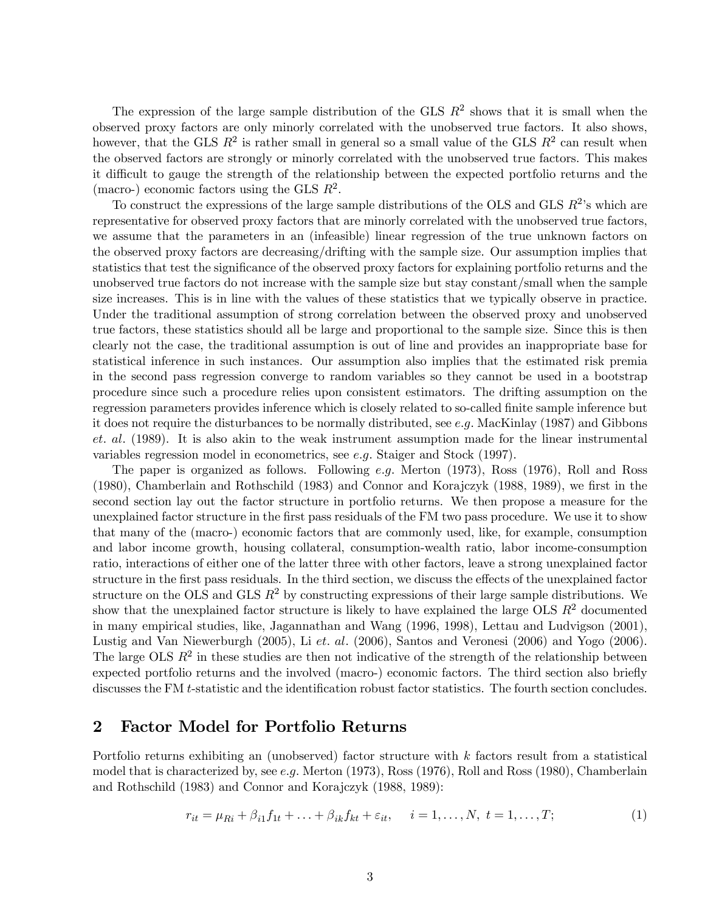The expression of the large sample distribution of the GLS  $R^2$  shows that it is small when the observed proxy factors are only minorly correlated with the unobserved true factors. It also shows, however, that the GLS  $R^2$  is rather small in general so a small value of the GLS  $R^2$  can result when the observed factors are strongly or minorly correlated with the unobserved true factors. This makes it difficult to gauge the strength of the relationship between the expected portfolio returns and the (macro-) economic factors using the GLS  $R^2$ .

To construct the expressions of the large sample distributions of the OLS and GLS  $R^2$ 's which are representative for observed proxy factors that are minorly correlated with the unobserved true factors, we assume that the parameters in an (infeasible) linear regression of the true unknown factors on the observed proxy factors are decreasing/drifting with the sample size. Our assumption implies that statistics that test the significance of the observed proxy factors for explaining portfolio returns and the unobserved true factors do not increase with the sample size but stay constant/small when the sample size increases. This is in line with the values of these statistics that we typically observe in practice. Under the traditional assumption of strong correlation between the observed proxy and unobserved true factors, these statistics should all be large and proportional to the sample size. Since this is then clearly not the case, the traditional assumption is out of line and provides an inappropriate base for statistical inference in such instances. Our assumption also implies that the estimated risk premia in the second pass regression converge to random variables so they cannot be used in a bootstrap procedure since such a procedure relies upon consistent estimators. The drifting assumption on the regression parameters provides inference which is closely related to so-called finite sample inference but it does not require the disturbances to be normally distributed, see e.g. MacKinlay (1987) and Gibbons et. al. (1989). It is also akin to the weak instrument assumption made for the linear instrumental variables regression model in econometrics, see e.g. Staiger and Stock (1997).

The paper is organized as follows. Following e.g. Merton (1973), Ross (1976), Roll and Ross (1980), Chamberlain and Rothschild (1983) and Connor and Korajczyk (1988, 1989), we first in the second section lay out the factor structure in portfolio returns. We then propose a measure for the unexplained factor structure in the first pass residuals of the FM two pass procedure. We use it to show that many of the (macro-) economic factors that are commonly used, like, for example, consumption and labor income growth, housing collateral, consumption-wealth ratio, labor income-consumption ratio, interactions of either one of the latter three with other factors, leave a strong unexplained factor structure in the first pass residuals. In the third section, we discuss the effects of the unexplained factor structure on the OLS and GLS  $R^2$  by constructing expressions of their large sample distributions. We show that the unexplained factor structure is likely to have explained the large OLS  $R^2$  documented in many empirical studies, like, Jagannathan and Wang (1996, 1998), Lettau and Ludvigson (2001), Lustig and Van Niewerburgh (2005), Li et. al. (2006), Santos and Veronesi (2006) and Yogo (2006). The large OLS  $R^2$  in these studies are then not indicative of the strength of the relationship between expected portfolio returns and the involved (macro-) economic factors. The third section also briefly discusses the FM t-statistic and the identification robust factor statistics. The fourth section concludes.

## 2 Factor Model for Portfolio Returns

Portfolio returns exhibiting an (unobserved) factor structure with  $k$  factors result from a statistical model that is characterized by, see e.g. Merton  $(1973)$ , Ross  $(1976)$ , Roll and Ross  $(1980)$ , Chamberlain and Rothschild (1983) and Connor and Korajczyk (1988, 1989):

$$
r_{it} = \mu_{Ri} + \beta_{i1} f_{1t} + \ldots + \beta_{ik} f_{kt} + \varepsilon_{it}, \quad i = 1, \ldots, N, \ t = 1, \ldots, T; \tag{1}
$$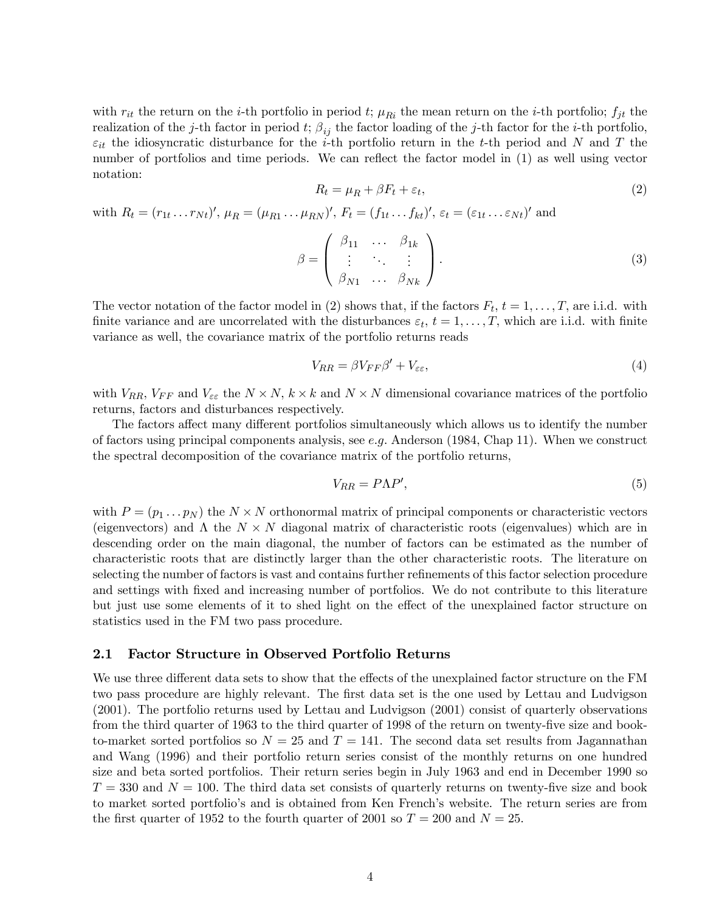with  $r_{it}$  the return on the *i*-th portfolio in period t;  $\mu_{Ri}$  the mean return on the *i*-th portfolio;  $f_{jt}$  the realization of the j-th factor in period t;  $\beta_{ij}$  the factor loading of the j-th factor for the i-th portfolio,  $\varepsilon_{it}$  the idiosyncratic disturbance for the *i*-th portfolio return in the *t*-th period and N and T the number of portfolios and time periods. We can reflect the factor model in (1) as well using vector notation:

$$
R_t = \mu_R + \beta F_t + \varepsilon_t,\tag{2}
$$

with  $R_t = (r_{1t} \ldots r_{Nt})'$ ,  $\mu_R = (\mu_{R1} \ldots \mu_{RN})'$ ,  $F_t = (f_{1t} \ldots f_{kt})'$ ,  $\varepsilon_t = (\varepsilon_{1t} \ldots \varepsilon_{Nt})'$  and

$$
\beta = \begin{pmatrix} \beta_{11} & \dots & \beta_{1k} \\ \vdots & \ddots & \vdots \\ \beta_{N1} & \dots & \beta_{Nk} \end{pmatrix} . \tag{3}
$$

The vector notation of the factor model in (2) shows that, if the factors  $F_t$ ,  $t = 1, \ldots, T$ , are i.i.d. with finite variance and are uncorrelated with the disturbances  $\varepsilon_t$ ,  $t = 1, \ldots, T$ , which are i.i.d. with finite variance as well, the covariance matrix of the portfolio returns reads

$$
V_{RR} = \beta V_{FF} \beta' + V_{\varepsilon \varepsilon},\tag{4}
$$

with  $V_{RR}$ ,  $V_{FF}$  and  $V_{\epsilon\epsilon}$  the  $N \times N$ ,  $k \times k$  and  $N \times N$  dimensional covariance matrices of the portfolio returns, factors and disturbances respectively.

The factors affect many different portfolios simultaneously which allows us to identify the number of factors using principal components analysis, see e.g. Anderson (1984, Chap 11). When we construct the spectral decomposition of the covariance matrix of the portfolio returns,

$$
V_{RR} = P\Lambda P',\tag{5}
$$

with  $P = (p_1 \dots p_N)$  the  $N \times N$  orthonormal matrix of principal components or characteristic vectors (eigenvectors) and  $\Lambda$  the  $N \times N$  diagonal matrix of characteristic roots (eigenvalues) which are in descending order on the main diagonal, the number of factors can be estimated as the number of characteristic roots that are distinctly larger than the other characteristic roots. The literature on selecting the number of factors is vast and contains further refinements of this factor selection procedure and settings with fixed and increasing number of portfolios. We do not contribute to this literature but just use some elements of it to shed light on the effect of the unexplained factor structure on statistics used in the FM two pass procedure.

#### 2.1 Factor Structure in Observed Portfolio Returns

We use three different data sets to show that the effects of the unexplained factor structure on the FM two pass procedure are highly relevant. The first data set is the one used by Lettau and Ludvigson (2001). The portfolio returns used by Lettau and Ludvigson (2001) consist of quarterly observations from the third quarter of 1963 to the third quarter of 1998 of the return on twenty-five size and bookto-market sorted portfolios so  $N = 25$  and  $T = 141$ . The second data set results from Jagannathan and Wang (1996) and their portfolio return series consist of the monthly returns on one hundred size and beta sorted portfolios. Their return series begin in July 1963 and end in December 1990 so  $T = 330$  and  $N = 100$ . The third data set consists of quarterly returns on twenty-five size and book to market sorted portfolio's and is obtained from Ken French's website. The return series are from the first quarter of 1952 to the fourth quarter of 2001 so  $T = 200$  and  $N = 25$ .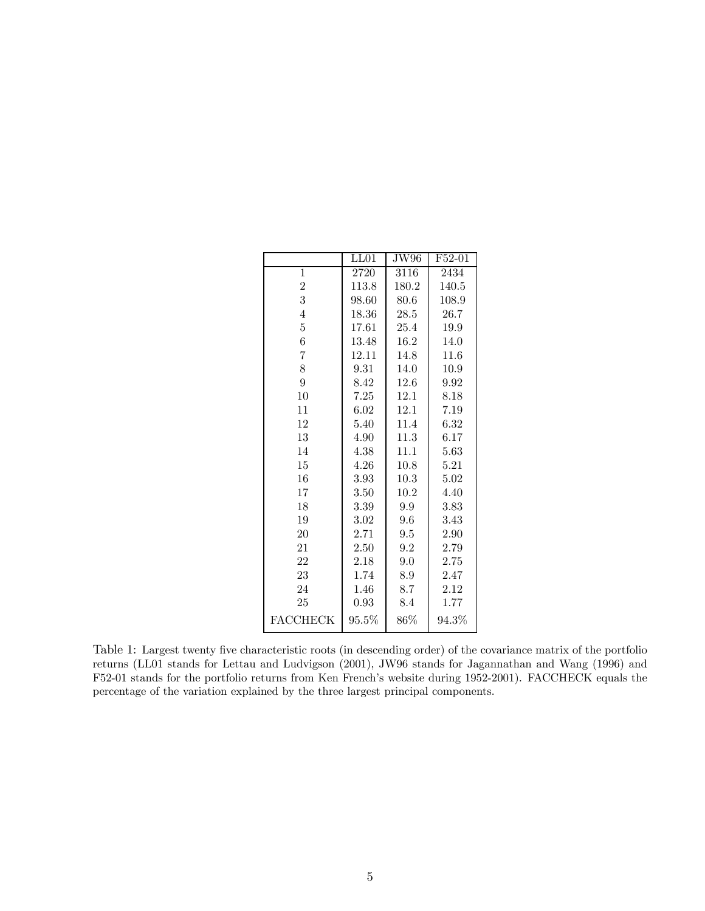|                 | LL01     | JW96   | F52-01   |
|-----------------|----------|--------|----------|
| 1               | 2720     | 3116   | 2434     |
| $\overline{2}$  | 113.8    | 180.2  | 140.5    |
| 3               | 98.60    | 80.6   | 108.9    |
| 4               | 18.36    | 28.5   | 26.7     |
| 5               | 17.61    | 25.4   | 19.9     |
| 6               | 13.48    | 16.2   | 14.0     |
| $\overline{7}$  | 12.11    | 14.8   | 11.6     |
| 8               | 9.31     | 14.0   | 10.9     |
| 9               | 8.42     | 12.6   | 9.92     |
| 10              | 7.25     | 12.1   | 8.18     |
| 11              | 6.02     | 12.1   | 7.19     |
| 12              | 5.40     | 11.4   | 6.32     |
| 13              | 4.90     | 11.3   | 6.17     |
| 14              | 4.38     | 11.1   | 5.63     |
| 15              | 4.26     | 10.8   | 5.21     |
| 16              | 3.93     | 10.3   | 5.02     |
| 17              | 3.50     | 10.2   | 4.40     |
| 18              | 3.39     | 9.9    | 3.83     |
| 19              | 3.02     | 9.6    | 3.43     |
| 20              | 2.71     | 9.5    | 2.90     |
| 21              | 2.50     | 9.2    | 2.79     |
| 22              | 2.18     | 9.0    | 2.75     |
| 23              | 1.74     | 8.9    | 2.47     |
| 24              | 1.46     | 8.7    | 2.12     |
| 25              | 0.93     | 8.4    | 1.77     |
| <b>FACCHECK</b> | $95.5\%$ | $86\%$ | $94.3\%$ |

Table 1: Largest twenty five characteristic roots (in descending order) of the covariance matrix of the portfolio returns (LL01 stands for Lettau and Ludvigson (2001), JW96 stands for Jagannathan and Wang (1996) and F52-01 stands for the portfolio returns from Ken French's website during 1952-2001). FACCHECK equals the percentage of the variation explained by the three largest principal components.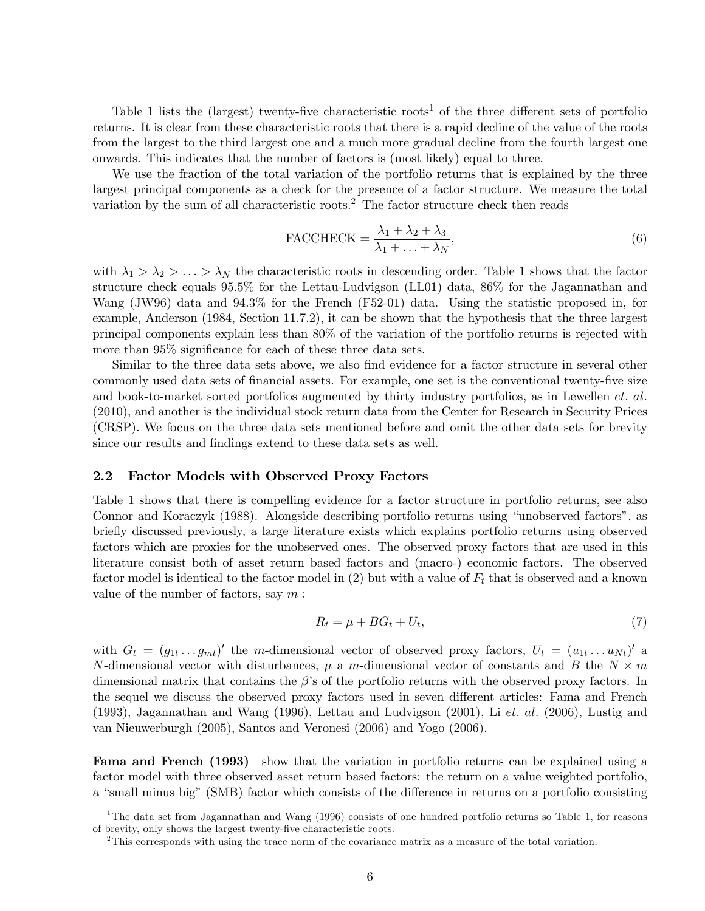Table 1 lists the (largest) twenty-five characteristic roots<sup>1</sup> of the three different sets of portfolio returns. It is clear from these characteristic roots that there is a rapid decline of the value of the roots from the largest to the third largest one and a much more gradual decline from the fourth largest one onwards. This indicates that the number of factors is (most likely) equal to three.

We use the fraction of the total variation of the portfolio returns that is explained by the three largest principal components as a check for the presence of a factor structure. We measure the total variation by the sum of all characteristic roots.<sup>2</sup> The factor structure check then reads

$$
\text{FACCHECK} = \frac{\lambda_1 + \lambda_2 + \lambda_3}{\lambda_1 + \ldots + \lambda_N},\tag{6}
$$

with  $\lambda_1 > \lambda_2 > \ldots > \lambda_N$  the characteristic roots in descending order. Table 1 shows that the factor structure check equals 95.5% for the Lettau-Ludvigson (LL01) data, 86% for the Jagannathan and Wang (JW96) data and 94.3% for the French (F52-01) data. Using the statistic proposed in, for example, Anderson (1984, Section 11.7.2), it can be shown that the hypothesis that the three largest principal components explain less than 80% of the variation of the portfolio returns is rejected with more than 95% significance for each of these three data sets.

Similar to the three data sets above, we also find evidence for a factor structure in several other commonly used data sets of financial assets. For example, one set is the conventional twenty-five size and book-to-market sorted portfolios augmented by thirty industry portfolios, as in Lewellen *et. al.* (2010), and another is the individual stock return data from the Center for Research in Security Prices (CRSP). We focus on the three data sets mentioned before and omit the other data sets for brevity since our results and findings extend to these data sets as well.

#### 2.2 Factor Models with Observed Proxy Factors

Table 1 shows that there is compelling evidence for a factor structure in portfolio returns, see also Connor and Koraczyk (1988). Alongside describing portfolio returns using "unobserved factors", as briefly discussed previously, a large literature exists which explains portfolio returns using observed factors which are proxies for the unobserved ones. The observed proxy factors that are used in this literature consist both of asset return based factors and (macro-) economic factors. The observed factor model is identical to the factor model in  $(2)$  but with a value of  $F_t$  that is observed and a known value of the number of factors, say  $m$ :

$$
R_t = \mu + BG_t + U_t,\tag{7}
$$

with  $G_t = (g_{1t} \dots g_{mt})'$  the m-dimensional vector of observed proxy factors,  $U_t = (u_{1t} \dots u_{Nt})'$  a N-dimensional vector with disturbances,  $\mu$  a m-dimensional vector of constants and B the  $N \times m$ dimensional matrix that contains the  $\beta$ 's of the portfolio returns with the observed proxy factors. In the sequel we discuss the observed proxy factors used in seven different articles: Fama and French (1993), Jagannathan and Wang (1996), Lettau and Ludvigson (2001), Li et. al. (2006), Lustig and van Nieuwerburgh (2005), Santos and Veronesi (2006) and Yogo (2006).

Fama and French (1993) show that the variation in portfolio returns can be explained using a factor model with three observed asset return based factors: the return on a value weighted portfolio, a "small minus big" (SMB) factor which consists of the difference in returns on a portfolio consisting

<sup>&</sup>lt;sup>1</sup>The data set from Jagannathan and Wang (1996) consists of one hundred portfolio returns so Table 1, for reasons of brevity, only shows the largest twenty-five characteristic roots.

<sup>&</sup>lt;sup>2</sup>This corresponds with using the trace norm of the covariance matrix as a measure of the total variation.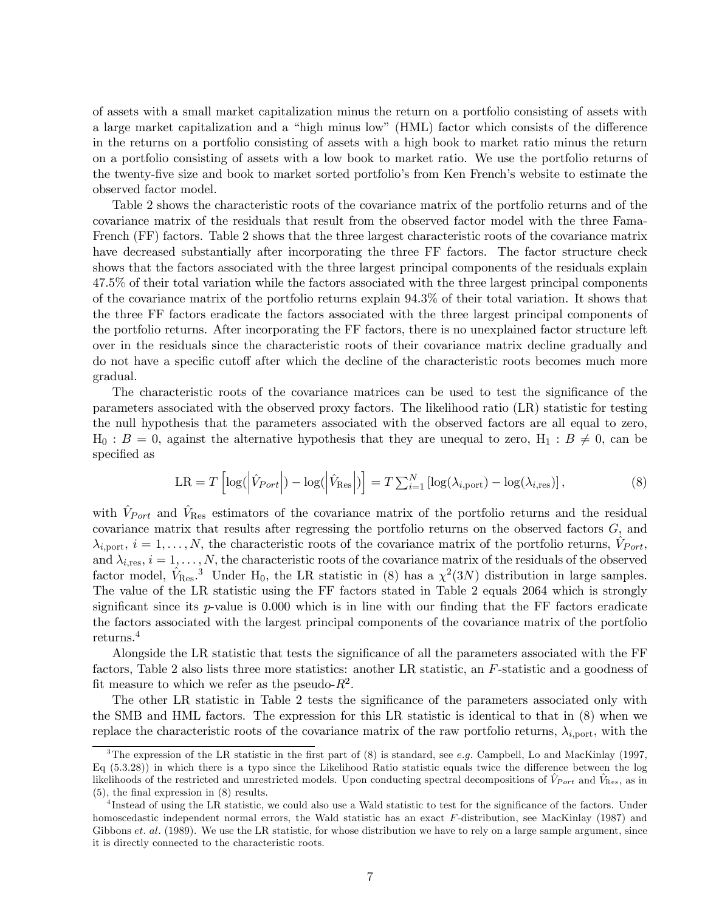of assets with a small market capitalization minus the return on a portfolio consisting of assets with a large market capitalization and a "high minus low" (HML) factor which consists of the difference in the returns on a portfolio consisting of assets with a high book to market ratio minus the return on a portfolio consisting of assets with a low book to market ratio. We use the portfolio returns of the twenty-five size and book to market sorted portfolio's from Ken French's website to estimate the observed factor model.

Table 2 shows the characteristic roots of the covariance matrix of the portfolio returns and of the covariance matrix of the residuals that result from the observed factor model with the three Fama-French (FF) factors. Table 2 shows that the three largest characteristic roots of the covariance matrix have decreased substantially after incorporating the three FF factors. The factor structure check shows that the factors associated with the three largest principal components of the residuals explain 47.5% of their total variation while the factors associated with the three largest principal components of the covariance matrix of the portfolio returns explain 94.3% of their total variation. It shows that the three FF factors eradicate the factors associated with the three largest principal components of the portfolio returns. After incorporating the FF factors, there is no unexplained factor structure left over in the residuals since the characteristic roots of their covariance matrix decline gradually and do not have a specific cutoff after which the decline of the characteristic roots becomes much more gradual.

The characteristic roots of the covariance matrices can be used to test the significance of the parameters associated with the observed proxy factors. The likelihood ratio (LR) statistic for testing the null hypothesis that the parameters associated with the observed factors are all equal to zero,  $H_0$ :  $B = 0$ , against the alternative hypothesis that they are unequal to zero,  $H_1 : B \neq 0$ , can be specified as

$$
LR = T \left[ \log \left( \left| \hat{V}_{Port} \right| \right) - \log \left( \left| \hat{V}_{Res} \right| \right) \right] = T \sum_{i=1}^{N} \left[ \log(\lambda_{i, port}) - \log(\lambda_{i, res}) \right],\tag{8}
$$

with  $\hat{V}_{Port}$  and  $\hat{V}_{Res}$  estimators of the covariance matrix of the portfolio returns and the residual covariance matrix that results after regressing the portfolio returns on the observed factors G, and  $\lambda_{i, \text{port}}, i = 1, \ldots, N$ , the characteristic roots of the covariance matrix of the portfolio returns,  $\hat{V}_{Port}$ , and  $\lambda_{i,res}$ ,  $i = 1, \ldots, N$ , the characteristic roots of the covariance matrix of the residuals of the observed factor model,  $\hat{V}_{\text{Res}}$ <sup>3</sup> Under H<sub>0</sub>, the LR statistic in (8) has a  $\chi^2(3N)$  distribution in large samples. The value of the LR statistic using the FF factors stated in Table 2 equals 2064 which is strongly significant since its  $p$ -value is 0.000 which is in line with our finding that the FF factors eradicate the factors associated with the largest principal components of the covariance matrix of the portfolio returns.<sup>4</sup>

Alongside the LR statistic that tests the significance of all the parameters associated with the FF factors, Table 2 also lists three more statistics: another LR statistic, an F-statistic and a goodness of fit measure to which we refer as the pseudo- $R^2$ .

The other LR statistic in Table 2 tests the significance of the parameters associated only with the SMB and HML factors. The expression for this LR statistic is identical to that in (8) when we replace the characteristic roots of the covariance matrix of the raw portfolio returns,  $\lambda_{i, \text{port}}$ , with the

<sup>&</sup>lt;sup>3</sup>The expression of the LR statistic in the first part of  $(8)$  is standard, see *e.g.* Campbell, Lo and MacKinlay (1997, Eq (5.3.28)) in which there is a typo since the Likelihood Ratio statistic equals twice the difference between the log likelihoods of the restricted and unrestricted models. Upon conducting spectral decompositions of  $V_{Port}$  and  $V_{Res}$ , as in (5), the final expression in (8) results.

<sup>&</sup>lt;sup>4</sup>Instead of using the LR statistic, we could also use a Wald statistic to test for the significance of the factors. Under homoscedastic independent normal errors, the Wald statistic has an exact F-distribution, see MacKinlay (1987) and Gibbons *et. al.* (1989). We use the LR statistic, for whose distribution we have to rely on a large sample argument, since it is directly connected to the characteristic roots.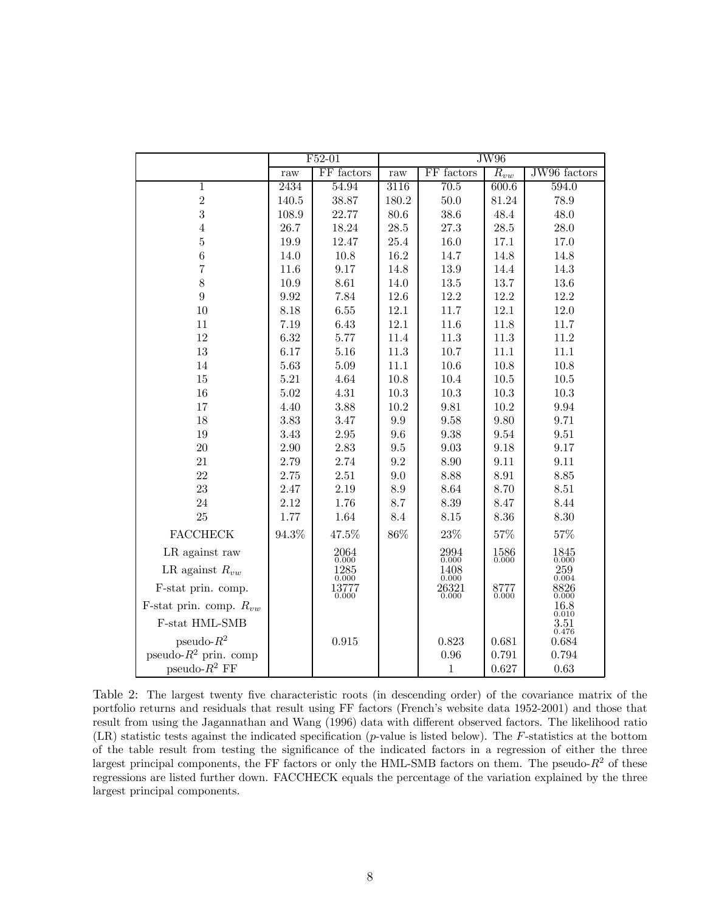|                             |       | F52-01                                        | $\overline{\text{JW}96}$ |                          |                                                   |                          |
|-----------------------------|-------|-----------------------------------------------|--------------------------|--------------------------|---------------------------------------------------|--------------------------|
|                             | raw   | FF factors                                    | raw                      | FF factors               | $\overline{R}_{vw}$                               | JW96 factors             |
| $\mathbf{1}$                | 2434  | 54.94                                         | 3116                     | 70.5                     | 600.6                                             | 594.0                    |
| $\sqrt{2}$                  | 140.5 | 38.87                                         | 180.2                    | $50.0\,$                 | 81.24                                             | 78.9                     |
| 3                           | 108.9 | 22.77                                         | 80.6                     | 38.6                     | 48.4                                              | 48.0                     |
| $\overline{4}$              | 26.7  | 18.24                                         | 28.5                     | $27.3\,$                 | 28.5                                              | 28.0                     |
| $\overline{5}$              | 19.9  | 12.47                                         | 25.4                     | 16.0                     | 17.1                                              | 17.0                     |
| $\boldsymbol{6}$            | 14.0  | 10.8                                          | 16.2                     | 14.7                     | 14.8                                              | 14.8                     |
| $\overline{7}$              | 11.6  | 9.17                                          | 14.8                     | $13.9\,$                 | 14.4                                              | 14.3                     |
| 8                           | 10.9  | 8.61                                          | 14.0                     | 13.5                     | 13.7                                              | 13.6                     |
| 9                           | 9.92  | 7.84                                          | 12.6                     | 12.2                     | 12.2                                              | 12.2                     |
| 10                          | 8.18  | 6.55                                          | 12.1                     | 11.7                     | 12.1                                              | 12.0                     |
| 11                          | 7.19  | 6.43                                          | 12.1                     | 11.6                     | 11.8                                              | 11.7                     |
| 12                          | 6.32  | 5.77                                          | 11.4                     | 11.3                     | 11.3                                              | 11.2                     |
| 13                          | 6.17  | 5.16                                          | 11.3                     | 10.7                     | 11.1                                              | 11.1                     |
| 14                          | 5.63  | 5.09                                          | 11.1                     | 10.6                     | 10.8                                              | 10.8                     |
| 15                          | 5.21  | 4.64                                          | 10.8                     | 10.4                     | 10.5                                              | 10.5                     |
| 16                          | 5.02  | $4.31\,$                                      | 10.3                     | $10.3\,$                 | 10.3                                              | 10.3                     |
| 17                          | 4.40  | 3.88                                          | 10.2                     | 9.81                     | 10.2                                              | 9.94                     |
| 18                          | 3.83  | 3.47                                          | 9.9                      | 9.58                     | 9.80                                              | 9.71                     |
| 19                          | 3.43  | 2.95                                          | 9.6                      | 9.38                     | 9.54                                              | 9.51                     |
| 20                          | 2.90  | 2.83                                          | 9.5                      | 9.03                     | 9.18                                              | 9.17                     |
| 21                          | 2.79  | 2.74                                          | 9.2                      | 8.90                     | 9.11                                              | 9.11                     |
| 22                          | 2.75  | $2.51\,$                                      | 9.0                      | 8.88                     | 8.91                                              | 8.85                     |
| 23                          | 2.47  | 2.19                                          | 8.9                      | 8.64                     | 8.70                                              | 8.51                     |
| 24                          | 2.12  | 1.76                                          | 8.7                      | 8.39                     | 8.47                                              | 8.44                     |
| 25                          | 1.77  | 1.64                                          | 8.4                      | $8.15\,$                 | 8.36                                              | 8.30                     |
| <b>FACCHECK</b>             | 94.3% | 47.5%                                         | 86%                      | 23%                      | 57%                                               | $57\%$                   |
| LR against raw              |       | $\underset{0.000}{2064}$                      |                          | $\underset{0.000}{2994}$ | $\begin{matrix} 1586 \\[-4pt] 0.000 \end{matrix}$ | $\underset{0.000}{1845}$ |
| LR against $R_{vw}$         |       | 1285<br>0.000                                 |                          | 1408<br>0.000            |                                                   | 259<br>0.004             |
| F-stat prin. comp.          |       | $\begin{array}{c} 13777 \\ 0.000 \end{array}$ |                          | $26321$<br>$0.000$       | $8777$<br>$0.000$                                 | $\underset{0.000}{8826}$ |
| F-stat prin. comp. $R_{vw}$ |       |                                               |                          |                          |                                                   | $\underset{0.010}{16.8}$ |
| F-stat HML-SMB              |       |                                               |                          |                          |                                                   | 3.51<br>0.476            |
| $pseudo-R^2$                |       | 0.915                                         |                          | 0.823                    | 0.681                                             | 0.684                    |
| pseudo- $R^2$ prin. comp    |       |                                               |                          | $0.96\,$                 | 0.791                                             | 0.794                    |
| pseudo- $R^2$ FF            |       |                                               |                          | $\mathbf{1}$             | 0.627                                             | 0.63                     |

Table 2: The largest twenty five characteristic roots (in descending order) of the covariance matrix of the portfolio returns and residuals that result using FF factors (French's website data 1952-2001) and those that result from using the Jagannathan and Wang (1996) data with different observed factors. The likelihood ratio  $(LR)$  statistic tests against the indicated specification  $(p$ -value is listed below). The F-statistics at the bottom of the table result from testing the significance of the indicated factors in a regression of either the three largest principal components, the FF factors or only the HML-SMB factors on them. The pseudo- $R^2$  of these regressions are listed further down. FACCHECK equals the percentage of the variation explained by the three largest principal components.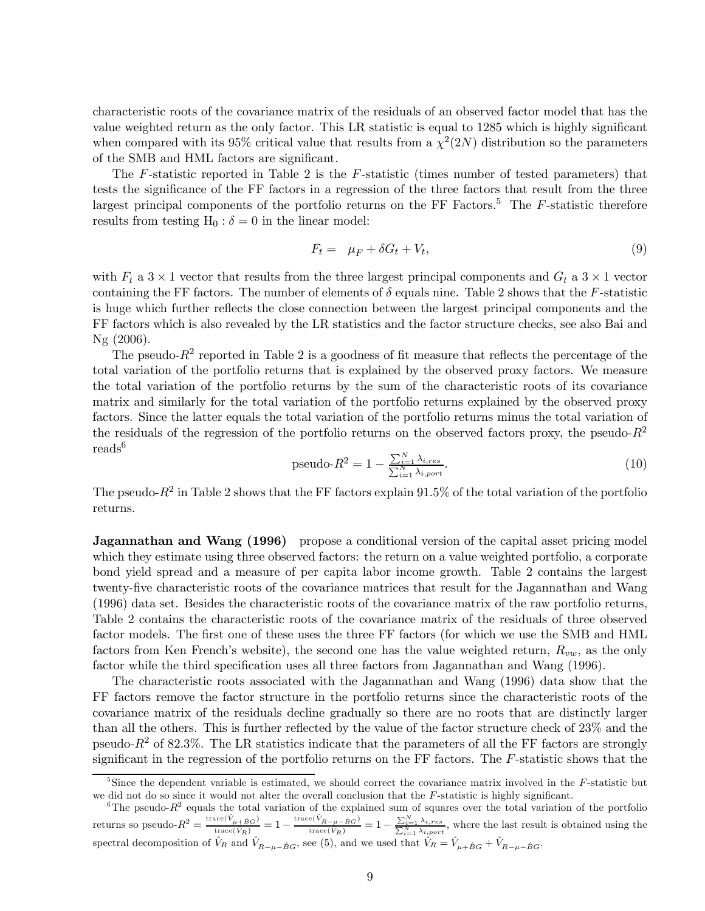characteristic roots of the covariance matrix of the residuals of an observed factor model that has the value weighted return as the only factor. This LR statistic is equal to 1285 which is highly significant when compared with its 95% critical value that results from a  $\chi^2(2N)$  distribution so the parameters of the SMB and HML factors are significant.

The F-statistic reported in Table 2 is the F-statistic (times number of tested parameters) that tests the significance of the FF factors in a regression of the three factors that result from the three largest principal components of the portfolio returns on the FF Factors.<sup>5</sup> The  $F$ -statistic therefore results from testing  $H_0$ :  $\delta = 0$  in the linear model:

$$
F_t = \mu_F + \delta G_t + V_t,\tag{9}
$$

with  $F_t$  a  $3 \times 1$  vector that results from the three largest principal components and  $G_t$  a  $3 \times 1$  vector containing the FF factors. The number of elements of  $\delta$  equals nine. Table 2 shows that the F-statistic is huge which further reflects the close connection between the largest principal components and the FF factors which is also revealed by the LR statistics and the factor structure checks, see also Bai and Ng (2006).

The pseudo- $R^2$  reported in Table 2 is a goodness of fit measure that reflects the percentage of the total variation of the portfolio returns that is explained by the observed proxy factors. We measure the total variation of the portfolio returns by the sum of the characteristic roots of its covariance matrix and similarly for the total variation of the portfolio returns explained by the observed proxy factors. Since the latter equals the total variation of the portfolio returns minus the total variation of the residuals of the regression of the portfolio returns on the observed factors proxy, the pseudo- $R^2$ reads<sup>6</sup>

$$
pseudo-R2 = 1 - \frac{\sum_{i=1}^{N} \lambda_{i,res}}{\sum_{i=1}^{N} \lambda_{i,port}}.
$$
\n(10)

The pseudo- $R^2$  in Table 2 shows that the FF factors explain 91.5% of the total variation of the portfolio returns.

**Jagannathan and Wang (1996)** propose a conditional version of the capital asset pricing model which they estimate using three observed factors: the return on a value weighted portfolio, a corporate bond yield spread and a measure of per capita labor income growth. Table 2 contains the largest twenty-five characteristic roots of the covariance matrices that result for the Jagannathan and Wang (1996) data set. Besides the characteristic roots of the covariance matrix of the raw portfolio returns, Table 2 contains the characteristic roots of the covariance matrix of the residuals of three observed factor models. The first one of these uses the three FF factors (for which we use the SMB and HML factors from Ken French's website), the second one has the value weighted return,  $R_{vw}$ , as the only factor while the third specification uses all three factors from Jagannathan and Wang (1996).

The characteristic roots associated with the Jagannathan and Wang (1996) data show that the FF factors remove the factor structure in the portfolio returns since the characteristic roots of the covariance matrix of the residuals decline gradually so there are no roots that are distinctly larger than all the others. This is further reflected by the value of the factor structure check of 23% and the pseudo- $R^2$  of 82.3%. The LR statistics indicate that the parameters of all the FF factors are strongly significant in the regression of the portfolio returns on the FF factors. The  $F$ -statistic shows that the

<sup>&</sup>lt;sup>5</sup>Since the dependent variable is estimated, we should correct the covariance matrix involved in the  $F$ -statistic but we did not do so since it would not alter the overall conclusion that the F-statistic is highly significant.

<sup>&</sup>lt;sup>6</sup>The pseudo- $R^2$  equals the total variation of the explained sum of squares over the total variation of the portfolio returns so pseudo- $R^2 = \frac{\text{trace}(\hat{V}_{\mu+\hat{B}G})}{\text{trace}(\hat{V}_R)} = 1 - \frac{\text{trace}(\hat{V}_{R-\mu-\hat{B}G})}{\text{trace}(\hat{V}_R)} = 1 - \frac{\sum_{i=1}^{N} \lambda_{i,res}}{\sum_{i=1}^{N} \lambda_{i,post}}$ , where the last result is obtained using the spectral decomposition of  $\hat{V}_R$  and  $\hat{V}_{R-\mu-\hat{B}G}$ , see (5), and we used that  $\hat{V}_R = \hat{V}_{\mu+\hat{B}G} + \hat{V}_{R-\mu-\hat{B}G}$ .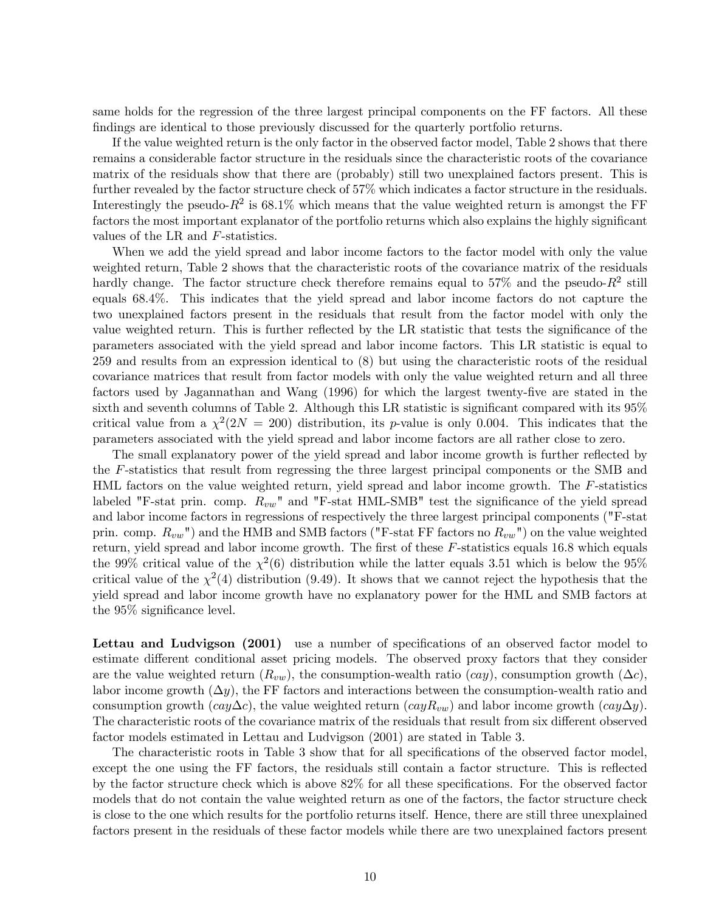same holds for the regression of the three largest principal components on the FF factors. All these findings are identical to those previously discussed for the quarterly portfolio returns.

If the value weighted return is the only factor in the observed factor model, Table 2 shows that there remains a considerable factor structure in the residuals since the characteristic roots of the covariance matrix of the residuals show that there are (probably) still two unexplained factors present. This is further revealed by the factor structure check of 57% which indicates a factor structure in the residuals. Interestingly the pseudo- $R^2$  is 68.1% which means that the value weighted return is amongst the FF factors the most important explanator of the portfolio returns which also explains the highly significant values of the LR and F-statistics.

When we add the yield spread and labor income factors to the factor model with only the value weighted return, Table 2 shows that the characteristic roots of the covariance matrix of the residuals hardly change. The factor structure check therefore remains equal to  $57\%$  and the pseudo- $R^2$  still equals 68.4%. This indicates that the yield spread and labor income factors do not capture the two unexplained factors present in the residuals that result from the factor model with only the value weighted return. This is further reflected by the LR statistic that tests the significance of the parameters associated with the yield spread and labor income factors. This LR statistic is equal to 259 and results from an expression identical to (8) but using the characteristic roots of the residual covariance matrices that result from factor models with only the value weighted return and all three factors used by Jagannathan and Wang (1996) for which the largest twenty-five are stated in the sixth and seventh columns of Table 2. Although this LR statistic is significant compared with its 95% critical value from a  $\chi^2(2N = 200)$  distribution, its p-value is only 0.004. This indicates that the parameters associated with the yield spread and labor income factors are all rather close to zero.

The small explanatory power of the yield spread and labor income growth is further reflected by the F-statistics that result from regressing the three largest principal components or the SMB and HML factors on the value weighted return, yield spread and labor income growth. The F-statistics labeled "F-stat prin. comp.  $R_{vw}$ " and "F-stat HML-SMB" test the significance of the yield spread and labor income factors in regressions of respectively the three largest principal components ("F-stat prin. comp.  $R_{vw}$ ") and the HMB and SMB factors ("F-stat FF factors no  $R_{vw}$ ") on the value weighted return, yield spread and labor income growth. The first of these F-statistics equals 16.8 which equals the 99% critical value of the  $\chi^2(6)$  distribution while the latter equals 3.51 which is below the 95% critical value of the  $\chi^2(4)$  distribution (9.49). It shows that we cannot reject the hypothesis that the yield spread and labor income growth have no explanatory power for the HML and SMB factors at the 95% significance level.

Lettau and Ludvigson (2001) use a number of specifications of an observed factor model to estimate different conditional asset pricing models. The observed proxy factors that they consider are the value weighted return  $(R_{vw})$ , the consumption-wealth ratio  $(cay)$ , consumption growth  $(\Delta c)$ , labor income growth  $(\Delta y)$ , the FF factors and interactions between the consumption-wealth ratio and consumption growth  $(cay\Delta c)$ , the value weighted return  $(cayR_{vw})$  and labor income growth  $(cay\Delta y)$ . The characteristic roots of the covariance matrix of the residuals that result from six different observed factor models estimated in Lettau and Ludvigson (2001) are stated in Table 3.

The characteristic roots in Table 3 show that for all specifications of the observed factor model, except the one using the FF factors, the residuals still contain a factor structure. This is reflected by the factor structure check which is above 82% for all these specifications. For the observed factor models that do not contain the value weighted return as one of the factors, the factor structure check is close to the one which results for the portfolio returns itself. Hence, there are still three unexplained factors present in the residuals of these factor models while there are two unexplained factors present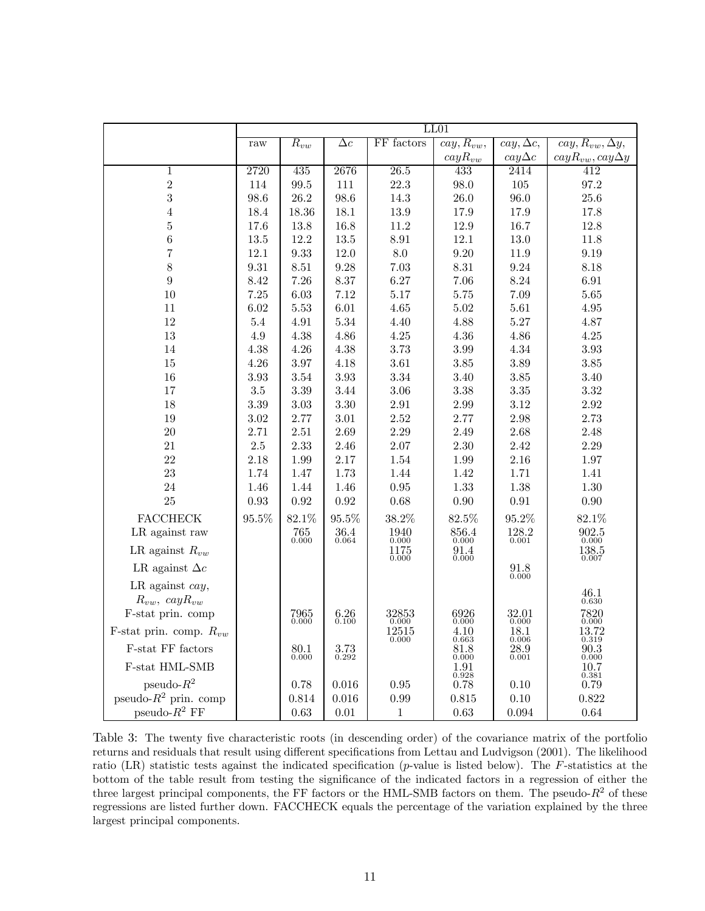|                                              | LL01     |                           |                          |                                    |                                  |                                       |                                   |  |
|----------------------------------------------|----------|---------------------------|--------------------------|------------------------------------|----------------------------------|---------------------------------------|-----------------------------------|--|
|                                              | raw      | $\overline{R_{vw}}$       | $\Delta c$               | FF factors                         | $\overline{cay, R_{vw}},$        | $\overline{cay}, \overline{\Delta c}$ | $cay, R_{vw}, \Delta y,$          |  |
|                                              |          |                           |                          |                                    | $\cos R_{vw}$                    | $\alpha y \Delta c$                   | $cayR_{vw}, cay\Delta y$          |  |
| $\mathbf{1}$                                 | 2720     | 435                       | 2676                     | 26.5                               | 433                              | 2414                                  | 412                               |  |
| $\overline{2}$                               | 114      | 99.5                      | 111                      | 22.3                               | 98.0                             | 105                                   | 97.2                              |  |
| 3                                            | 98.6     | 26.2                      | 98.6                     | 14.3                               | 26.0                             | 96.0                                  | 25.6                              |  |
| $\overline{4}$                               | 18.4     | 18.36                     | 18.1                     | 13.9                               | 17.9                             | 17.9                                  | 17.8                              |  |
| 5                                            | 17.6     | 13.8                      | 16.8                     | 11.2                               | 12.9                             | 16.7                                  | 12.8                              |  |
| 6                                            | 13.5     | 12.2                      | 13.5                     | 8.91                               | 12.1                             | 13.0                                  | 11.8                              |  |
| $\overline{7}$                               | 12.1     | 9.33                      | 12.0                     | 8.0                                | 9.20                             | 11.9                                  | 9.19                              |  |
| 8                                            | 9.31     | 8.51                      | 9.28                     | 7.03                               | 8.31                             | 9.24                                  | 8.18                              |  |
| $\boldsymbol{9}$                             | 8.42     | 7.26                      | 8.37                     | 6.27                               | 7.06                             | 8.24                                  | 6.91                              |  |
| 10                                           | 7.25     | 6.03                      | 7.12                     | $5.17\,$                           | $5.75\,$                         | 7.09                                  | $5.65\,$                          |  |
| 11                                           | 6.02     | 5.53                      | 6.01                     | 4.65                               | 5.02                             | 5.61                                  | 4.95                              |  |
| 12                                           | 5.4      | 4.91                      | 5.34                     | 4.40                               | 4.88                             | 5.27                                  | 4.87                              |  |
| 13                                           | 4.9      | 4.38                      | 4.86                     | 4.25                               | $4.36\,$                         | 4.86                                  | 4.25                              |  |
| 14                                           | 4.38     | 4.26                      | 4.38                     | 3.73                               | 3.99                             | 4.34                                  | 3.93                              |  |
| 15                                           | 4.26     | 3.97                      | 4.18                     | 3.61                               | 3.85                             | 3.89                                  | 3.85                              |  |
| 16                                           | 3.93     | 3.54                      | 3.93                     | 3.34                               | $3.40\,$                         | 3.85                                  | 3.40                              |  |
| 17                                           | $3.5\,$  | 3.39                      | 3.44                     | $3.06\,$                           | 3.38                             | 3.35                                  | 3.32                              |  |
| 18                                           | 3.39     | 3.03                      | 3.30                     | 2.91                               | 2.99                             | 3.12                                  | 2.92                              |  |
| 19                                           | 3.02     | 2.77                      | 3.01                     | 2.52                               | 2.77                             | 2.98                                  | 2.73                              |  |
| 20                                           | 2.71     | 2.51                      | 2.69                     | 2.29                               | 2.49                             | 2.68                                  | 2.48                              |  |
| 21                                           | $2.5\,$  | 2.33                      | 2.46                     | 2.07                               | $2.30\,$                         | 2.42                                  | 2.29                              |  |
| 22                                           | 2.18     | 1.99                      | 2.17                     | 1.54                               | 1.99                             | 2.16                                  | 1.97                              |  |
| 23                                           | 1.74     | 1.47                      | 1.73                     | 1.44                               | 1.42                             | 1.71                                  | 1.41                              |  |
| 24                                           | 1.46     | 1.44                      | 1.46                     | 0.95                               | 1.33                             | 1.38                                  | $1.30\,$                          |  |
| 25                                           | 0.93     | 0.92                      | 0.92                     | 0.68                               | $0.90\,$                         | 0.91                                  | $0.90\,$                          |  |
| <b>FACCHECK</b>                              | $95.5\%$ | 82.1%                     | $95.5\%$                 | 38.2%                              | 82.5%                            | $95.2\%$                              | 82.1%                             |  |
| LR against raw                               |          | $\substack{765 \\ 0.000}$ | $\underset{0.064}{36.4}$ | $\underset{0.000}{1940}$           | $\underset{0.000}{856.4}$        | $\underset{0.001}{128.2}$             | $\underset{0.000}{902.5}$         |  |
| LR against $R_{vw}$                          |          |                           |                          | 1175<br>0.000                      | 91.4<br>0.000                    |                                       | $138.5\,$<br>0.007                |  |
| LR against $\Delta c$                        |          |                           |                          |                                    |                                  | $_{0.000}^{91.8}$                     |                                   |  |
| LR against $cay$ ,<br>$R_{vw}$ , $cayR_{vw}$ |          |                           |                          |                                    |                                  |                                       | $\underset{0.630}{46.1}$          |  |
| F-stat prin. comp                            |          |                           |                          |                                    |                                  |                                       |                                   |  |
| F-stat prin. comp. $R_{vw}$                  |          | $7965\atop 0.000$         | $6.26$<br>$0.100$        | $\underset{0.000}{32853}$<br>12515 | $\underset{0.000}{6926}$<br>4.10 | $\underset{0.000}{32.01}$<br>18.1     | $\underset{0.000}{7820}$<br>13.72 |  |
|                                              |          |                           |                          | 0.000                              | 0.663                            | 0.006                                 | 0.319                             |  |
| F-stat FF factors                            |          | $_{0.000}^{80.1}$         | $3.73$<br>$0.292$        |                                    | $\mathop{81.8}_{0.000}$          | 28.9<br>0.001                         | 90.3<br>0.000                     |  |
| F-stat HML-SMB                               |          |                           |                          |                                    | 1.91<br>0.928                    |                                       | $\underset{0.381}{10.7}$          |  |
| pseudo- $R^2$                                |          | 0.78                      | 0.016                    | 0.95                               | 0.78                             | 0.10                                  | 0.79                              |  |
| pseudo- $R^2$ prin. comp                     |          | 0.814                     | 0.016                    | 0.99                               | 0.815                            | 0.10                                  | 0.822                             |  |
| pseudo- $R^2$ FF                             |          | 0.63                      | 0.01                     | 1                                  | 0.63                             | 0.094                                 | 0.64                              |  |

Table 3: The twenty five characteristic roots (in descending order) of the covariance matrix of the portfolio returns and residuals that result using different specifications from Lettau and Ludvigson (2001). The likelihood ratio (LR) statistic tests against the indicated specification (p-value is listed below). The  $F$ -statistics at the bottom of the table result from testing the significance of the indicated factors in a regression of either the three largest principal components, the FF factors or the HML-SMB factors on them. The pseudo- $R^2$  of these regressions are listed further down. FACCHECK equals the percentage of the variation explained by the three largest principal components.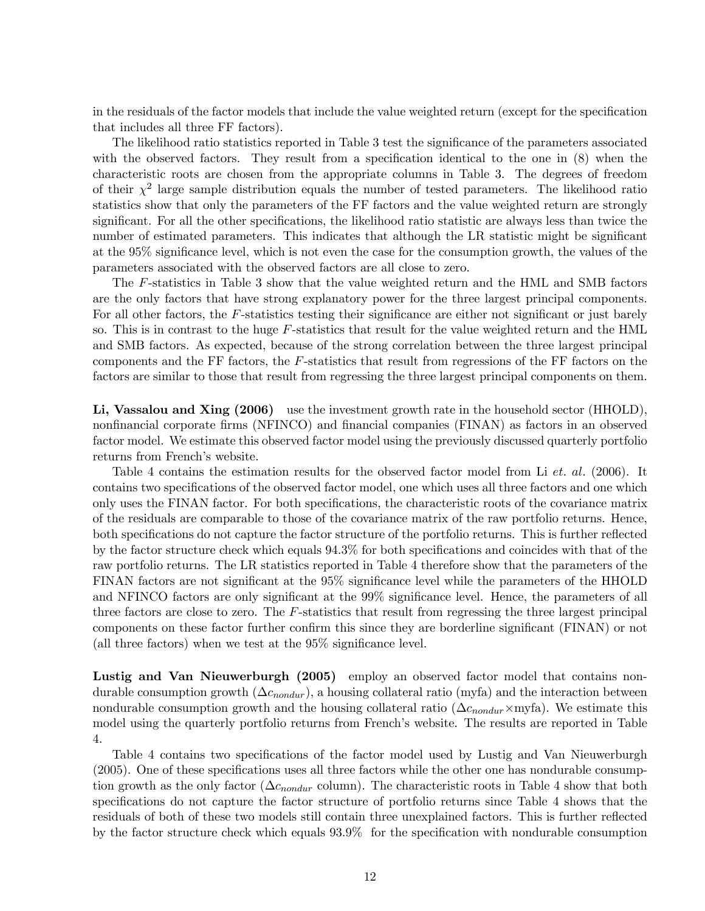in the residuals of the factor models that include the value weighted return (except for the specification that includes all three FF factors).

The likelihood ratio statistics reported in Table 3 test the significance of the parameters associated with the observed factors. They result from a specification identical to the one in  $(8)$  when the characteristic roots are chosen from the appropriate columns in Table 3. The degrees of freedom of their  $\chi^2$  large sample distribution equals the number of tested parameters. The likelihood ratio statistics show that only the parameters of the FF factors and the value weighted return are strongly significant. For all the other specifications, the likelihood ratio statistic are always less than twice the number of estimated parameters. This indicates that although the LR statistic might be significant at the 95% significance level, which is not even the case for the consumption growth, the values of the parameters associated with the observed factors are all close to zero.

The F-statistics in Table 3 show that the value weighted return and the HML and SMB factors are the only factors that have strong explanatory power for the three largest principal components. For all other factors, the F-statistics testing their significance are either not significant or just barely so. This is in contrast to the huge  $F$ -statistics that result for the value weighted return and the HML and SMB factors. As expected, because of the strong correlation between the three largest principal components and the FF factors, the F-statistics that result from regressions of the FF factors on the factors are similar to those that result from regressing the three largest principal components on them.

Li, Vassalou and Xing (2006) use the investment growth rate in the household sector (HHOLD), nonfinancial corporate firms (NFINCO) and financial companies (FINAN) as factors in an observed factor model. We estimate this observed factor model using the previously discussed quarterly portfolio returns from French's website.

Table 4 contains the estimation results for the observed factor model from Li et. al. (2006). It contains two specifications of the observed factor model, one which uses all three factors and one which only uses the FINAN factor. For both specifications, the characteristic roots of the covariance matrix of the residuals are comparable to those of the covariance matrix of the raw portfolio returns. Hence, both specifications do not capture the factor structure of the portfolio returns. This is further reflected by the factor structure check which equals 94.3% for both specifications and coincides with that of the raw portfolio returns. The LR statistics reported in Table 4 therefore show that the parameters of the FINAN factors are not significant at the 95% significance level while the parameters of the HHOLD and NFINCO factors are only significant at the 99% significance level. Hence, the parameters of all three factors are close to zero. The F-statistics that result from regressing the three largest principal components on these factor further confirm this since they are borderline significant (FINAN) or not (all three factors) when we test at the 95% significance level.

Lustig and Van Nieuwerburgh (2005) employ an observed factor model that contains nondurable consumption growth  $(\Delta c_{nondur})$ , a housing collateral ratio (myfa) and the interaction between nondurable consumption growth and the housing collateral ratio ( $\Delta c_{nondur} \times$ myfa). We estimate this model using the quarterly portfolio returns from French's website. The results are reported in Table 4.

Table 4 contains two specifications of the factor model used by Lustig and Van Nieuwerburgh (2005). One of these specifications uses all three factors while the other one has nondurable consumption growth as the only factor ( $\Delta c_{nondur}$  column). The characteristic roots in Table 4 show that both specifications do not capture the factor structure of portfolio returns since Table 4 shows that the residuals of both of these two models still contain three unexplained factors. This is further reflected by the factor structure check which equals 93.9% for the specification with nondurable consumption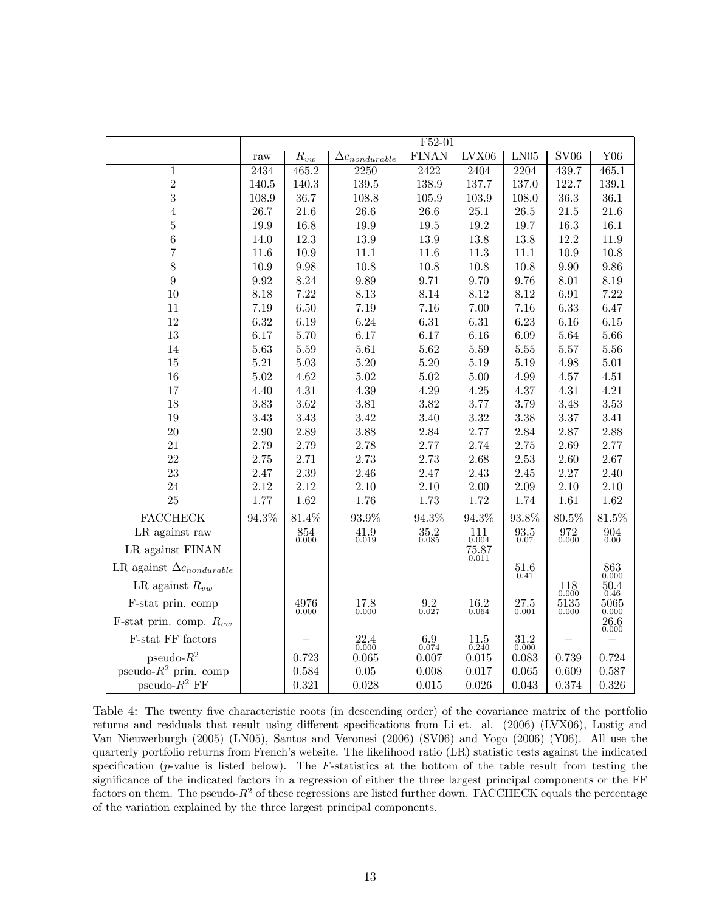|                                    | $F52-01$ |                          |                          |                          |                                              |                          |                         |                               |  |
|------------------------------------|----------|--------------------------|--------------------------|--------------------------|----------------------------------------------|--------------------------|-------------------------|-------------------------------|--|
|                                    | raw      | $R_{vw}$                 | $\Delta c_{nondurable}$  | <b>FINAN</b>             | LVX06                                        | LN05                     | S <sub>V06</sub>        | Y06                           |  |
| $\mathbf{1}$                       | 2434     | 465.2                    | 2250                     | 2422                     | 2404                                         | 2204                     | 439.7                   | 465.1                         |  |
| $\,2$                              | 140.5    | 140.3                    | 139.5                    | 138.9                    | 137.7                                        | 137.0                    | 122.7                   | 139.1                         |  |
| 3                                  | 108.9    | 36.7                     | 108.8                    | 105.9                    | 103.9                                        | 108.0                    | 36.3                    | 36.1                          |  |
| $\overline{4}$                     | 26.7     | 21.6                     | 26.6                     | 26.6                     | 25.1                                         | $26.5\,$                 | 21.5                    | 21.6                          |  |
| $\overline{5}$                     | 19.9     | 16.8                     | 19.9                     | 19.5                     | 19.2                                         | 19.7                     | 16.3                    | $16.1\,$                      |  |
| 6                                  | 14.0     | 12.3                     | 13.9                     | 13.9                     | 13.8                                         | 13.8                     | 12.2                    | 11.9                          |  |
| $\overline{7}$                     | 11.6     | 10.9                     | 11.1                     | 11.6                     | 11.3                                         | 11.1                     | 10.9                    | $10.8\,$                      |  |
| $8\,$                              | 10.9     | 9.98                     | 10.8                     | 10.8                     | 10.8                                         | 10.8                     | 9.90                    | $\,9.86\,$                    |  |
| $\overline{9}$                     | 9.92     | 8.24                     | 9.89                     | 9.71                     | 9.70                                         | 9.76                     | 8.01                    | 8.19                          |  |
| 10                                 | 8.18     | 7.22                     | 8.13                     | 8.14                     | 8.12                                         | 8.12                     | 6.91                    | 7.22                          |  |
| 11                                 | 7.19     | 6.50                     | 7.19                     | 7.16                     | 7.00                                         | 7.16                     | 6.33                    | 6.47                          |  |
| 12                                 | 6.32     | 6.19                     | 6.24                     | $6.31\,$                 | $6.31\,$                                     | 6.23                     | 6.16                    | $6.15\,$                      |  |
| 13                                 | 6.17     | 5.70                     | 6.17                     | 6.17                     | 6.16                                         | 6.09                     | 5.64                    | 5.66                          |  |
| 14                                 | 5.63     | $5.59\,$                 | 5.61                     | 5.62                     | 5.59                                         | $5.55\,$                 | 5.57                    | $5.56\,$                      |  |
| 15                                 | 5.21     | 5.03                     | $5.20\,$                 | $5.20\,$                 | 5.19                                         | 5.19                     | 4.98                    | $5.01\,$                      |  |
| 16                                 | 5.02     | 4.62                     | 5.02                     | 5.02                     | $5.00\,$                                     | 4.99                     | 4.57                    | 4.51                          |  |
| 17                                 | 4.40     | 4.31                     | $4.39\,$                 | 4.29                     | 4.25                                         | 4.37                     | 4.31                    | 4.21                          |  |
| 18                                 | 3.83     | 3.62                     | 3.81                     | 3.82                     | 3.77                                         | 3.79                     | 3.48                    | $3.53\,$                      |  |
| 19                                 | 3.43     | 3.43                     | 3.42                     | 3.40                     | 3.32                                         | 3.38                     | 3.37                    | 3.41                          |  |
| 20                                 | 2.90     | $2.89\,$                 | 3.88                     | 2.84                     | $2.77\,$                                     | 2.84                     | 2.87                    | 2.88                          |  |
| 21                                 | 2.79     | 2.79                     | 2.78                     | 2.77                     | 2.74                                         | 2.75                     | 2.69                    | 2.77                          |  |
| 22                                 | 2.75     | 2.71                     | 2.73                     | 2.73                     | 2.68                                         | 2.53                     | 2.60                    | 2.67                          |  |
| 23                                 | 2.47     | 2.39                     | 2.46                     | 2.47                     | 2.43                                         | 2.45                     | 2.27                    | 2.40                          |  |
| 24                                 | 2.12     | 2.12                     | 2.10                     | 2.10                     | 2.00                                         | 2.09                     | 2.10                    | 2.10                          |  |
| 25                                 | 1.77     | 1.62                     | 1.76                     | 1.73                     | 1.72                                         | 1.74                     | 1.61                    | 1.62                          |  |
| <b>FACCHECK</b>                    | 94.3%    | 81.4%                    | 93.9%                    | 94.3%                    | 94.3%                                        | 93.8%                    | $80.5\%$                | 81.5%                         |  |
| LR against raw                     |          | $\mathop{854}_{0.000}$   | $\underset{0.019}{41.9}$ | $\underset{0.085}{35.2}$ | $\underset{0.004}{111}$                      | $\underset{0.07}{93.5}$  | $\underset{0.000}{972}$ | $\underset{0.00}{904}$        |  |
| LR against FINAN                   |          |                          |                          |                          | 75.87<br>0.011                               |                          |                         |                               |  |
| LR against $\Delta c_{nondurable}$ |          |                          |                          |                          |                                              | $\mathop{51.6}_{0.41}$   |                         | $\mathop{863}\limits_{0.000}$ |  |
| LR against $R_{vw}$                |          |                          |                          |                          |                                              |                          | 118<br>0.000            | 50.4<br>0.46                  |  |
| F-stat prin. comp                  |          | $\underset{0.000}{4976}$ | $\frac{17.8}{0.000}$     | $\underset{0.027}{9.2}$  | $\begin{array}{c} 16.2 \\ 0.064 \end{array}$ | $\underset{0.001}{27.5}$ | 5135<br>0.000           | $\underset{0.000}{5065}$      |  |
| F-stat prin. comp. $R_{vw}$        |          |                          |                          |                          |                                              |                          |                         | $\underset{0.000}{26.6}$      |  |
| F-stat FF factors                  |          |                          | $\underset{0.000}{22.4}$ | $\underset{0.074}{6.9}$  | $11.5\,$<br>0.240                            | $\underset{0.000}{31.2}$ |                         |                               |  |
| pseudo- $R^2$                      |          | 0.723                    | 0.065                    | 0.007                    | 0.015                                        | 0.083                    | 0.739                   | 0.724                         |  |
| pseudo- $R^2$ prin. comp           |          | 0.584                    | $0.05\,$                 | 0.008                    | 0.017                                        | 0.065                    | 0.609                   | 0.587                         |  |
| pseudo- $R^2$ FF                   |          | 0.321                    | 0.028                    | 0.015                    | 0.026                                        | 0.043                    | 0.374                   | $0.326\,$                     |  |

Table 4: The twenty five characteristic roots (in descending order) of the covariance matrix of the portfolio returns and residuals that result using different specifications from Li et. al. (2006) (LVX06), Lustig and Van Nieuwerburgh (2005) (LN05), Santos and Veronesi (2006) (SV06) and Yogo (2006) (Y06). All use the quarterly portfolio returns from French's website. The likelihood ratio (LR) statistic tests against the indicated specification ( $p$ -value is listed below). The  $F$ -statistics at the bottom of the table result from testing the significance of the indicated factors in a regression of either the three largest principal components or the FF factors on them. The pseudo- $R^2$  of these regressions are listed further down. FACCHECK equals the percentage of the variation explained by the three largest principal components.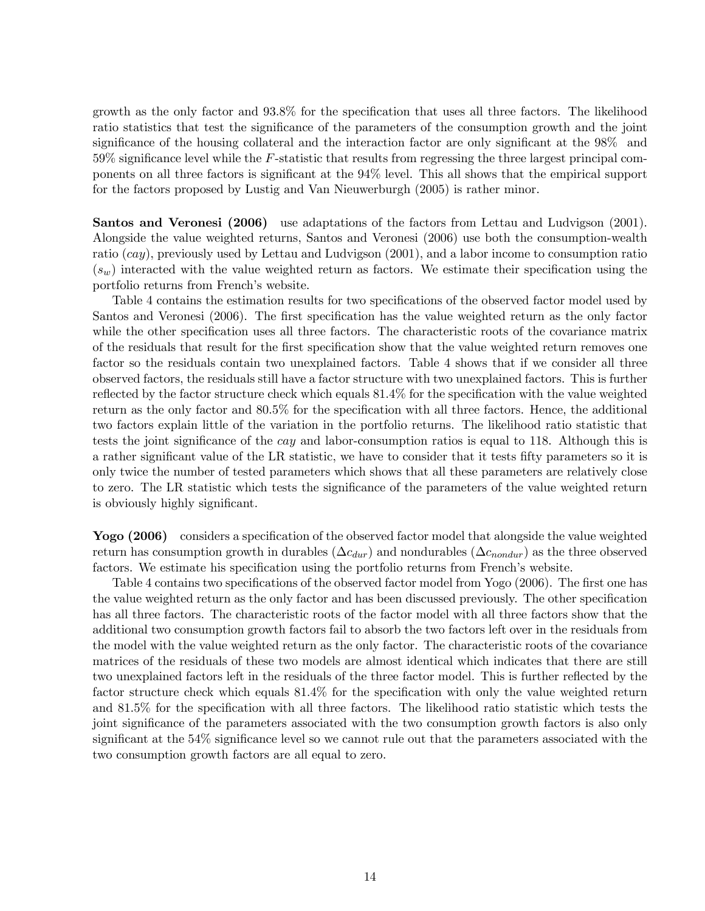growth as the only factor and 93.8% for the specification that uses all three factors. The likelihood ratio statistics that test the significance of the parameters of the consumption growth and the joint significance of the housing collateral and the interaction factor are only significant at the 98% and  $59\%$  significance level while the F-statistic that results from regressing the three largest principal components on all three factors is significant at the 94% level. This all shows that the empirical support for the factors proposed by Lustig and Van Nieuwerburgh (2005) is rather minor.

Santos and Veronesi (2006) use adaptations of the factors from Lettau and Ludvigson (2001). Alongside the value weighted returns, Santos and Veronesi (2006) use both the consumption-wealth ratio  $(cay)$ , previously used by Lettau and Ludvigson  $(2001)$ , and a labor income to consumption ratio  $(s_w)$  interacted with the value weighted return as factors. We estimate their specification using the portfolio returns from French's website.

Table 4 contains the estimation results for two specifications of the observed factor model used by Santos and Veronesi (2006). The first specification has the value weighted return as the only factor while the other specification uses all three factors. The characteristic roots of the covariance matrix of the residuals that result for the first specification show that the value weighted return removes one factor so the residuals contain two unexplained factors. Table 4 shows that if we consider all three observed factors, the residuals still have a factor structure with two unexplained factors. This is further reflected by the factor structure check which equals 81.4% for the specification with the value weighted return as the only factor and 80.5% for the specification with all three factors. Hence, the additional two factors explain little of the variation in the portfolio returns. The likelihood ratio statistic that tests the joint significance of the cay and labor-consumption ratios is equal to 118. Although this is a rather significant value of the LR statistic, we have to consider that it tests fifty parameters so it is only twice the number of tested parameters which shows that all these parameters are relatively close to zero. The LR statistic which tests the significance of the parameters of the value weighted return is obviously highly significant.

Yogo (2006) considers a specification of the observed factor model that alongside the value weighted return has consumption growth in durables  $(\Delta c_{dur})$  and nondurables  $(\Delta c_{nondur})$  as the three observed factors. We estimate his specification using the portfolio returns from French's website.

Table 4 contains two specifications of the observed factor model from Yogo (2006). The first one has the value weighted return as the only factor and has been discussed previously. The other specification has all three factors. The characteristic roots of the factor model with all three factors show that the additional two consumption growth factors fail to absorb the two factors left over in the residuals from the model with the value weighted return as the only factor. The characteristic roots of the covariance matrices of the residuals of these two models are almost identical which indicates that there are still two unexplained factors left in the residuals of the three factor model. This is further reflected by the factor structure check which equals 81.4% for the specification with only the value weighted return and 81.5% for the specification with all three factors. The likelihood ratio statistic which tests the joint significance of the parameters associated with the two consumption growth factors is also only significant at the 54% significance level so we cannot rule out that the parameters associated with the two consumption growth factors are all equal to zero.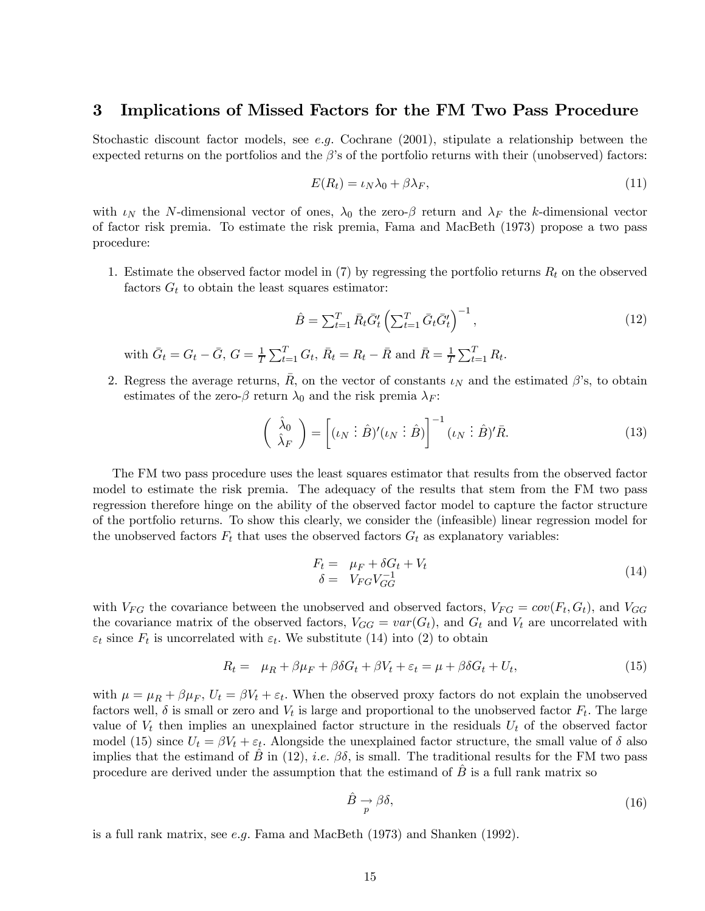## 3 Implications of Missed Factors for the FM Two Pass Procedure

Stochastic discount factor models, see e.g. Cochrane  $(2001)$ , stipulate a relationship between the expected returns on the portfolios and the  $\beta$ 's of the portfolio returns with their (unobserved) factors:

$$
E(R_t) = \iota_N \lambda_0 + \beta \lambda_F,\tag{11}
$$

with  $\iota_N$  the N-dimensional vector of ones,  $\lambda_0$  the zero- $\beta$  return and  $\lambda_F$  the k-dimensional vector of factor risk premia. To estimate the risk premia, Fama and MacBeth (1973) propose a two pass procedure:

1. Estimate the observed factor model in  $(7)$  by regressing the portfolio returns  $R_t$  on the observed factors  $G_t$  to obtain the least squares estimator:

$$
\hat{B} = \sum_{t=1}^{T} \bar{R}_t \bar{G}'_t \left( \sum_{t=1}^{T} \bar{G}_t \bar{G}'_t \right)^{-1},\tag{12}
$$

with  $\bar{G}_t = G_t - \bar{G}$ ,  $G = \frac{1}{T} \sum_{t=1}^T G_t$ ,  $\bar{R}_t = R_t - \bar{R}$  and  $\bar{R} = \frac{1}{T} \sum_{t=1}^T R_t$ .

2. Regress the average returns, R, on the vector of constants  $\iota_N$  and the estimated  $\beta$ 's, to obtain estimates of the zero- $\beta$  return  $\lambda_0$  and the risk premia  $\lambda_F$ :

$$
\begin{pmatrix}\n\hat{\lambda}_0 \\
\hat{\lambda}_F\n\end{pmatrix} = \begin{bmatrix}\n(\iota_N \vdots \hat{B})'(\iota_N \vdots \hat{B})\n\end{bmatrix}^{-1} (\iota_N \vdots \hat{B})' \bar{R}.
$$
\n(13)

The FM two pass procedure uses the least squares estimator that results from the observed factor model to estimate the risk premia. The adequacy of the results that stem from the FM two pass regression therefore hinge on the ability of the observed factor model to capture the factor structure of the portfolio returns. To show this clearly, we consider the (infeasible) linear regression model for the unobserved factors  $F_t$  that uses the observed factors  $G_t$  as explanatory variables:

$$
F_t = \mu_F + \delta G_t + V_t
$$
  
\n
$$
\delta = V_{FG} V_{GG}^{-1}
$$
\n(14)

with  $V_{FG}$  the covariance between the unobserved and observed factors,  $V_{FG} = cov(F_t, G_t)$ , and  $V_{GG}$ the covariance matrix of the observed factors,  $V_{GG} = var(G_t)$ , and  $G_t$  and  $V_t$  are uncorrelated with  $\varepsilon_t$  since  $F_t$  is uncorrelated with  $\varepsilon_t$ . We substitute (14) into (2) to obtain

$$
R_t = \mu_R + \beta \mu_F + \beta \delta G_t + \beta V_t + \varepsilon_t = \mu + \beta \delta G_t + U_t, \tag{15}
$$

with  $\mu = \mu_R + \beta \mu_F$ ,  $U_t = \beta V_t + \varepsilon_t$ . When the observed proxy factors do not explain the unobserved factors well,  $\delta$  is small or zero and  $V_t$  is large and proportional to the unobserved factor  $F_t$ . The large value of  $V_t$  then implies an unexplained factor structure in the residuals  $U_t$  of the observed factor model (15) since  $U_t = \beta V_t + \varepsilon_t$ . Alongside the unexplained factor structure, the small value of  $\delta$  also implies that the estimand of B in (12), *i.e.*  $\beta\delta$ , is small. The traditional results for the FM two pass procedure are derived under the assumption that the estimand of  $B$  is a full rank matrix so

$$
\hat{B} \underset{p}{\rightarrow} \beta \delta,\tag{16}
$$

is a full rank matrix, see e.g. Fama and MacBeth (1973) and Shanken (1992).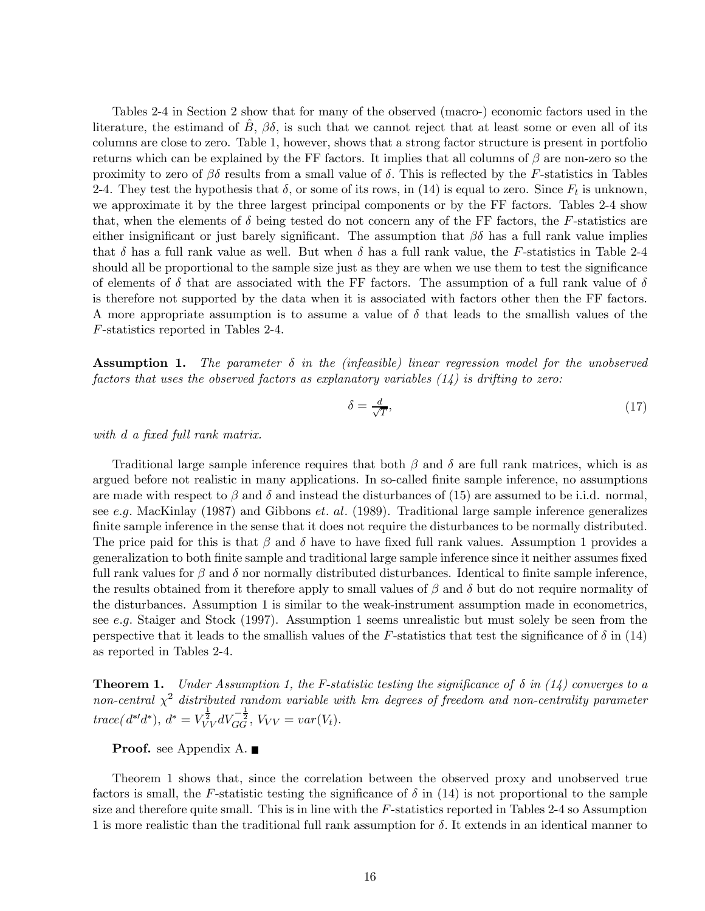Tables 2-4 in Section 2 show that for many of the observed (macro-) economic factors used in the literature, the estimand of  $\hat{B}$ ,  $\beta\delta$ , is such that we cannot reject that at least some or even all of its columns are close to zero. Table 1, however, shows that a strong factor structure is present in portfolio returns which can be explained by the FF factors. It implies that all columns of  $\beta$  are non-zero so the proximity to zero of  $\beta\delta$  results from a small value of  $\delta$ . This is reflected by the F-statistics in Tables 2-4. They test the hypothesis that  $\delta$ , or some of its rows, in (14) is equal to zero. Since  $F_t$  is unknown, we approximate it by the three largest principal components or by the FF factors. Tables 2-4 show that, when the elements of  $\delta$  being tested do not concern any of the FF factors, the F-statistics are either insignificant or just barely significant. The assumption that  $\beta\delta$  has a full rank value implies that  $\delta$  has a full rank value as well. But when  $\delta$  has a full rank value, the F-statistics in Table 2-4 should all be proportional to the sample size just as they are when we use them to test the significance of elements of  $\delta$  that are associated with the FF factors. The assumption of a full rank value of  $\delta$ is therefore not supported by the data when it is associated with factors other then the FF factors. A more appropriate assumption is to assume a value of  $\delta$  that leads to the smallish values of the F-statistics reported in Tables 2-4.

**Assumption 1.** The parameter  $\delta$  in the (infeasible) linear regression model for the unobserved factors that uses the observed factors as explanatory variables  $(14)$  is drifting to zero:

$$
\delta = \frac{d}{\sqrt{T}},\tag{17}
$$

with d a fixed full rank matrix.

Traditional large sample inference requires that both  $\beta$  and  $\delta$  are full rank matrices, which is as argued before not realistic in many applications. In so-called finite sample inference, no assumptions are made with respect to  $\beta$  and  $\delta$  and instead the disturbances of (15) are assumed to be i.i.d. normal, see e.g. MacKinlay (1987) and Gibbons et. al. (1989). Traditional large sample inference generalizes finite sample inference in the sense that it does not require the disturbances to be normally distributed. The price paid for this is that  $\beta$  and  $\delta$  have to have fixed full rank values. Assumption 1 provides a generalization to both finite sample and traditional large sample inference since it neither assumes fixed full rank values for  $\beta$  and  $\delta$  nor normally distributed disturbances. Identical to finite sample inference, the results obtained from it therefore apply to small values of  $\beta$  and  $\delta$  but do not require normality of the disturbances. Assumption 1 is similar to the weak-instrument assumption made in econometrics, see e.g. Staiger and Stock (1997). Assumption 1 seems unrealistic but must solely be seen from the perspective that it leads to the smallish values of the F-statistics that test the significance of  $\delta$  in (14) as reported in Tables 2-4.

**Theorem 1.** Under Assumption 1, the F-statistic testing the significance of  $\delta$  in (14) converges to a non-central  $\chi^2$  distributed random variable with km degrees of freedom and non-centrality parameter  $trace(d^{*'}d^*), d^* = V_{VV}^{\frac{1}{2}}dV_{GG}^{-\frac{1}{2}}, V_{VV} = var(V_t).$ 

### **Proof.** see Appendix A. ■

Theorem 1 shows that, since the correlation between the observed proxy and unobserved true factors is small, the F-statistic testing the significance of  $\delta$  in (14) is not proportional to the sample size and therefore quite small. This is in line with the F-statistics reported in Tables 2-4 so Assumption 1 is more realistic than the traditional full rank assumption for  $\delta$ . It extends in an identical manner to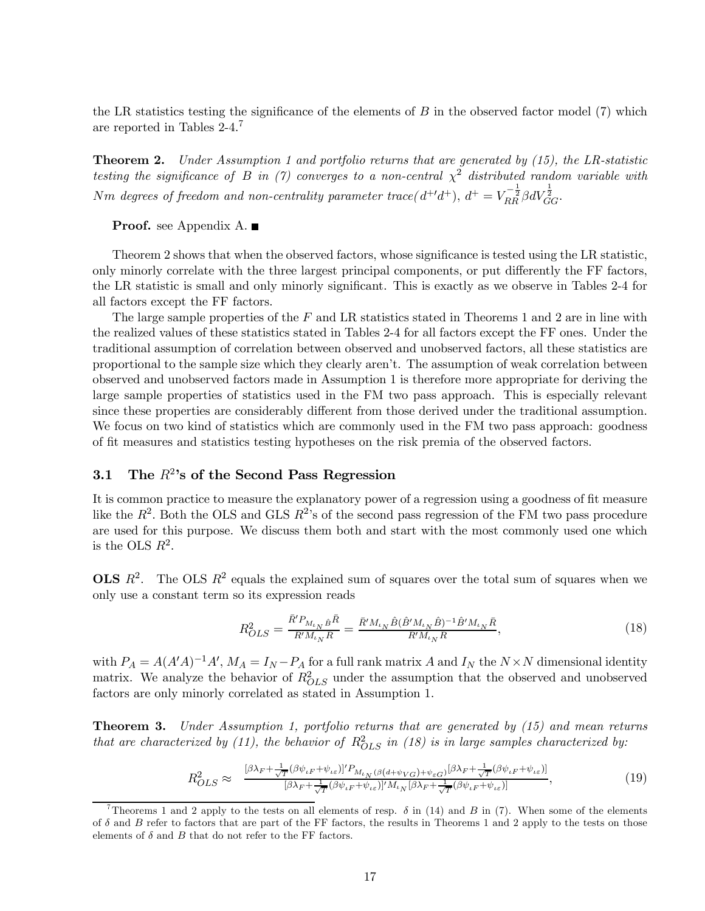the LR statistics testing the significance of the elements of  $B$  in the observed factor model (7) which are reported in Tables 2-4.7

**Theorem 2.** Under Assumption 1 and portfolio returns that are generated by  $(15)$ , the LR-statistic testing the significance of B in (7) converges to a non-central  $\chi^2$  distributed random variable with Nm degrees of freedom and non-centrality parameter trace( $d^{+'}d^{+}$ ),  $d^{+} = V_{RR}^{-\frac{1}{2}} \beta dV_{GG}^{\frac{1}{2}}$ .

**Proof.** see Appendix A.

Theorem 2 shows that when the observed factors, whose significance is tested using the LR statistic, only minorly correlate with the three largest principal components, or put differently the FF factors, the LR statistic is small and only minorly significant. This is exactly as we observe in Tables 2-4 for all factors except the FF factors.

The large sample properties of the F and LR statistics stated in Theorems 1 and 2 are in line with the realized values of these statistics stated in Tables 2-4 for all factors except the FF ones. Under the traditional assumption of correlation between observed and unobserved factors, all these statistics are proportional to the sample size which they clearly aren't. The assumption of weak correlation between observed and unobserved factors made in Assumption 1 is therefore more appropriate for deriving the large sample properties of statistics used in the FM two pass approach. This is especially relevant since these properties are considerably different from those derived under the traditional assumption. We focus on two kind of statistics which are commonly used in the FM two pass approach: goodness of fit measures and statistics testing hypotheses on the risk premia of the observed factors.

## 3.1 The  $R^2$ 's of the Second Pass Regression

It is common practice to measure the explanatory power of a regression using a goodness of fit measure like the  $R^2$ . Both the OLS and GLS  $R^2$ 's of the second pass regression of the FM two pass procedure are used for this purpose. We discuss them both and start with the most commonly used one which is the OLS  $R^2$ .

**OLS**  $R^2$ . The OLS  $R^2$  equals the explained sum of squares over the total sum of squares when we only use a constant term so its expression reads

$$
R_{OLS}^2 = \frac{\bar{R}' P_{M_{t_N}\hat{B}}\bar{R}}{\bar{R}' M_{t_N}\bar{R}} = \frac{\bar{R}' M_{t_N}\hat{B}(\hat{B}' M_{t_N}\hat{B})^{-1}\hat{B}' M_{t_N}\bar{R}}{\bar{R}' M_{t_N}\bar{R}},
$$
(18)

with  $P_A = A(A'A)^{-1}A'$ ,  $M_A = I_N - P_A$  for a full rank matrix A and  $I_N$  the  $N \times N$  dimensional identity matrix. We analyze the behavior of  $R_{OLS}^2$  under the assumption that the observed and unobserved factors are only minorly correlated as stated in Assumption 1.

Theorem 3. Under Assumption 1, portfolio returns that are generated by (15) and mean returns that are characterized by (11), the behavior of  $R_{OLS}^2$  in (18) is in large samples characterized by:

$$
R_{OLS}^2 \approx \frac{\left[\beta \lambda_F + \frac{1}{\sqrt{T}} (\beta \psi_{\iota F} + \psi_{\iota \varepsilon})\right]' P_{M_{\iota N}} (\beta (d + \psi_{VG}) + \psi_{\varepsilon G}) \left[\beta \lambda_F + \frac{1}{\sqrt{T}} (\beta \psi_{\iota F} + \psi_{\iota \varepsilon})\right]}{\left[\beta \lambda_F + \frac{1}{\sqrt{T}} (\beta \psi_{\iota F} + \psi_{\iota \varepsilon})\right]' M_{\iota N} \left[\beta \lambda_F + \frac{1}{\sqrt{T}} (\beta \psi_{\iota F} + \psi_{\iota \varepsilon})\right]},\tag{19}
$$

<sup>&</sup>lt;sup>7</sup>Theorems 1 and 2 apply to the tests on all elements of resp.  $\delta$  in (14) and B in (7). When some of the elements of  $\delta$  and  $B$  refer to factors that are part of the FF factors, the results in Theorems 1 and 2 apply to the tests on those elements of  $\delta$  and  $B$  that do not refer to the FF factors.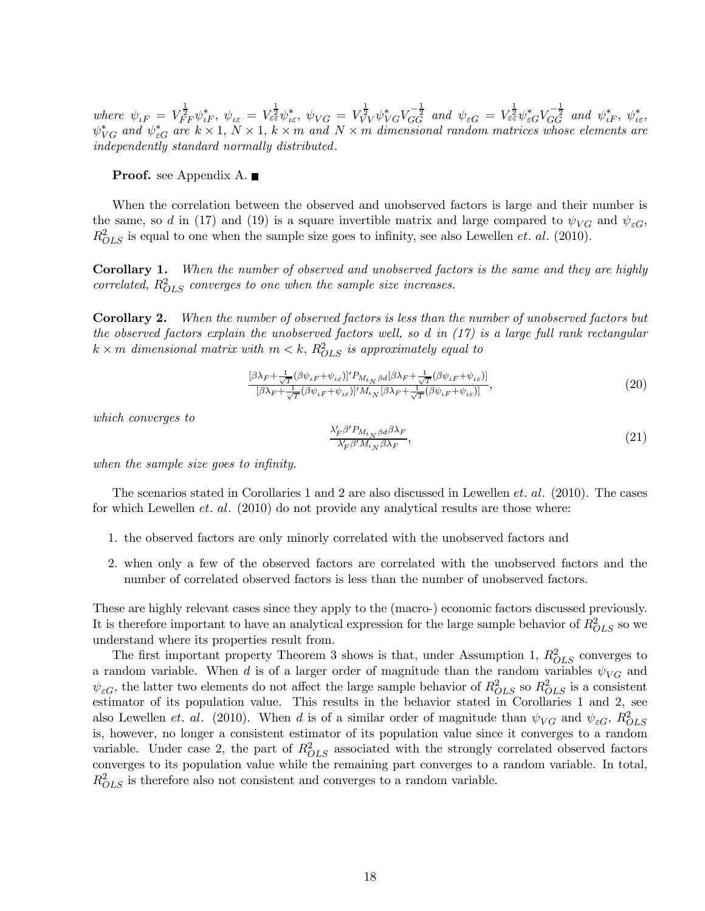where  $\psi_{\iota F} = V_{FF}^{\frac{1}{2}} \psi_{\iota F}^*$ ,  $\psi_{\iota \varepsilon} = V_{\varepsilon \varepsilon}^{\frac{1}{2}} \psi_{\iota \varepsilon}^*$ ,  $\psi_{VG} = V_{VV}^{\frac{1}{2}} \psi_{VG}^* V_{GG}^{-\frac{1}{2}}$  and  $\psi_{\varepsilon G} = V_{\varepsilon \varepsilon}^{\frac{1}{2}} \psi_{\varepsilon G}^* V_{GG}^{-\frac{1}{2}}$  and  $\psi_{\iota F}^*$ ,  $\psi_{\iota \varepsilon}^*$  $\psi_{VG}^*$  and  $\psi_{\varepsilon G}^*$  are  $k \times 1$ ,  $N \times 1$ ,  $k \times m$  and  $N \times m$  dimensional random matrices whose elements are independently standard normally distributed.

**Proof.** see Appendix A.

When the correlation between the observed and unobserved factors is large and their number is the same, so d in (17) and (19) is a square invertible matrix and large compared to  $\psi_{VG}$  and  $\psi_{\varepsilon G}$ ,  $R_{OLS}^2$  is equal to one when the sample size goes to infinity, see also Lewellen *et. al.* (2010).

Corollary 1. When the number of observed and unobserved factors is the same and they are highly correlated,  $R_{OLS}^2$  converges to one when the sample size increases.

Corollary 2. When the number of observed factors is less than the number of unobserved factors but the observed factors explain the unobserved factors well, so d in  $(17)$  is a large full rank rectangular  $k \times m$  dimensional matrix with  $m < k$ ,  $R_{OLS}^2$  is approximately equal to

$$
\frac{[\beta\lambda_F + \frac{1}{\sqrt{T}}(\beta\psi_{\iota F} + \psi_{\iota\varepsilon})]'P_{M_{\iota N}\beta d}[\beta\lambda_F + \frac{1}{\sqrt{T}}(\beta\psi_{\iota F} + \psi_{\iota\varepsilon})]}{[\beta\lambda_F + \frac{1}{\sqrt{T}}(\beta\psi_{\iota F} + \psi_{\iota\varepsilon})]'M_{\iota N}[\beta\lambda_F + \frac{1}{\sqrt{T}}(\beta\psi_{\iota F} + \psi_{\iota\varepsilon})]},
$$
\n(20)

which converges to

$$
\frac{\lambda'_{F}\beta' P_{M_{\iota}}\beta d\beta \lambda_{F}}{\lambda'_{F}\beta' M_{\iota}}_{\beta\lambda_{F}},\tag{21}
$$

when the sample size goes to infinity.

The scenarios stated in Corollaries 1 and 2 are also discussed in Lewellen et. al. (2010). The cases for which Lewellen *et. al.* (2010) do not provide any analytical results are those where:

- 1. the observed factors are only minorly correlated with the unobserved factors and
- 2. when only a few of the observed factors are correlated with the unobserved factors and the number of correlated observed factors is less than the number of unobserved factors.

These are highly relevant cases since they apply to the (macro-) economic factors discussed previously. It is therefore important to have an analytical expression for the large sample behavior of  $R_{OLS}^2$  so we understand where its properties result from.

The first important property Theorem 3 shows is that, under Assumption 1,  $R_{OLS}^2$  converges to a random variable. When d is of a larger order of magnitude than the random variables  $\psi_{VG}$  and  $\psi_{\varepsilon G}$ , the latter two elements do not affect the large sample behavior of  $R_{OLS}^2$  so  $R_{OLS}^2$  is a consistent estimator of its population value. This results in the behavior stated in Corollaries 1 and 2, see also Lewellen *et. al.* (2010). When d is of a similar order of magnitude than  $\psi_{VG}$  and  $\psi_{\varepsilon G}$ ,  $R_{OLS}^2$ is, however, no longer a consistent estimator of its population value since it converges to a random variable. Under case 2, the part of  $R_{OLS}^2$  associated with the strongly correlated observed factors converges to its population value while the remaining part converges to a random variable. In total,  $R_{OLS}^2$  is therefore also not consistent and converges to a random variable.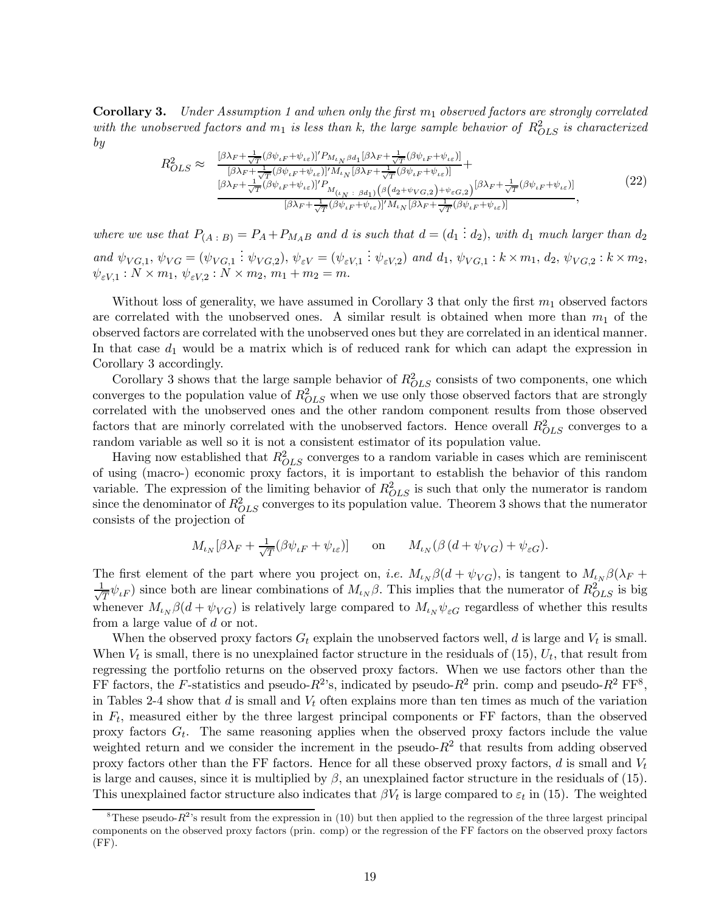**Corollary 3.** Under Assumption 1 and when only the first  $m_1$  observed factors are strongly correlated with the unobserved factors and  $m_1$  is less than k, the large sample behavior of  $R_{OLS}^2$  is characterized by

$$
R_{OLS}^2 \approx \frac{\frac{[\beta\lambda_F + \frac{1}{\sqrt{T}}(\beta\psi_{\iota F} + \psi_{\iota\varepsilon})]'P_{M_{\iota N}}\beta d_1[\beta\lambda_F + \frac{1}{\sqrt{T}}(\beta\psi_{\iota F} + \psi_{\iota\varepsilon})]}{[\beta\lambda_F + \frac{1}{\sqrt{T}}(\beta\psi_{\iota F} + \psi_{\iota\varepsilon})]'M_{\iota N}[\beta\lambda_F + \frac{1}{\sqrt{T}}(\beta\psi_{\iota F} + \psi_{\iota\varepsilon})]} + \frac{[\beta\lambda_F + \frac{1}{\sqrt{T}}(\beta\psi_{\iota F} + \psi_{\iota\varepsilon})]'P_{M_{\iota N}}[\beta\lambda_F + \frac{1}{\sqrt{T}}(\beta\psi_{\iota F} + \psi_{\iota\varepsilon})]}{[\beta\lambda_F + \frac{1}{\sqrt{T}}(\beta\psi_{\iota F} + \psi_{\iota\varepsilon})]'M_{\iota N}[\beta\lambda_F + \frac{1}{\sqrt{T}}(\beta\psi_{\iota F} + \psi_{\iota\varepsilon})]} \tag{22}
$$

where we use that  $P_{(A \,:\, B)} = P_A + P_{M_A}$  and d is such that  $d = (d_1 \,:\, d_2)$ , with  $d_1$  much larger than  $d_2$ and  $\psi_{VG,1}, \psi_{VG} = (\psi_{VG,1} : \psi_{VG,2}), \psi_{\varepsilon V} = (\psi_{\varepsilon V,1} : \psi_{\varepsilon V,2})$  and  $d_1, \psi_{VG,1} : k \times m_1, d_2, \psi_{VG,2} : k \times m_2$ ,  $\psi_{\varepsilon V,1} : N \times m_1, \, \psi_{\varepsilon V,2} : N \times m_2, \, m_1 + m_2 = m.$ 

Without loss of generality, we have assumed in Corollary 3 that only the first  $m_1$  observed factors are correlated with the unobserved ones. A similar result is obtained when more than  $m_1$  of the observed factors are correlated with the unobserved ones but they are correlated in an identical manner. In that case  $d_1$  would be a matrix which is of reduced rank for which can adapt the expression in Corollary 3 accordingly.

Corollary 3 shows that the large sample behavior of  $R_{OLS}^2$  consists of two components, one which converges to the population value of  $R_{OLS}^2$  when we use only those observed factors that are strongly correlated with the unobserved ones and the other random component results from those observed factors that are minorly correlated with the unobserved factors. Hence overall  $R_{OLS}^2$  converges to a random variable as well so it is not a consistent estimator of its population value.

Having now established that  $R_{OLS}^2$  converges to a random variable in cases which are reminiscent of using (macro-) economic proxy factors, it is important to establish the behavior of this random variable. The expression of the limiting behavior of  $R_{OLS}^2$  is such that only the numerator is random since the denominator of  $R_{OLS}^2$  converges to its population value. Theorem 3 shows that the numerator consists of the projection of

$$
M_{\iota_N}[\beta \lambda_F + \frac{1}{\sqrt{T}} (\beta \psi_{\iota F} + \psi_{\iota \varepsilon})] \qquad \text{on} \qquad M_{\iota_N}(\beta (d + \psi_{VG}) + \psi_{\varepsilon G}).
$$

The first element of the part where you project on, i.e.  $M_{\iota_N}\beta(d + \psi_{VG})$ , is tangent to  $M_{\iota_N}\beta(\lambda_F +$  $\frac{1}{\sqrt{T}}\psi_{iF}$ ) since both are linear combinations of  $M_{i,j} \beta$ . This implies that the numerator of  $R_{OLS}^2$  is big whenever  $M_{\iota_N}\beta(d+\psi_{VG})$  is relatively large compared to  $M_{\iota_N}\psi_{\varepsilon G}$  regardless of whether this results from a large value of d or not.

When the observed proxy factors  $G_t$  explain the unobserved factors well, d is large and  $V_t$  is small. When  $V_t$  is small, there is no unexplained factor structure in the residuals of (15),  $U_t$ , that result from regressing the portfolio returns on the observed proxy factors. When we use factors other than the FF factors, the F-statistics and pseudo- $R^2$ 's, indicated by pseudo- $R^2$  prin. comp and pseudo- $R^2$  FF<sup>8</sup>, in Tables 2-4 show that  $d$  is small and  $V_t$  often explains more than ten times as much of the variation in  $F_t$ , measured either by the three largest principal components or FF factors, than the observed proxy factors  $G_t$ . The same reasoning applies when the observed proxy factors include the value weighted return and we consider the increment in the pseudo- $R^2$  that results from adding observed proxy factors other than the FF factors. Hence for all these observed proxy factors, d is small and  $V_t$ is large and causes, since it is multiplied by  $\beta$ , an unexplained factor structure in the residuals of (15). This unexplained factor structure also indicates that  $\beta V_t$  is large compared to  $\varepsilon_t$  in (15). The weighted

<sup>&</sup>lt;sup>8</sup>These pseudo- $R^2$ 's result from the expression in (10) but then applied to the regression of the three largest principal components on the observed proxy factors (prin. comp) or the regression of the FF factors on the observed proxy factors  $(FF)$ .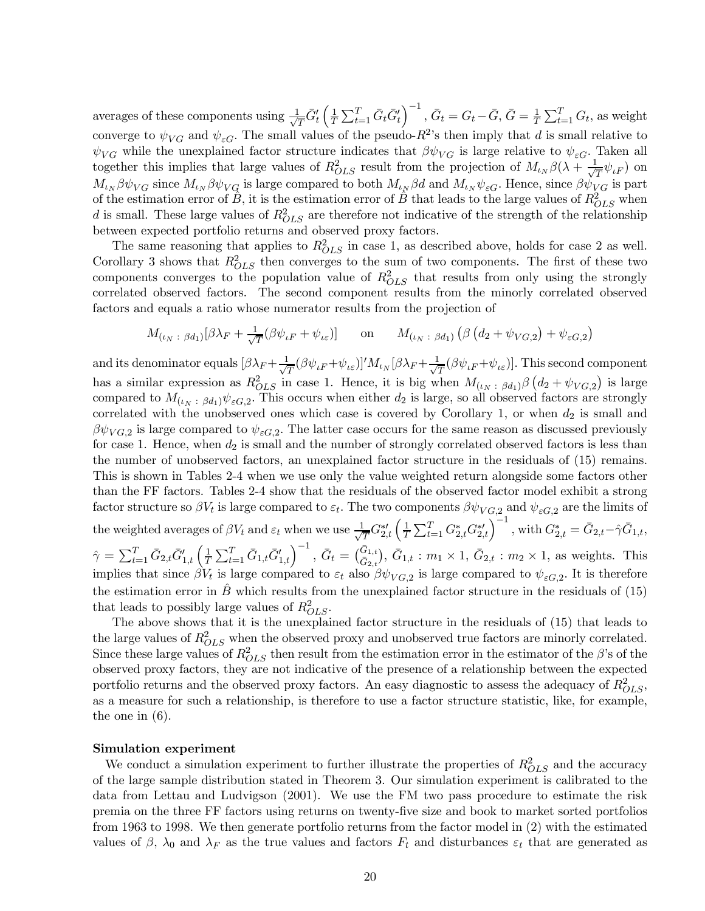averages of these components using  $\frac{1}{\sqrt{T}}\bar{G}'_t\left(\frac{1}{T}\right)$  $\frac{1}{T}\sum_{t=1}^T \bar{G}_t \bar{G}'_t \Big)^{-1}$ ,  $\bar{G}_t = G_t - \bar{G}$ ,  $\bar{G} = \frac{1}{T}\sum_{t=1}^T G_t$ , as weight converge to  $\psi_{VG}$  and  $\psi_{\varepsilon G}$ . The small values of the pseudo- $R^2$ 's then imply that d is small relative to  $\psi_{VG}$  while the unexplained factor structure indicates that  $\beta \psi_{VG}$  is large relative to  $\psi_{\varepsilon G}$ . Taken all together this implies that large values of  $R_{OLS}^2$  result from the projection of  $M_{\iota_N}\beta(\lambda + \frac{1}{\sqrt{T}}\psi_{\iota F})$  on  $M_{\iota_N}\beta\psi_{VG}$  since  $M_{\iota_N}\beta\psi_{VG}$  is large compared to both  $M_{\iota_N}\beta d$  and  $M_{\iota_N}\psi_{\varepsilon G}$ . Hence, since  $\beta\psi_{VG}$  is part of the estimation error of  $\hat{B}$ , it is the estimation error of  $\hat{B}$  that leads to the large values of  $R_{OLS}^2$  when d is small. These large values of  $R_{OLS}^2$  are therefore not indicative of the strength of the relationship between expected portfolio returns and observed proxy factors.

The same reasoning that applies to  $R_{OLS}^2$  in case 1, as described above, holds for case 2 as well. Corollary 3 shows that  $R_{OLS}^2$  then converges to the sum of two components. The first of these two components converges to the population value of  $R_{OLS}^2$  that results from only using the strongly correlated observed factors. The second component results from the minorly correlated observed factors and equals a ratio whose numerator results from the projection of

$$
M_{(\iota_N \; : \; \beta d_1)}[\beta \lambda_F + \frac{1}{\sqrt{T}}(\beta \psi_{\iota F} + \psi_{\iota \varepsilon})] \qquad \text{on} \qquad M_{(\iota_N \; : \; \beta d_1)}\left(\beta \left(d_2 + \psi_{VG,2}\right) + \psi_{\varepsilon G,2}\right)
$$

and its denominator equals  $[\beta \lambda_F + \frac{1}{\sqrt{T}}(\beta \psi_{\iota F} + \psi_{\iota \varepsilon})]' M_{\iota_N} [\beta \lambda_F + \frac{1}{\sqrt{T}}(\beta \psi_{\iota F} + \psi_{\iota \varepsilon})]$ . This second component has a similar expression as  $R_{OLS}^2$  in case 1. Hence, it is big when  $M_{(\iota_N;\beta d_1)}\beta\left(d_2+\psi_{VG,2}\right)$  is large compared to  $M_{(\iota_N;\beta d_1)}\psi_{\varepsilon G,2}$ . This occurs when either  $d_2$  is large, so all observed factors are strongly correlated with the unobserved ones which case is covered by Corollary 1, or when  $d_2$  is small and  $\beta\psi_{VG,2}$  is large compared to  $\psi_{\varepsilon G,2}$ . The latter case occurs for the same reason as discussed previously for case 1. Hence, when  $d_2$  is small and the number of strongly correlated observed factors is less than the number of unobserved factors, an unexplained factor structure in the residuals of (15) remains. This is shown in Tables 2-4 when we use only the value weighted return alongside some factors other than the FF factors. Tables 2-4 show that the residuals of the observed factor model exhibit a strong factor structure so  $\beta V_t$  is large compared to  $\varepsilon_t$ . The two components  $\beta \psi_{VG,2}$  and  $\psi_{\varepsilon G,2}$  are the limits of the weighted averages of  $\beta V_t$  and  $\varepsilon_t$  when we use  $\frac{1}{\sqrt{T}} G_{2,t}^{*\prime} \left( \frac{1}{T} \sum_{t=1}^T G_{2,t}^* G_{2,t}^{*\prime} \right)^{-1}$ , with  $G_{2,t}^* = \bar{G}_{2,t} - \hat{\gamma} \bar{G}_{1,t}$ ,  $\hat{\gamma} = \sum_{t=1}^{T} \bar{G}_{2,t} \bar{G}'_{1,t} \left( \frac{1}{T} \sum_{t=1}^{T} \bar{G}_{1,t} \bar{G}'_{1,t} \right)^{-1}, \ \bar{G}_{t} = \left( \frac{\bar{G}_{1,t}}{\bar{G}_{2,t}} \right), \ \bar{G}_{1,t} : m_1 \times 1, \ \bar{G}_{2,t} : m_2 \times 1, \text{ as weights. This}$ implies that since  $\beta V_t$  is large compared to  $\varepsilon_t$  also  $\beta \psi_{VG,2}$  is large compared to  $\psi_{\varepsilon G,2}$ . It is therefore the estimation error in  $\ddot{B}$  which results from the unexplained factor structure in the residuals of (15) that leads to possibly large values of  $R_{OLS}^2$ .

The above shows that it is the unexplained factor structure in the residuals of (15) that leads to the large values of  $R_{OLS}^2$  when the observed proxy and unobserved true factors are minorly correlated. Since these large values of  $R_{OLS}^2$  then result from the estimation error in the estimator of the  $\beta$ 's of the observed proxy factors, they are not indicative of the presence of a relationship between the expected portfolio returns and the observed proxy factors. An easy diagnostic to assess the adequacy of  $R_{OLS}^2$ , as a measure for such a relationship, is therefore to use a factor structure statistic, like, for example, the one in (6).

### Simulation experiment

We conduct a simulation experiment to further illustrate the properties of  $R_{OLS}^2$  and the accuracy of the large sample distribution stated in Theorem 3. Our simulation experiment is calibrated to the data from Lettau and Ludvigson (2001). We use the FM two pass procedure to estimate the risk premia on the three FF factors using returns on twenty-five size and book to market sorted portfolios from 1963 to 1998. We then generate portfolio returns from the factor model in (2) with the estimated values of  $\beta$ ,  $\lambda_0$  and  $\lambda_F$  as the true values and factors  $F_t$  and disturbances  $\varepsilon_t$  that are generated as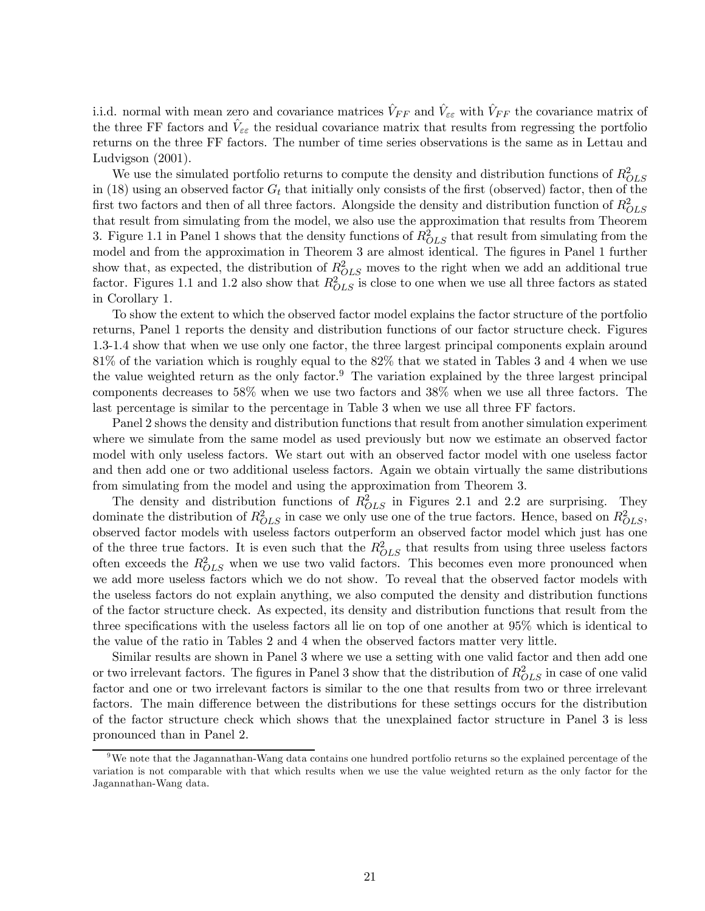i.i.d. normal with mean zero and covariance matrices  $V_{FF}$  and  $V_{\varepsilon\varepsilon}$  with  $V_{FF}$  the covariance matrix of the three FF factors and  $\hat{V}_{\varepsilon\varepsilon}$  the residual covariance matrix that results from regressing the portfolio returns on the three FF factors. The number of time series observations is the same as in Lettau and Ludvigson (2001).

We use the simulated portfolio returns to compute the density and distribution functions of  $R_{OLS}^2$ in (18) using an observed factor  $G_t$  that initially only consists of the first (observed) factor, then of the first two factors and then of all three factors. Alongside the density and distribution function of  $R_{OLS}^2$ that result from simulating from the model, we also use the approximation that results from Theorem 3. Figure 1.1 in Panel 1 shows that the density functions of  $R_{OLS}^2$  that result from simulating from the model and from the approximation in Theorem 3 are almost identical. The figures in Panel 1 further show that, as expected, the distribution of  $R_{OLS}^2$  moves to the right when we add an additional true factor. Figures 1.1 and 1.2 also show that  $R_{OLS}^2$  is close to one when we use all three factors as stated in Corollary 1.

To show the extent to which the observed factor model explains the factor structure of the portfolio returns, Panel 1 reports the density and distribution functions of our factor structure check. Figures 1.3-1.4 show that when we use only one factor, the three largest principal components explain around 81% of the variation which is roughly equal to the 82% that we stated in Tables 3 and 4 when we use the value weighted return as the only factor.<sup>9</sup> The variation explained by the three largest principal components decreases to 58% when we use two factors and 38% when we use all three factors. The last percentage is similar to the percentage in Table 3 when we use all three FF factors.

Panel 2 shows the density and distribution functions that result from another simulation experiment where we simulate from the same model as used previously but now we estimate an observed factor model with only useless factors. We start out with an observed factor model with one useless factor and then add one or two additional useless factors. Again we obtain virtually the same distributions from simulating from the model and using the approximation from Theorem 3.

The density and distribution functions of  $R_{OLS}^2$  in Figures 2.1 and 2.2 are surprising. They dominate the distribution of  $R_{OLS}^2$  in case we only use one of the true factors. Hence, based on  $R_{OLS}^2$ , observed factor models with useless factors outperform an observed factor model which just has one of the three true factors. It is even such that the  $R_{OLS}^2$  that results from using three useless factors often exceeds the  $R_{OLS}^2$  when we use two valid factors. This becomes even more pronounced when we add more useless factors which we do not show. To reveal that the observed factor models with the useless factors do not explain anything, we also computed the density and distribution functions of the factor structure check. As expected, its density and distribution functions that result from the three specifications with the useless factors all lie on top of one another at 95% which is identical to the value of the ratio in Tables 2 and 4 when the observed factors matter very little.

Similar results are shown in Panel 3 where we use a setting with one valid factor and then add one or two irrelevant factors. The figures in Panel 3 show that the distribution of  $R_{OLS}^2$  in case of one valid factor and one or two irrelevant factors is similar to the one that results from two or three irrelevant factors. The main difference between the distributions for these settings occurs for the distribution of the factor structure check which shows that the unexplained factor structure in Panel 3 is less pronounced than in Panel 2.

<sup>9</sup>We note that the Jagannathan-Wang data contains one hundred portfolio returns so the explained percentage of the variation is not comparable with that which results when we use the value weighted return as the only factor for the Jagannathan-Wang data.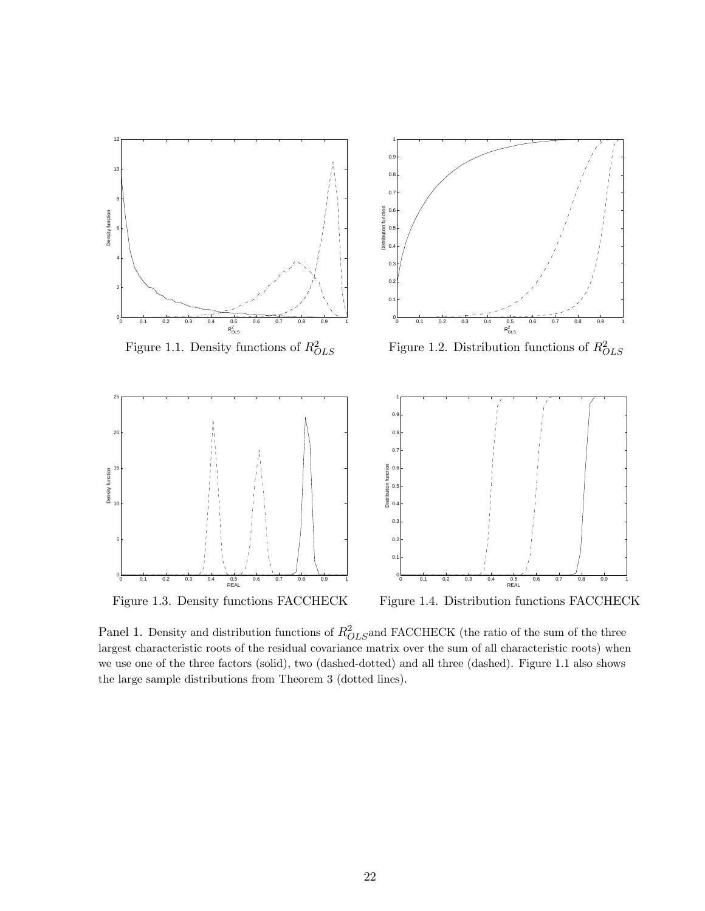

Figure 1.3. Density functions FACCHECK Figure 1.4. Distribution functions FACCHECK

Panel 1. Density and distribution functions of  $R_{OLS}^2$  and FACCHECK (the ratio of the sum of the three largest characteristic roots of the residual covariance matrix over the sum of all characteristic roots) when we use one of the three factors (solid), two (dashed-dotted) and all three (dashed). Figure 1.1 also shows the large sample distributions from Theorem 3 (dotted lines).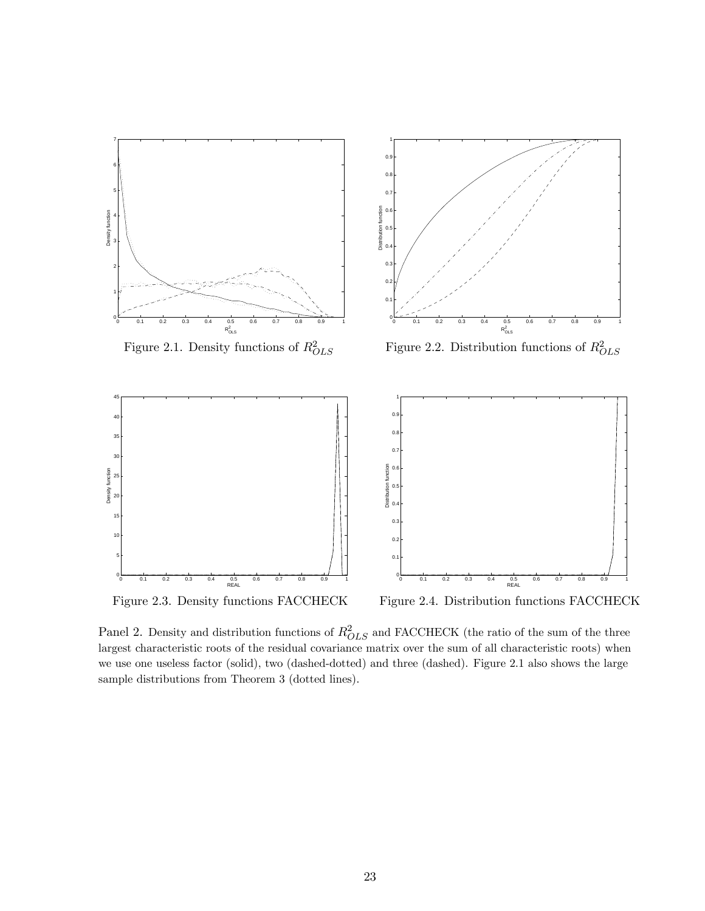

Figure 2.3. Density functions FACCHECK Figure 2.4. Distribution functions FACCHECK

Panel 2. Density and distribution functions of  $R_{OLS}^2$  and FACCHECK (the ratio of the sum of the three largest characteristic roots of the residual covariance matrix over the sum of all characteristic roots) when we use one useless factor (solid), two (dashed-dotted) and three (dashed). Figure 2.1 also shows the large sample distributions from Theorem 3 (dotted lines).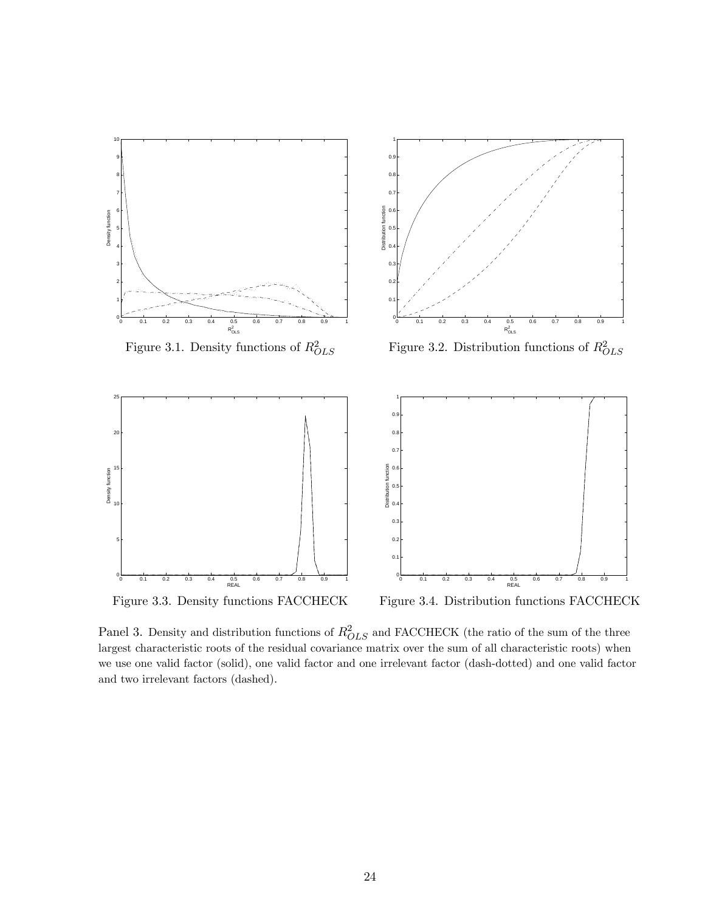

Panel 3. Density and distribution functions of  $R_{OLS}^2$  and FACCHECK (the ratio of the sum of the three largest characteristic roots of the residual covariance matrix over the sum of all characteristic roots) when we use one valid factor (solid), one valid factor and one irrelevant factor (dash-dotted) and one valid factor and two irrelevant factors (dashed).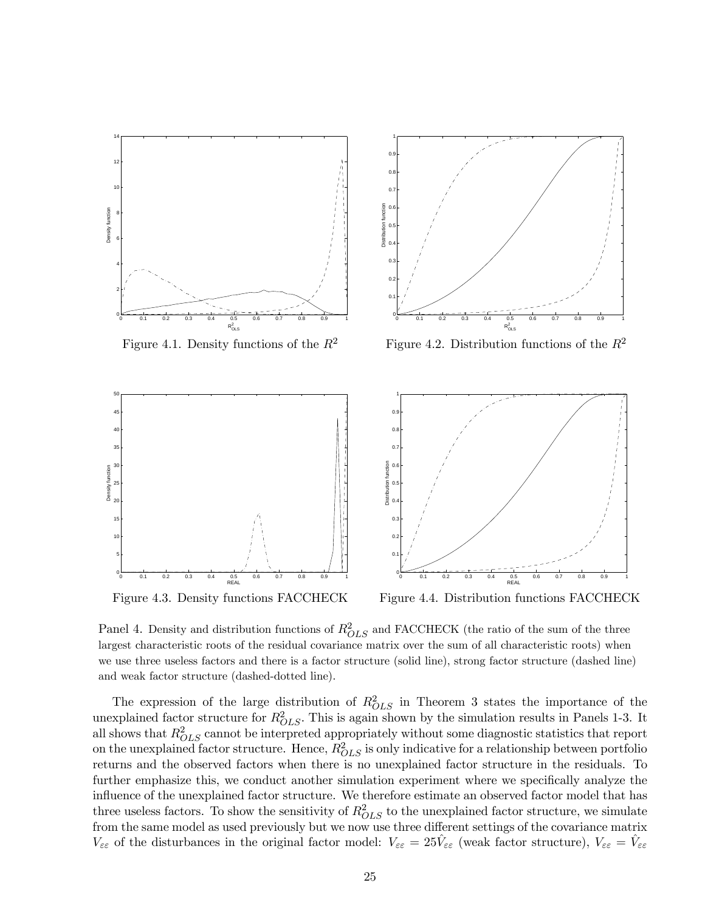

Figure 4.3. Density functions FACCHECK Figure 4.4. Distribution functions FACCHECK

Panel 4. Density and distribution functions of  $R_{OLS}^2$  and FACCHECK (the ratio of the sum of the three largest characteristic roots of the residual covariance matrix over the sum of all characteristic roots) when we use three useless factors and there is a factor structure (solid line), strong factor structure (dashed line) and weak factor structure (dashed-dotted line).

The expression of the large distribution of  $R_{OLS}^2$  in Theorem 3 states the importance of the unexplained factor structure for  $R_{OLS}^2$ . This is again shown by the simulation results in Panels 1-3. It all shows that  $R_{OLS}^2$  cannot be interpreted appropriately without some diagnostic statistics that report on the unexplained factor structure. Hence,  $R_{OLS}^2$  is only indicative for a relationship between portfolio returns and the observed factors when there is no unexplained factor structure in the residuals. To further emphasize this, we conduct another simulation experiment where we specifically analyze the influence of the unexplained factor structure. We therefore estimate an observed factor model that has three useless factors. To show the sensitivity of  $R_{OLS}^2$  to the unexplained factor structure, we simulate from the same model as used previously but we now use three different settings of the covariance matrix  $V_{\varepsilon\varepsilon}$  of the disturbances in the original factor model:  $V_{\varepsilon\varepsilon} = 25\hat{V}_{\varepsilon\varepsilon}$  (weak factor structure),  $V_{\varepsilon\varepsilon} = \hat{V}_{\varepsilon\varepsilon}$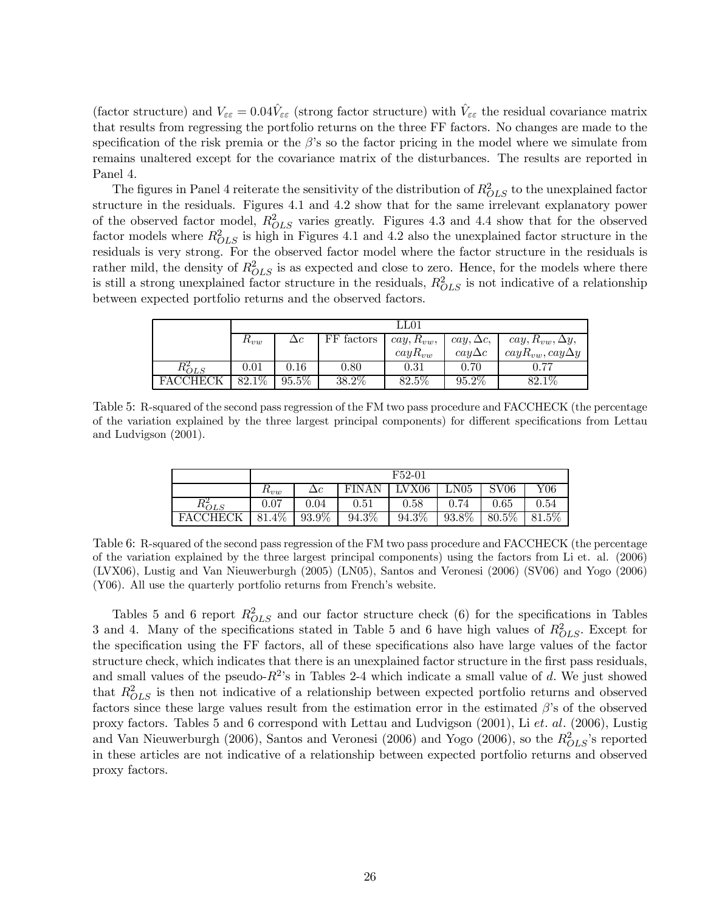(factor structure) and  $V_{\varepsilon\varepsilon} = 0.04\hat{V}_{\varepsilon\varepsilon}$  (strong factor structure) with  $\hat{V}_{\varepsilon\varepsilon}$  the residual covariance matrix that results from regressing the portfolio returns on the three FF factors. No changes are made to the specification of the risk premia or the  $\beta$ 's so the factor pricing in the model where we simulate from remains unaltered except for the covariance matrix of the disturbances. The results are reported in Panel 4.

The figures in Panel 4 reiterate the sensitivity of the distribution of  $R_{OLS}^2$  to the unexplained factor structure in the residuals. Figures 4.1 and 4.2 show that for the same irrelevant explanatory power of the observed factor model,  $R_{OLS}^2$  varies greatly. Figures 4.3 and 4.4 show that for the observed factor models where  $R_{OLS}^2$  is high in Figures 4.1 and 4.2 also the unexplained factor structure in the residuals is very strong. For the observed factor model where the factor structure in the residuals is rather mild, the density of  $R_{OLS}^2$  is as expected and close to zero. Hence, for the models where there is still a strong unexplained factor structure in the residuals,  $R_{OLS}^2$  is not indicative of a relationship between expected portfolio returns and the observed factors.

|             | LL01     |            |            |                |                     |                              |  |  |  |
|-------------|----------|------------|------------|----------------|---------------------|------------------------------|--|--|--|
|             | $n_{vw}$ | $\Delta c$ | FF factors | $cay, R_{vw},$ | $cay, \Delta c$     | $cay, R_{vw}, \Delta y,$     |  |  |  |
|             |          |            |            | $\cos R_{vw}$  | $\alpha y \Delta c$ | $\cos R_{vw}, \cos \Delta y$ |  |  |  |
| $R_{OLS}^2$ | 0.01     | 0.16       | 0.80       | 0.31           | 0.70                | 0.77                         |  |  |  |
|             | $82.1\%$ | $95.5\%$   | $38.2\%$   | 82.5%          | $95.2\%$            | $82.1\%$                     |  |  |  |

Table 5: R-squared of the second pass regression of the FM two pass procedure and FACCHECK (the percentage of the variation explained by the three largest principal components) for different specifications from Lettau and Ludvigson (2001).

|           | F52-01                 |            |              |                |              |                            |              |  |
|-----------|------------------------|------------|--------------|----------------|--------------|----------------------------|--------------|--|
|           | $I\iota v w$           | $\Delta c$ | <b>FINAN</b> | ${\rm LV X06}$ | $_{\rm N05}$ | $\mathrm{S} \mathrm{V} 06$ | ${\rm Y06}$  |  |
| $n_{OLS}$ | $0.07\,$               | 9.04       | 0.51         | 0.58           | 0.74         | $\rm 0.65$                 | 0.54         |  |
| FAC       | $4\overline{\%}$<br>81 | 93.9%      | 94.3%        | 94.3%          | 93.8%        | 80.5%                      | $.5\%$<br>81 |  |

Table 6: R-squared of the second pass regression of the FM two pass procedure and FACCHECK (the percentage of the variation explained by the three largest principal components) using the factors from Li et. al. (2006) (LVX06), Lustig and Van Nieuwerburgh (2005) (LN05), Santos and Veronesi (2006) (SV06) and Yogo (2006) (Y06). All use the quarterly portfolio returns from French's website.

Tables 5 and 6 report  $R_{OLS}^2$  and our factor structure check (6) for the specifications in Tables 3 and 4. Many of the specifications stated in Table 5 and 6 have high values of  $R_{OLS}^2$ . Except for the specification using the FF factors, all of these specifications also have large values of the factor structure check, which indicates that there is an unexplained factor structure in the first pass residuals, and small values of the pseudo- $R^2$ 's in Tables 2-4 which indicate a small value of d. We just showed that  $R_{OLS}^2$  is then not indicative of a relationship between expected portfolio returns and observed factors since these large values result from the estimation error in the estimated  $\beta$ 's of the observed proxy factors. Tables 5 and 6 correspond with Lettau and Ludvigson (2001), Li et. al. (2006), Lustig and Van Nieuwerburgh (2006), Santos and Veronesi (2006) and Yogo (2006), so the  $R_{OLS}^2$ 's reported in these articles are not indicative of a relationship between expected portfolio returns and observed proxy factors.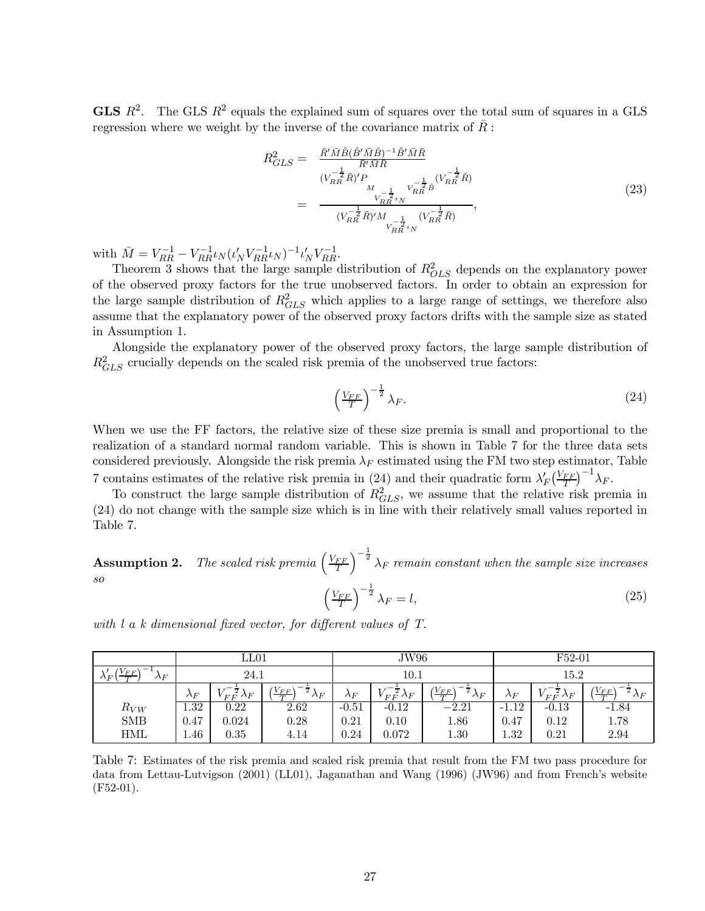**GLS**  $R^2$ . The GLS  $R^2$  equals the explained sum of squares over the total sum of squares in a GLS regression where we weight by the inverse of the covariance matrix of  $\bar{R}$ :

$$
R_{GLS}^{2} = \frac{\bar{R}' \bar{M} \hat{B} (\hat{B}' \bar{M} \hat{B})^{-1} \hat{B}' \bar{M} \bar{R}}{\bar{R}' \bar{M} \bar{R}} = \frac{(V_{RR}^{-\frac{1}{2}} \bar{R})' P}{(V_{RR}^{-\frac{1}{2}} \bar{R})' P} \frac{V_{RR}^{-\frac{1}{2}} \hat{B}}{V_{RR}^{-\frac{1}{2}} \bar{R}}},
$$
\n
$$
= \frac{V_{RR}^{-\frac{1}{2}} \nu_{N}}{(V_{RR}^{-\frac{1}{2}} \bar{R})' M \frac{1}{V_{RR}^{-\frac{1}{2}} \nu_{N}}} ,
$$
\n
$$
(23)
$$

with  $\bar{M} = V_{RR}^{-1} - V_{RR}^{-1} \iota_N (t_N' V_{RR}^{-1} t_N)^{-1} t_N' V_{RR}^{-1}$ .

Theorem 3 shows that the large sample distribution of  $R_{OLS}^2$  depends on the explanatory power of the observed proxy factors for the true unobserved factors. In order to obtain an expression for the large sample distribution of  $R_{GLS}^2$  which applies to a large range of settings, we therefore also assume that the explanatory power of the observed proxy factors drifts with the sample size as stated in Assumption 1.

Alongside the explanatory power of the observed proxy factors, the large sample distribution of  $R_{GLS}^2$  crucially depends on the scaled risk premia of the unobserved true factors:

$$
\left(\frac{V_{FF}}{T}\right)^{-\frac{1}{2}}\lambda_F.
$$
\n(24)

When we use the FF factors, the relative size of these size premia is small and proportional to the realization of a standard normal random variable. This is shown in Table 7 for the three data sets considered previously. Alongside the risk premia  $\lambda_F$  estimated using the FM two step estimator, Table 7 contains estimates of the relative risk premia in (24) and their quadratic form  $\lambda'_F \left(\frac{V_{FF}}{T}\right)^{-1} \lambda_F$ .

To construct the large sample distribution of  $R_{GLS}^2$ , we assume that the relative risk premia in (24) do not change with the sample size which is in line with their relatively small values reported in Table 7.

**Assumption 2.** The scaled risk premia  $\left(\frac{V_{FF}}{T}\right)$  $\int_{0}^{-\frac{1}{2}} \lambda_F$  remain constant when the sample size increases so  $\left(\frac{V_{FF}}{T}\right)$  $\int_{0}^{-\frac{1}{2}} \lambda_F = l,$  (25)

|                                        | $_{\rm LL01}$ |                                     |                                                    | JW96        |                                                   |                                                       | F52-01      |                                  |                                     |  |
|----------------------------------------|---------------|-------------------------------------|----------------------------------------------------|-------------|---------------------------------------------------|-------------------------------------------------------|-------------|----------------------------------|-------------------------------------|--|
| $V_{FF}$<br>$\lambda_F$<br>$\Lambda_F$ | 24.1          |                                     |                                                    | 10.1        |                                                   |                                                       | 15.2        |                                  |                                     |  |
|                                        | $\lambda_F$   | $\gamma_{F\,F}^{\;\;\;\;\;\lambda}$ | $\frac{(V_{FF})}{T}$<br>$^{-\frac{1}{2}}\lambda_F$ | $\lambda_F$ | $\mathcal{N}^{-\,\overline{2}}_{F\,F}\lambda_{F}$ | $\frac{(V_{FF})}{T}$<br>$\overline{2}$<br>$\lambda_F$ | $\lambda_F$ | $V_{FF}^{-\frac{1}{2}}\lambda_F$ | $\frac{(V_{FF})}{T}$<br>$\Lambda_F$ |  |
| $R_{VW}$                               | 1.32          | 0.22                                | 2.62                                               | $-0.51$     | $-0.12$                                           | $-2.21$                                               | $-1.12$     | $-0.13$                          | -1.84                               |  |
| <b>SMB</b>                             | 0.47          | 0.024                               | 0.28                                               | 0.21        | 0.10                                              | 1.86                                                  | 0.47        | 0.12                             | 1.78                                |  |
| <b>HML</b>                             | 1.46          | 0.35                                | 4.14                                               | $0.24\,$    | 0.072                                             | 1.30                                                  | 1.32        | 0.21                             | 2.94                                |  |

with l a k dimensional fixed vector, for different values of T.

Table 7: Estimates of the risk premia and scaled risk premia that result from the FM two pass procedure for data from Lettau-Lutvigson (2001) (LL01), Jaganathan and Wang (1996) (JW96) and from French's website (F52-01).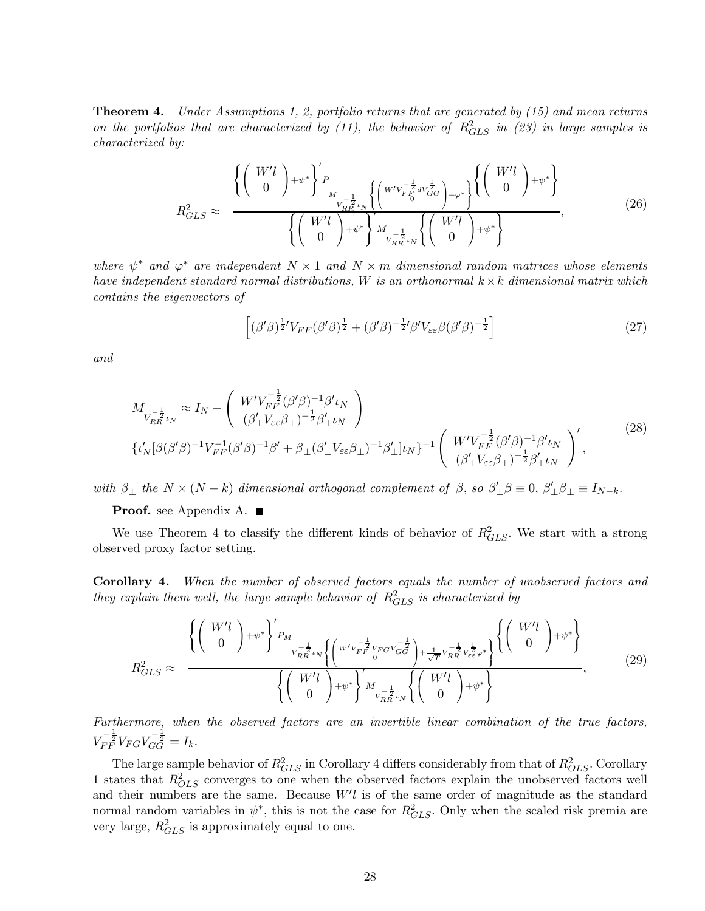**Theorem 4.** Under Assumptions 1, 2, portfolio returns that are generated by  $(15)$  and mean returns on the portfolios that are characterized by (11), the behavior of  $R_{GLS}^2$  in (23) in large samples is characterized by:

$$
R_{GLS}^2 \approx \frac{\left\{ \begin{pmatrix} W'l \\ 0 \end{pmatrix} + \psi^* \right\}^{\prime} P_{\substack{W-\frac{1}{2} \\ V_{RR}^{-\frac{1}{2}} \nu N}} \left\{ \begin{pmatrix} W'V_{FE_0}^{-\frac{1}{2}} dV_{GG}^{\frac{1}{2}} \\ 0 \end{pmatrix} + \varphi^* \right\}^{\prime} \begin{pmatrix} W'l \\ 0 \end{pmatrix} + \psi^* \right\}^{\prime}}{\left\{ \begin{pmatrix} W'l \\ 0 \end{pmatrix} + \psi^* \right\}^{\prime} M_{\substack{V-\frac{1}{2} \\ V_{RR}^{-\frac{1}{2}} \nu N}} \left\{ \begin{pmatrix} W'l \\ 0 \end{pmatrix} + \psi^* \right\}^{\prime}} \tag{26}
$$

where  $\psi^*$  and  $\varphi^*$  are independent  $N \times 1$  and  $N \times m$  dimensional random matrices whose elements have independent standard normal distributions, W is an orthonormal  $k \times k$  dimensional matrix which contains the eigenvectors of

$$
\left[ (\beta'\beta)^{\frac{1}{2}}'V_{FF}(\beta'\beta)^{\frac{1}{2}} + (\beta'\beta)^{-\frac{1}{2}}'\beta'V_{\varepsilon\varepsilon}\beta(\beta'\beta)^{-\frac{1}{2}} \right] \tag{27}
$$

and

$$
M_{V_{RR}^{-\frac{1}{2}}\iota_N} \approx I_N - \left(\begin{array}{c} W'V_{FF}^{-\frac{1}{2}}(\beta'\beta)^{-1}\beta'\iota_N\\ (\beta'_\perp V_{\varepsilon\varepsilon}\beta_\perp)^{-\frac{1}{2}}\beta'_\perp\iota_N \end{array}\right) \n\{\iota'_N[\beta(\beta'\beta)^{-1}V_{FF}^{-1}(\beta'\beta)^{-1}\beta' + \beta_\perp(\beta'_\perp V_{\varepsilon\varepsilon}\beta_\perp)^{-1}\beta'_\perp]\iota_N\}^{-1} \left(\begin{array}{c} W'V_{FF}^{-\frac{1}{2}}(\beta'\beta)^{-1}\beta'\iota_N\\ (\beta'_\perp V_{\varepsilon\varepsilon}\beta_\perp)^{-\frac{1}{2}}\beta'_\perp\iota_N \end{array}\right)',
$$
\n(28)

with  $\beta_{\perp}$  the  $N \times (N - k)$  dimensional orthogonal complement of  $\beta$ , so  $\beta'_{\perp}\beta \equiv 0$ ,  $\beta'_{\perp}\beta_{\perp} \equiv I_{N-k}$ .

#### **Proof.** see Appendix A.  $\blacksquare$

We use Theorem 4 to classify the different kinds of behavior of  $R_{GLS}^2$ . We start with a strong observed proxy factor setting.

Corollary 4. When the number of observed factors equals the number of unobserved factors and they explain them well, the large sample behavior of  $R_{GLS}^2$  is characterized by

$$
R_{GLS}^{2} \approx \frac{\left\{ \begin{pmatrix} W'l \\ 0 \end{pmatrix} + \psi^{*} \right\}'_{P_{M}} \frac{1}{V_{RR}^{-\frac{1}{2}} \psi_{N} \left\{ \begin{pmatrix} W'V_{FF}^{-\frac{1}{2}} V_{FG} V_{GG}^{-\frac{1}{2}} \end{pmatrix} + \frac{1}{\sqrt{T}} V_{RR}^{-\frac{1}{2}} V_{\epsilon\epsilon}^{\frac{1}{2}} \varphi^{*} \right\}}{\left\{ \begin{pmatrix} W'l \\ 0 \end{pmatrix} + \psi^{*} \right\}'_{V_{RR}^{-\frac{1}{2}} \psi_{N} \left\{ \begin{pmatrix} W'l \\ 0 \end{pmatrix} + \psi^{*} \right\}}, \tag{29}
$$

Furthermore, when the observed factors are an invertible linear combination of the true factors,  $V_{FF}^{-\frac{1}{2}}V_{FG}V_{GG}^{-\frac{1}{2}} = I_k.$ 

The large sample behavior of  $R_{GLS}^2$  in Corollary 4 differs considerably from that of  $R_{OLS}^2$ . Corollary 1 states that  $R_{OLS}^2$  converges to one when the observed factors explain the unobserved factors well and their numbers are the same. Because  $W'l$  is of the same order of magnitude as the standard normal random variables in  $\psi^*$ , this is not the case for  $R_{GLS}^2$ . Only when the scaled risk premia are very large,  $R_{GLS}^2$  is approximately equal to one.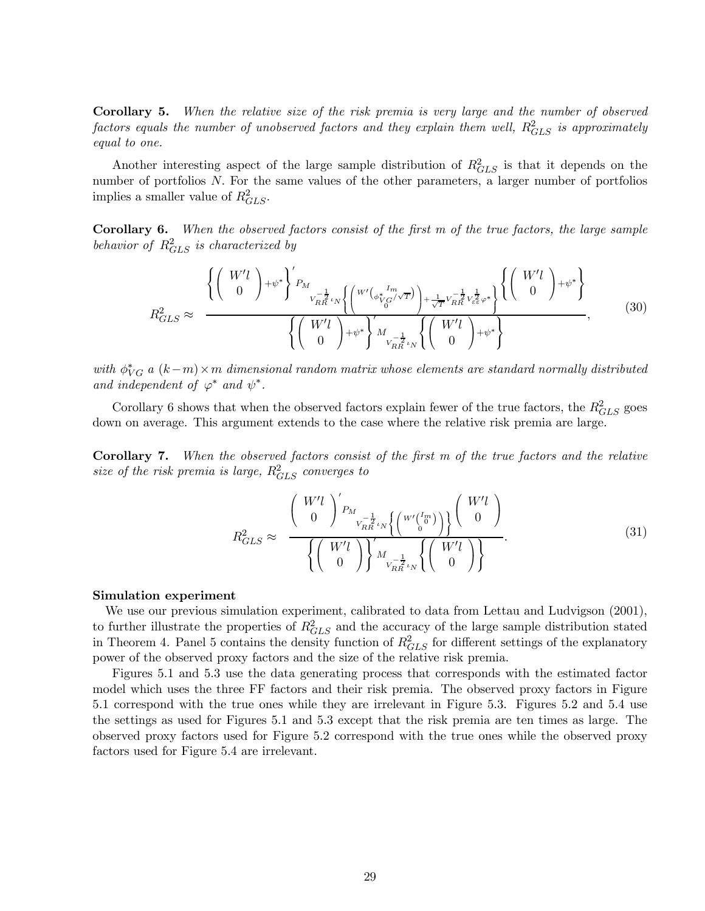Corollary 5. When the relative size of the risk premia is very large and the number of observed  $factors$  equals the number of unobserved factors and they explain them well,  $R^2_{GLS}$  is approximately equal to one.

Another interesting aspect of the large sample distribution of  $R_{GLS}^2$  is that it depends on the number of portfolios N. For the same values of the other parameters, a larger number of portfolios implies a smaller value of  $R_{GLS}^2$ .

Corollary 6. When the observed factors consist of the first m of the true factors, the large sample behavior of  $R_{GLS}^2$  is characterized by

$$
R_{GLS}^{2} \approx \frac{\left\{ \begin{pmatrix} W'l \\ 0 \end{pmatrix} + \psi^{*} \right\}'_{P_{M}} \left\{ \begin{pmatrix} W'(\phi_{V_{G}}^{*} / \sqrt{T}) \\ V_{RR}^{-\frac{1}{2}} \psi_{V_{G}}^{-\frac{1}{2}} \psi^{+}_{RR} \psi_{\epsilon \epsilon}^{+} \psi^{+}_{\epsilon \epsilon} \end{pmatrix} \left\{ \begin{pmatrix} W'l \\ 0 \end{pmatrix} + \psi^{*} \right\}}{\left\{ \begin{pmatrix} W'l \\ 0 \end{pmatrix} + \psi^{*} \right\}'_{V_{RR}^{-\frac{1}{2}} \psi_{V}^{-\frac{1}{2}} \left\{ \begin{pmatrix} W'l \\ 0 \end{pmatrix} + \psi^{*} \right\}} \tag{30}
$$

with  $\phi_{VG}^*$  a  $(k-m) \times m$  dimensional random matrix whose elements are standard normally distributed and independent of  $\varphi^*$  and  $\psi^*$ .

Corollary 6 shows that when the observed factors explain fewer of the true factors, the  $R_{GLS}^2$  goes down on average. This argument extends to the case where the relative risk premia are large.

Corollary 7. When the observed factors consist of the first m of the true factors and the relative size of the risk premia is large,  $R_{GLS}^2$  converges to

$$
R_{GLS}^2 \approx \frac{\left(\begin{array}{c} W'l \\ 0 \end{array}\right)'_{P_{M}}}{\left\{\left(\begin{array}{c} W'l \\ 0 \end{array}\right)\right\}_{M_{\frac{1}{V_{RR}}l_{N}}} \left\{\left(\begin{array}{c} W'l \\ 0 \end{array}\right)\right\}}_{V_{RR}^{-\frac{1}{2}}l_{N}} \left\{\left(\begin{array}{c} W'l \\ 0 \end{array}\right)\right\}}.
$$
\n(31)

#### Simulation experiment

We use our previous simulation experiment, calibrated to data from Lettau and Ludvigson (2001), to further illustrate the properties of  $R_{GLS}^2$  and the accuracy of the large sample distribution stated in Theorem 4. Panel 5 contains the density function of  $R_{GLS}^2$  for different settings of the explanatory power of the observed proxy factors and the size of the relative risk premia.

Figures 5.1 and 5.3 use the data generating process that corresponds with the estimated factor model which uses the three FF factors and their risk premia. The observed proxy factors in Figure 5.1 correspond with the true ones while they are irrelevant in Figure 5.3. Figures 5.2 and 5.4 use the settings as used for Figures 5.1 and 5.3 except that the risk premia are ten times as large. The observed proxy factors used for Figure 5.2 correspond with the true ones while the observed proxy factors used for Figure 5.4 are irrelevant.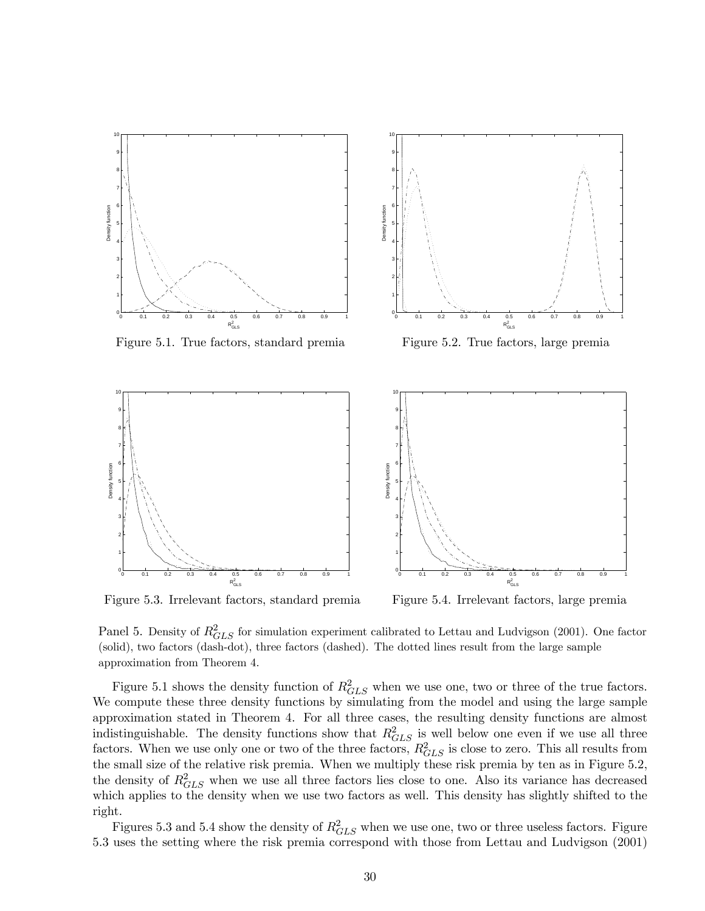



Figure 5.3. Irrelevant factors, standard premia Figure 5.4. Irrelevant factors, large premia

Panel 5. Density of  $R_{GLS}^2$  for simulation experiment calibrated to Lettau and Ludvigson (2001). One factor (solid), two factors (dash-dot), three factors (dashed). The dotted lines result from the large sample approximation from Theorem 4.

Figure 5.1 shows the density function of  $R_{GLS}^2$  when we use one, two or three of the true factors. We compute these three density functions by simulating from the model and using the large sample approximation stated in Theorem 4. For all three cases, the resulting density functions are almost indistinguishable. The density functions show that  $R_{GLS}^2$  is well below one even if we use all three factors. When we use only one or two of the three factors,  $R_{GLS}^2$  is close to zero. This all results from the small size of the relative risk premia. When we multiply these risk premia by ten as in Figure 5.2, the density of  $R_{GLS}^2$  when we use all three factors lies close to one. Also its variance has decreased which applies to the density when we use two factors as well. This density has slightly shifted to the right.

Figures 5.3 and 5.4 show the density of  $R_{GLS}^2$  when we use one, two or three useless factors. Figure 5.3 uses the setting where the risk premia correspond with those from Lettau and Ludvigson (2001)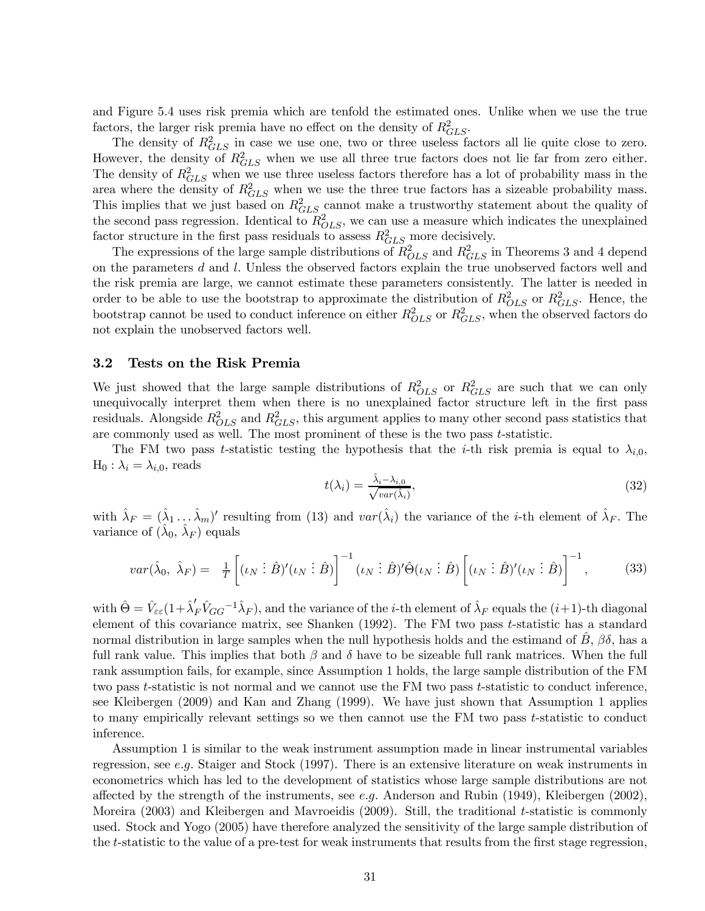and Figure 5.4 uses risk premia which are tenfold the estimated ones. Unlike when we use the true factors, the larger risk premia have no effect on the density of  $R_{GLS}^2$ .

The density of  $R_{GLS}^2$  in case we use one, two or three useless factors all lie quite close to zero. However, the density of  $R_{GLS}^2$  when we use all three true factors does not lie far from zero either. The density of  $R_{GLS}^2$  when we use three useless factors therefore has a lot of probability mass in the area where the density of  $R_{GLS}^2$  when we use the three true factors has a sizeable probability mass. This implies that we just based on  $R_{GLS}^2$  cannot make a trustworthy statement about the quality of the second pass regression. Identical to  $R_{OLS}^2$ , we can use a measure which indicates the unexplained factor structure in the first pass residuals to assess  $R_{GLS}^2$  more decisively.

The expressions of the large sample distributions of  $R_{OLS}^2$  and  $R_{GLS}^2$  in Theorems 3 and 4 depend on the parameters  $d$  and  $l$ . Unless the observed factors explain the true unobserved factors well and the risk premia are large, we cannot estimate these parameters consistently. The latter is needed in order to be able to use the bootstrap to approximate the distribution of  $R_{OLS}^2$  or  $R_{GLS}^2$ . Hence, the bootstrap cannot be used to conduct inference on either  $R_{OLS}^2$  or  $R_{GLS}^2$ , when the observed factors do not explain the unobserved factors well.

### 3.2 Tests on the Risk Premia

We just showed that the large sample distributions of  $R_{OLS}^2$  or  $R_{GLS}^2$  are such that we can only unequivocally interpret them when there is no unexplained factor structure left in the first pass residuals. Alongside  $R_{OLS}^2$  and  $R_{GLS}^2$ , this argument applies to many other second pass statistics that are commonly used as well. The most prominent of these is the two pass t-statistic.

The FM two pass t-statistic testing the hypothesis that the i-th risk premia is equal to  $\lambda_{i,0}$ ,  $H_0: \lambda_i = \lambda_{i,0}$ , reads

$$
t(\lambda_i) = \frac{\hat{\lambda}_i - \lambda_{i,0}}{\sqrt{var(\hat{\lambda}_i)}},\tag{32}
$$

with  $\hat{\lambda}_F = (\hat{\lambda}_1 \dots \hat{\lambda}_m)'$  resulting from (13) and  $var(\hat{\lambda}_i)$  the variance of the *i*-th element of  $\hat{\lambda}_F$ . The variance of  $(\lambda_0, \lambda_F)$  equals

$$
var(\hat{\lambda}_0, \ \hat{\lambda}_F) = \frac{1}{T} \left[ (\iota_N \ \vdots \ \hat{B})' (\iota_N \ \vdots \ \hat{B}) \right]^{-1} (\iota_N \ \vdots \ \hat{B})' \hat{\Theta} (\iota_N \ \vdots \ \hat{B}) \left[ (\iota_N \ \vdots \ \hat{B})' (\iota_N \ \vdots \ \hat{B}) \right]^{-1}, \tag{33}
$$

with  $\hat{\Theta} = \hat{V}_{\varepsilon\varepsilon} (1 + \hat{\lambda}'_F \hat{V}_{GG}^{-1} \hat{\lambda}_F)$ , and the variance of the *i*-th element of  $\hat{\lambda}_F$  equals the  $(i+1)$ -th diagonal element of this covariance matrix, see Shanken (1992). The FM two pass t-statistic has a standard normal distribution in large samples when the null hypothesis holds and the estimand of  $B$ ,  $\beta\delta$ , has a full rank value. This implies that both  $\beta$  and  $\delta$  have to be sizeable full rank matrices. When the full rank assumption fails, for example, since Assumption 1 holds, the large sample distribution of the FM two pass t-statistic is not normal and we cannot use the FM two pass t-statistic to conduct inference, see Kleibergen (2009) and Kan and Zhang (1999). We have just shown that Assumption 1 applies to many empirically relevant settings so we then cannot use the FM two pass  $t$ -statistic to conduct inference.

Assumption 1 is similar to the weak instrument assumption made in linear instrumental variables regression, see e.g. Staiger and Stock  $(1997)$ . There is an extensive literature on weak instruments in econometrics which has led to the development of statistics whose large sample distributions are not affected by the strength of the instruments, see e.g. Anderson and Rubin (1949), Kleibergen (2002), Moreira (2003) and Kleibergen and Mavroeidis (2009). Still, the traditional t-statistic is commonly used. Stock and Yogo (2005) have therefore analyzed the sensitivity of the large sample distribution of the t-statistic to the value of a pre-test for weak instruments that results from the first stage regression,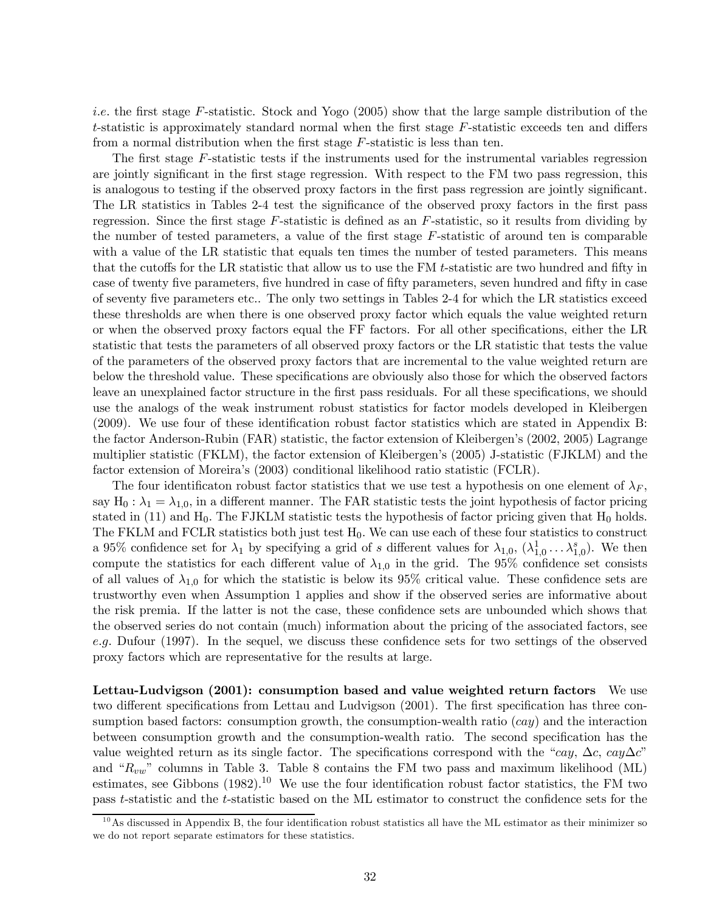i.e. the first stage F-statistic. Stock and Yogo (2005) show that the large sample distribution of the t-statistic is approximately standard normal when the first stage  $F$ -statistic exceeds ten and differs from a normal distribution when the first stage F-statistic is less than ten.

The first stage F-statistic tests if the instruments used for the instrumental variables regression are jointly significant in the first stage regression. With respect to the FM two pass regression, this is analogous to testing if the observed proxy factors in the first pass regression are jointly significant. The LR statistics in Tables 2-4 test the significance of the observed proxy factors in the first pass regression. Since the first stage  $F$ -statistic is defined as an  $F$ -statistic, so it results from dividing by the number of tested parameters, a value of the first stage F-statistic of around ten is comparable with a value of the LR statistic that equals ten times the number of tested parameters. This means that the cutoffs for the LR statistic that allow us to use the FM t-statistic are two hundred and fifty in case of twenty five parameters, five hundred in case of fifty parameters, seven hundred and fifty in case of seventy five parameters etc.. The only two settings in Tables 2-4 for which the LR statistics exceed these thresholds are when there is one observed proxy factor which equals the value weighted return or when the observed proxy factors equal the FF factors. For all other specifications, either the LR statistic that tests the parameters of all observed proxy factors or the LR statistic that tests the value of the parameters of the observed proxy factors that are incremental to the value weighted return are below the threshold value. These specifications are obviously also those for which the observed factors leave an unexplained factor structure in the first pass residuals. For all these specifications, we should use the analogs of the weak instrument robust statistics for factor models developed in Kleibergen (2009). We use four of these identification robust factor statistics which are stated in Appendix B: the factor Anderson-Rubin (FAR) statistic, the factor extension of Kleibergen's (2002, 2005) Lagrange multiplier statistic (FKLM), the factor extension of Kleibergen's (2005) J-statistic (FJKLM) and the factor extension of Moreira's (2003) conditional likelihood ratio statistic (FCLR).

The four identificaton robust factor statistics that we use test a hypothesis on one element of  $\lambda_F$ , say  $H_0: \lambda_1 = \lambda_{1,0}$ , in a different manner. The FAR statistic tests the joint hypothesis of factor pricing stated in  $(11)$  and  $H_0$ . The FJKLM statistic tests the hypothesis of factor pricing given that  $H_0$  holds. The FKLM and FCLR statistics both just test  $H_0$ . We can use each of these four statistics to construct a 95% confidence set for  $\lambda_1$  by specifying a grid of s different values for  $\lambda_{1,0}$ ,  $(\lambda_{1,0}^1 \ldots \lambda_{1,0}^s)$ . We then compute the statistics for each different value of  $\lambda_{1,0}$  in the grid. The 95% confidence set consists of all values of  $\lambda_{1,0}$  for which the statistic is below its 95% critical value. These confidence sets are trustworthy even when Assumption 1 applies and show if the observed series are informative about the risk premia. If the latter is not the case, these confidence sets are unbounded which shows that the observed series do not contain (much) information about the pricing of the associated factors, see e.g. Dufour (1997). In the sequel, we discuss these confidence sets for two settings of the observed proxy factors which are representative for the results at large.

Lettau-Ludvigson (2001): consumption based and value weighted return factors We use two different specifications from Lettau and Ludvigson (2001). The first specification has three consumption based factors: consumption growth, the consumption-wealth ratio  $(cay)$  and the interaction between consumption growth and the consumption-wealth ratio. The second specification has the value weighted return as its single factor. The specifications correspond with the "cay,  $\Delta c$ , cay $\Delta c$ " and " $R_{vw}$ " columns in Table 3. Table 8 contains the FM two pass and maximum likelihood (ML) estimates, see Gibbons  $(1982)$ .<sup>10</sup> We use the four identification robust factor statistics, the FM two pass t-statistic and the t-statistic based on the ML estimator to construct the confidence sets for the

 $10$ As discussed in Appendix B, the four identification robust statistics all have the ML estimator as their minimizer so we do not report separate estimators for these statistics.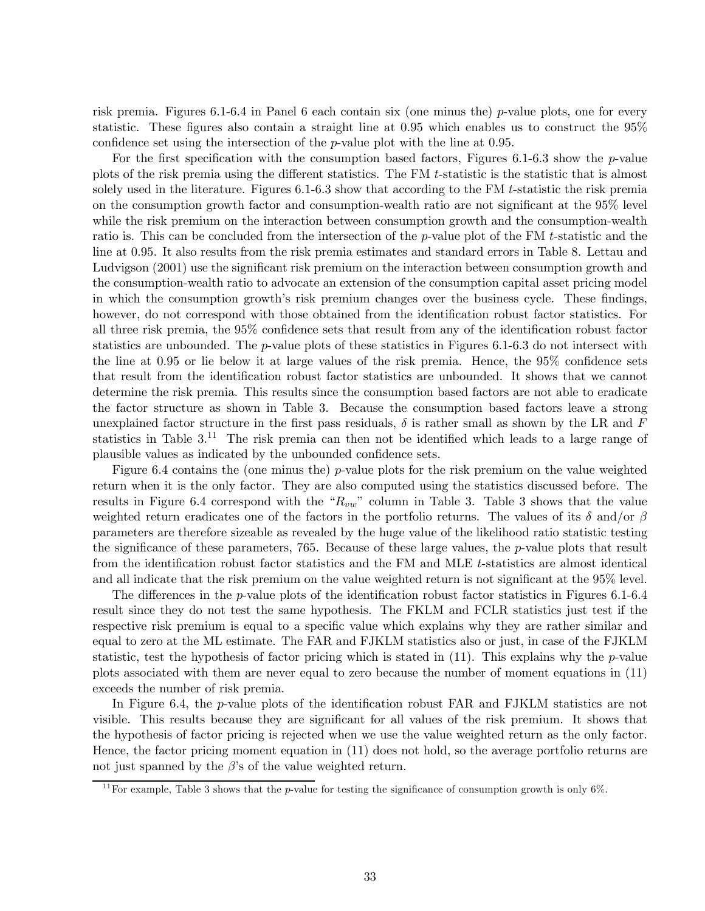risk premia. Figures 6.1-6.4 in Panel 6 each contain six (one minus the) p-value plots, one for every statistic. These figures also contain a straight line at 0.95 which enables us to construct the 95% confidence set using the intersection of the p-value plot with the line at 0.95.

For the first specification with the consumption based factors, Figures 6.1-6.3 show the p-value plots of the risk premia using the different statistics. The FM t-statistic is the statistic that is almost solely used in the literature. Figures 6.1-6.3 show that according to the FM t-statistic the risk premia on the consumption growth factor and consumption-wealth ratio are not significant at the 95% level while the risk premium on the interaction between consumption growth and the consumption-wealth ratio is. This can be concluded from the intersection of the p-value plot of the FM t-statistic and the line at 0.95. It also results from the risk premia estimates and standard errors in Table 8. Lettau and Ludvigson (2001) use the significant risk premium on the interaction between consumption growth and the consumption-wealth ratio to advocate an extension of the consumption capital asset pricing model in which the consumption growth's risk premium changes over the business cycle. These findings, however, do not correspond with those obtained from the identification robust factor statistics. For all three risk premia, the 95% confidence sets that result from any of the identification robust factor statistics are unbounded. The  $p$ -value plots of these statistics in Figures 6.1-6.3 do not intersect with the line at 0.95 or lie below it at large values of the risk premia. Hence, the 95% confidence sets that result from the identification robust factor statistics are unbounded. It shows that we cannot determine the risk premia. This results since the consumption based factors are not able to eradicate the factor structure as shown in Table 3. Because the consumption based factors leave a strong unexplained factor structure in the first pass residuals,  $\delta$  is rather small as shown by the LR and F statistics in Table  $3^{11}$ . The risk premia can then not be identified which leads to a large range of plausible values as indicated by the unbounded confidence sets.

Figure 6.4 contains the (one minus the) p-value plots for the risk premium on the value weighted return when it is the only factor. They are also computed using the statistics discussed before. The results in Figure 6.4 correspond with the " $R_{vw}$ " column in Table 3. Table 3 shows that the value weighted return eradicates one of the factors in the portfolio returns. The values of its  $\delta$  and/or  $\beta$ parameters are therefore sizeable as revealed by the huge value of the likelihood ratio statistic testing the significance of these parameters, 765. Because of these large values, the p-value plots that result from the identification robust factor statistics and the FM and MLE t-statistics are almost identical and all indicate that the risk premium on the value weighted return is not significant at the 95% level.

The differences in the *p*-value plots of the identification robust factor statistics in Figures 6.1-6.4 result since they do not test the same hypothesis. The FKLM and FCLR statistics just test if the respective risk premium is equal to a specific value which explains why they are rather similar and equal to zero at the ML estimate. The FAR and FJKLM statistics also or just, in case of the FJKLM statistic, test the hypothesis of factor pricing which is stated in  $(11)$ . This explains why the *p*-value plots associated with them are never equal to zero because the number of moment equations in (11) exceeds the number of risk premia.

In Figure 6.4, the *p*-value plots of the identification robust FAR and FJKLM statistics are not visible. This results because they are significant for all values of the risk premium. It shows that the hypothesis of factor pricing is rejected when we use the value weighted return as the only factor. Hence, the factor pricing moment equation in (11) does not hold, so the average portfolio returns are not just spanned by the  $\beta$ 's of the value weighted return.

 $11$  For example, Table 3 shows that the p-value for testing the significance of consumption growth is only 6%.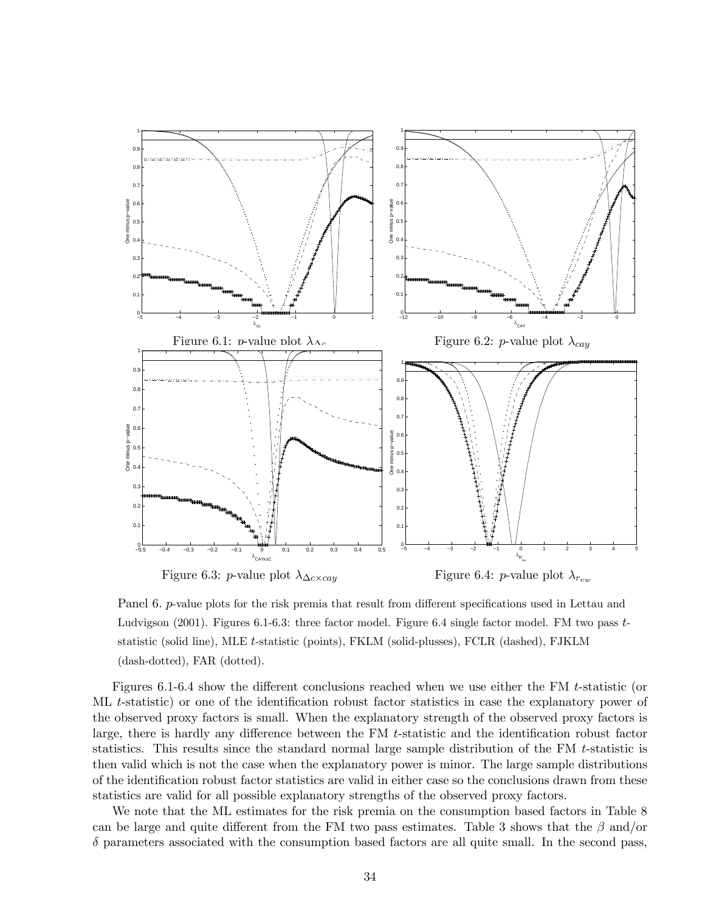

Panel 6. p-value plots for the risk premia that result from different specifications used in Lettau and Ludvigson (2001). Figures 6.1-6.3: three factor model. Figure 6.4 single factor model. FM two pass  $t$ statistic (solid line), MLE t-statistic (points), FKLM (solid-plusses), FCLR (dashed), FJKLM (dash-dotted), FAR (dotted).

Figures 6.1-6.4 show the different conclusions reached when we use either the FM t-statistic (or ML t-statistic) or one of the identification robust factor statistics in case the explanatory power of the observed proxy factors is small. When the explanatory strength of the observed proxy factors is large, there is hardly any difference between the FM t-statistic and the identification robust factor statistics. This results since the standard normal large sample distribution of the FM t-statistic is then valid which is not the case when the explanatory power is minor. The large sample distributions of the identification robust factor statistics are valid in either case so the conclusions drawn from these statistics are valid for all possible explanatory strengths of the observed proxy factors.

We note that the ML estimates for the risk premia on the consumption based factors in Table 8 can be large and quite different from the FM two pass estimates. Table 3 shows that the  $\beta$  and/or  $\delta$  parameters associated with the consumption based factors are all quite small. In the second pass,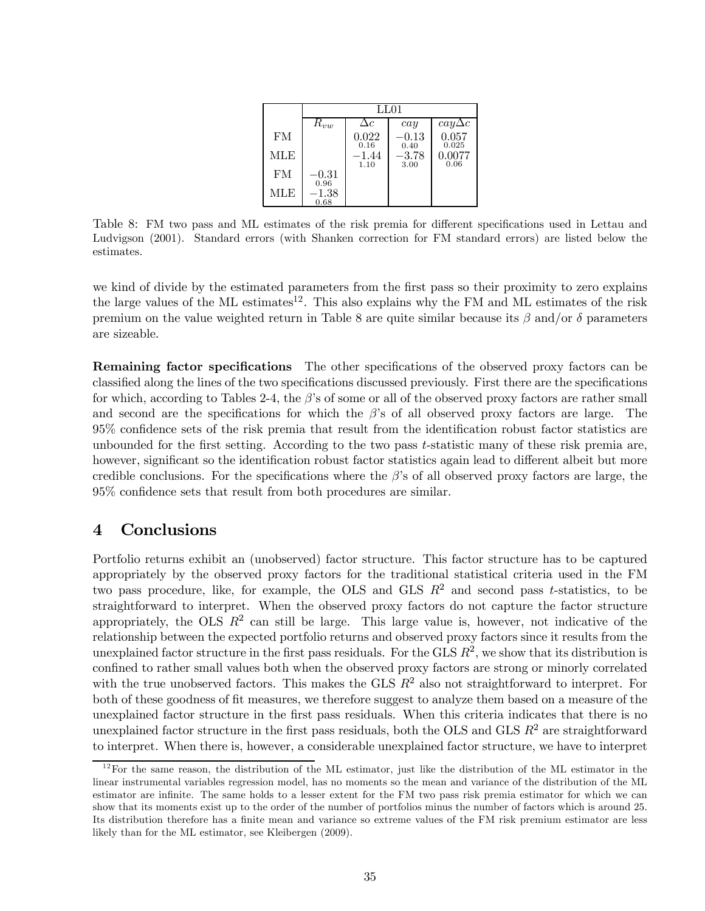|     | LL01               |               |                    |                     |  |  |  |  |  |
|-----|--------------------|---------------|--------------------|---------------------|--|--|--|--|--|
|     | $R_{vw}$           | $\Delta c$    | cay                | $\alpha y \Delta c$ |  |  |  |  |  |
| FM  |                    | 0.022<br>0.16 | $-0.13$<br>0.40    | 0.057<br>0.025      |  |  |  |  |  |
| MLE |                    | -1.44<br>1.10 | $^{-3.78}$<br>3.00 | 0.0077<br>0.06      |  |  |  |  |  |
| FM  | $-0.31\,$<br>0.96  |               |                    |                     |  |  |  |  |  |
| MLE | $^{-1.38}$<br>0.68 |               |                    |                     |  |  |  |  |  |

Table 8: FM two pass and ML estimates of the risk premia for different specifications used in Lettau and Ludvigson (2001). Standard errors (with Shanken correction for FM standard errors) are listed below the estimates.

we kind of divide by the estimated parameters from the first pass so their proximity to zero explains the large values of the ML estimates<sup>12</sup>. This also explains why the FM and ML estimates of the risk premium on the value weighted return in Table 8 are quite similar because its  $\beta$  and/or  $\delta$  parameters are sizeable.

Remaining factor specifications The other specifications of the observed proxy factors can be classified along the lines of the two specifications discussed previously. First there are the specifications for which, according to Tables 2-4, the  $\beta$ 's of some or all of the observed proxy factors are rather small and second are the specifications for which the  $\beta$ 's of all observed proxy factors are large. The 95% confidence sets of the risk premia that result from the identification robust factor statistics are unbounded for the first setting. According to the two pass  $t$ -statistic many of these risk premia are, however, significant so the identification robust factor statistics again lead to different albeit but more credible conclusions. For the specifications where the  $\beta$ 's of all observed proxy factors are large, the 95% confidence sets that result from both procedures are similar.

## 4 Conclusions

Portfolio returns exhibit an (unobserved) factor structure. This factor structure has to be captured appropriately by the observed proxy factors for the traditional statistical criteria used in the FM two pass procedure, like, for example, the OLS and GLS  $R^2$  and second pass t-statistics, to be straightforward to interpret. When the observed proxy factors do not capture the factor structure appropriately, the OLS  $R^2$  can still be large. This large value is, however, not indicative of the relationship between the expected portfolio returns and observed proxy factors since it results from the unexplained factor structure in the first pass residuals. For the GLS  $R^2$ , we show that its distribution is confined to rather small values both when the observed proxy factors are strong or minorly correlated with the true unobserved factors. This makes the GLS  $R^2$  also not straightforward to interpret. For both of these goodness of fit measures, we therefore suggest to analyze them based on a measure of the unexplained factor structure in the first pass residuals. When this criteria indicates that there is no unexplained factor structure in the first pass residuals, both the OLS and GLS  $R^2$  are straightforward to interpret. When there is, however, a considerable unexplained factor structure, we have to interpret

 $12$  For the same reason, the distribution of the ML estimator, just like the distribution of the ML estimator in the linear instrumental variables regression model, has no moments so the mean and variance of the distribution of the ML estimator are infinite. The same holds to a lesser extent for the FM two pass risk premia estimator for which we can show that its moments exist up to the order of the number of portfolios minus the number of factors which is around 25. Its distribution therefore has a finite mean and variance so extreme values of the FM risk premium estimator are less likely than for the ML estimator, see Kleibergen (2009).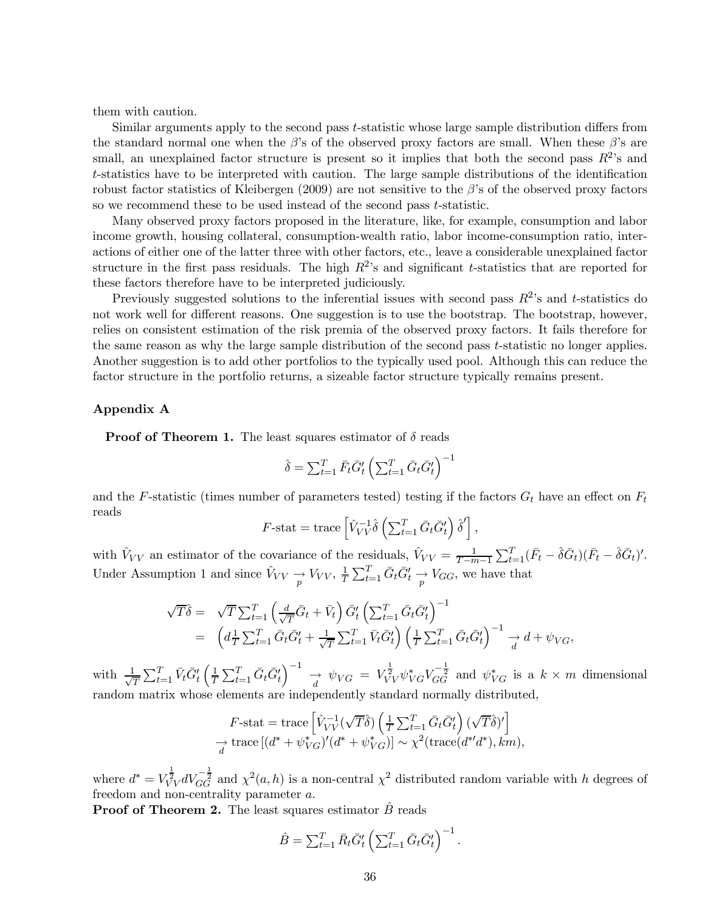them with caution.

Similar arguments apply to the second pass t-statistic whose large sample distribution differs from the standard normal one when the  $\beta$ 's of the observed proxy factors are small. When these  $\beta$ 's are small, an unexplained factor structure is present so it implies that both the second pass  $R^2$ 's and t-statistics have to be interpreted with caution. The large sample distributions of the identification robust factor statistics of Kleibergen (2009) are not sensitive to the  $\beta$ 's of the observed proxy factors so we recommend these to be used instead of the second pass t-statistic.

Many observed proxy factors proposed in the literature, like, for example, consumption and labor income growth, housing collateral, consumption-wealth ratio, labor income-consumption ratio, interactions of either one of the latter three with other factors, etc., leave a considerable unexplained factor structure in the first pass residuals. The high  $R^2$ 's and significant t-statistics that are reported for these factors therefore have to be interpreted judiciously.

Previously suggested solutions to the inferential issues with second pass  $R^2$ 's and t-statistics do not work well for different reasons. One suggestion is to use the bootstrap. The bootstrap, however, relies on consistent estimation of the risk premia of the observed proxy factors. It fails therefore for the same reason as why the large sample distribution of the second pass t-statistic no longer applies. Another suggestion is to add other portfolios to the typically used pool. Although this can reduce the factor structure in the portfolio returns, a sizeable factor structure typically remains present.

#### Appendix A

**Proof of Theorem 1.** The least squares estimator of  $\delta$  reads

$$
\hat{\delta} = \sum_{t=1}^{T} \bar{F}_t \bar{G}'_t \left( \sum_{t=1}^{T} \bar{G}_t \bar{G}'_t \right)^{-1}
$$

and the F-statistic (times number of parameters tested) testing if the factors  $G_t$  have an effect on  $F_t$ reads

$$
F\text{-stat} = \text{trace}\left[\hat{V}_{VV}^{-1}\hat{\delta}\left(\sum_{t=1}^T \bar{G}_t \bar{G}'_t\right)\hat{\delta}'\right],
$$

with  $V_{VV}$  an estimator of the covariance of the residuals,  $V_{VV} = \frac{1}{T-m-1} \sum_{t=1}^{T} (\bar{F}_t - \hat{\delta} \bar{G}_t)(\bar{F}_t - \hat{\delta} \bar{G}_t)'$ . Under Assumption 1 and since  $\hat{V}_{VV} \to V_{VV}, \frac{1}{T} \sum_{t=1}^{T} \bar{G}_t \bar{G}'_t \to V_{GG}$ , we have that

$$
\sqrt{T}\hat{\delta} = \sqrt{T} \sum_{t=1}^{T} \left( \frac{d}{\sqrt{T}} \bar{G}_t + \bar{V}_t \right) \bar{G}'_t \left( \sum_{t=1}^{T} \bar{G}_t \bar{G}'_t \right)^{-1} \n= \left( d_{\overline{T}}^{\perp} \sum_{t=1}^{T} \bar{G}_t \bar{G}'_t + \frac{1}{\sqrt{T}} \sum_{t=1}^{T} \bar{V}_t \bar{G}'_t \right) \left( \frac{1}{T} \sum_{t=1}^{T} \bar{G}_t \bar{G}'_t \right)^{-1} \xrightarrow[d \to \psi_{VG},
$$

with  $\frac{1}{\sqrt{2}}$  $\frac{1}{T}\sum_{t=1}^T \bar{V}_t \bar{G}'_t \left(\frac{1}{T}\right)$  $\frac{1}{T}\sum_{t=1}^T \bar{G}_t \bar{G}'_t \Big)^{-1} \rightarrow \psi_{VG} = V_{VV}^{\frac{1}{2}} \psi_{VG}^* V_{GG}^{-\frac{1}{2}}$  and  $\psi_{VG}^*$  is a  $k \times m$  dimensional random matrix whose elements are independently standard normally distributed,

$$
F\text{-stat} = \text{trace}\left[\hat{V}_{VV}^{-1}(\sqrt{T}\hat{\delta})\left(\frac{1}{T}\sum_{t=1}^{T}\bar{G}_{t}\bar{G}_{t}'\right)(\sqrt{T}\hat{\delta})'\right]
$$

$$
\rightarrow \text{trace}\left[(d^* + \psi_{VG}^*)'(d^* + \psi_{VG}^*)\right] \sim \chi^2(\text{trace}(d^{*'}d^*), km),
$$

where  $d^* = V_{VV}^{\frac{1}{2}} dV_{GG}^{-\frac{1}{2}}$  and  $\chi^2(a, h)$  is a non-central  $\chi^2$  distributed random variable with h degrees of freedom and non-centrality parameter a.

**Proof of Theorem 2.** The least squares estimator  $B$  reads

$$
\hat{B} = \sum_{t=1}^{T} \bar{R}_t \bar{G}'_t \left( \sum_{t=1}^{T} \bar{G}_t \bar{G}'_t \right)^{-1}.
$$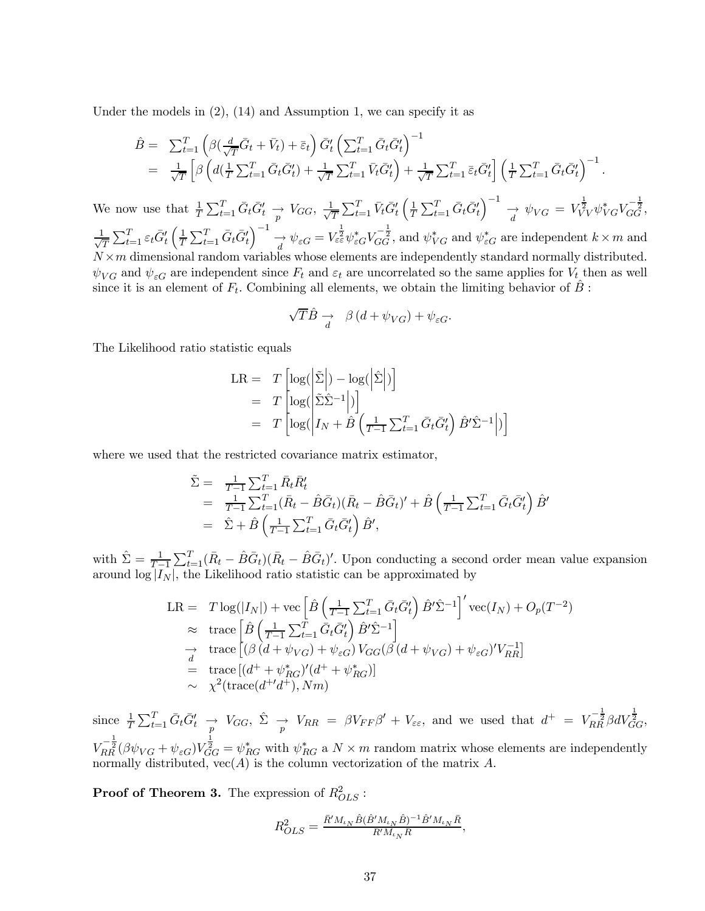Under the models in  $(2)$ ,  $(14)$  and Assumption 1, we can specify it as

$$
\hat{B} = \sum_{t=1}^{T} \left( \beta \left( \frac{d}{\sqrt{T}} \overline{G}_t + \overline{V}_t \right) + \overline{\varepsilon}_t \right) \overline{G}'_t \left( \sum_{t=1}^{T} \overline{G}_t \overline{G}'_t \right)^{-1} \n= \frac{1}{\sqrt{T}} \left[ \beta \left( d \left( \frac{1}{T} \sum_{t=1}^{T} \overline{G}_t \overline{G}'_t \right) + \frac{1}{\sqrt{T}} \sum_{t=1}^{T} \overline{V}_t \overline{G}'_t \right) + \frac{1}{\sqrt{T}} \sum_{t=1}^{T} \overline{\varepsilon}_t \overline{G}'_t \right] \left( \frac{1}{T} \sum_{t=1}^{T} \overline{G}_t \overline{G}'_t \right)^{-1} .
$$

We now use that  $\frac{1}{T} \sum_{t=1}^{T} \bar{G}_t \bar{G}'_t \rightarrow V_{GG}, \frac{1}{\sqrt{2}}$  $\frac{1}{T}\sum_{t=1}^T \bar{V}_t \bar{G}'_t\left(\frac{1}{T}\right)$  $\frac{1}{T} \sum_{t=1}^{T} \bar{G}_t \bar{G}'_t \Big)^{-1} \rightarrow \psi_{VG} = V_{VV}^{\frac{1}{2}} \psi_{VG}^* V_{GG}^{-\frac{1}{2}},$  $\frac{1}{\sqrt{2}}$  $\frac{1}{T}\sum_{t=1}^T \varepsilon_t \bar{G}'_t \left(\frac{1}{T}\right)$  $\frac{1}{T} \sum_{t=1}^{T} \bar{G}_t \bar{G}'_t \Big)^{-1} \xrightarrow[d]{\psi} \psi_{\varepsilon G} = V_{\varepsilon \varepsilon}^{\frac{1}{2}} \psi_{\varepsilon G}^* V_{GG}^{-\frac{1}{2}}$ , and  $\psi_{VG}^*$  and  $\psi_{\varepsilon G}^*$  are independent  $k \times m$  and  $N\times m$  dimensional random variables whose elements are independently standard normally distributed.  $\psi_{VG}$  and  $\psi_{\varepsilon G}$  are independent since  $F_t$  and  $\varepsilon_t$  are uncorrelated so the same applies for  $V_t$  then as well since it is an element of  $F_t$ . Combining all elements, we obtain the limiting behavior of B :

$$
\sqrt{T}\hat{B} \underset{d}{\rightarrow} \beta (d + \psi_{VG}) + \psi_{\varepsilon G}.
$$

The Likelihood ratio statistic equals

$$
LR = T \left[ \log \left( \left| \tilde{\Sigma} \right| \right) - \log \left( \left| \tilde{\Sigma} \right| \right) \right]
$$
  
=  $T \left[ \log \left( \left| \tilde{\Sigma} \tilde{\Sigma}^{-1} \right| \right) \right]$   
=  $T \left[ \log \left( \left| I_N + \hat{B} \left( \frac{1}{T-1} \sum_{t=1}^T \bar{G}_t \bar{G}_t' \right) \hat{B}' \hat{\Sigma}^{-1} \right| \right) \right]$ 

where we used that the restricted covariance matrix estimator,

$$
\tilde{\Sigma} = \frac{1}{T-1} \sum_{t=1}^{T} \bar{R}_t \bar{R}'_t \n= \frac{1}{T-1} \sum_{t=1}^{T} (\bar{R}_t - \hat{B}\bar{G}_t)(\bar{R}_t - \hat{B}\bar{G}_t)' + \hat{B} \left(\frac{1}{T-1} \sum_{t=1}^{T} \bar{G}_t \bar{G}'_t\right) \hat{B}' \n= \hat{\Sigma} + \hat{B} \left(\frac{1}{T-1} \sum_{t=1}^{T} \bar{G}_t \bar{G}'_t\right) \hat{B}',
$$

with  $\hat{\Sigma} = \frac{1}{T-1} \sum_{t=1}^{T} (\bar{R}_t - \hat{B}\bar{G}_t)(\bar{R}_t - \hat{B}\bar{G}_t)'$ . Upon conducting a second order mean value expansion around  $\log |I_N|$ , the Likelihood ratio statistic can be approximated by

$$
LR = T \log(|I_N|) + \text{vec}\left[\hat{B}\left(\frac{1}{T-1}\sum_{t=1}^T \bar{G}_t \bar{G}'_t\right) \hat{B}' \hat{\Sigma}^{-1}\right]' \text{vec}(I_N) + O_p(T^{-2})
$$
  
\n
$$
\approx \text{trace}\left[\hat{B}\left(\frac{1}{T-1}\sum_{t=1}^T \bar{G}_t \bar{G}'_t\right) \hat{B}' \hat{\Sigma}^{-1}\right]
$$
  
\n
$$
\rightarrow \text{trace}\left[(\beta (d + \psi_{VG}) + \psi_{\varepsilon G}) V_{GG} (\beta (d + \psi_{VG}) + \psi_{\varepsilon G})' V_{RR}^{-1}\right]
$$
  
\n
$$
= \text{trace}\left[(d^+ + \psi_{RG}^*)'(d^+ + \psi_{RG}^*)\right]
$$
  
\n
$$
\sim \chi^2(\text{trace}(d^{+'}d^+), Nm)
$$

since  $\frac{1}{T} \sum_{t=1}^{T} \bar{G}_t \bar{G}'_t \rightarrow V_{GG}, \hat{\Sigma} \rightarrow V_{RR} = \beta V_{FF} \beta' + V_{\epsilon \epsilon}$ , and we used that  $d^+ = V_{RR}^{-\frac{1}{2}} \beta dV_{GG}^{\frac{1}{2}}$ ,  $V_{RR}^{-\frac{1}{2}}(\beta\psi_{VG}+\psi_{\varepsilon G})V_{GG}^{\frac{1}{2}}=\psi_{RG}^*$  with  $\psi_{RG}^*$  a  $N\times m$  random matrix whose elements are independently normally distributed,  $vec(A)$  is the column vectorization of the matrix A.

**Proof of Theorem 3.** The expression of  $R_{OLS}^2$ :

R2

$$
R_{OLS}^2 = \frac{\bar{R}' M_{\iota_N} \hat{B} (\hat{B}' M_{\iota_N} \hat{B})^{-1} \hat{B}' M_{\iota_N} \bar{R}}{\bar{R}' M_{\iota_N} \bar{R}},
$$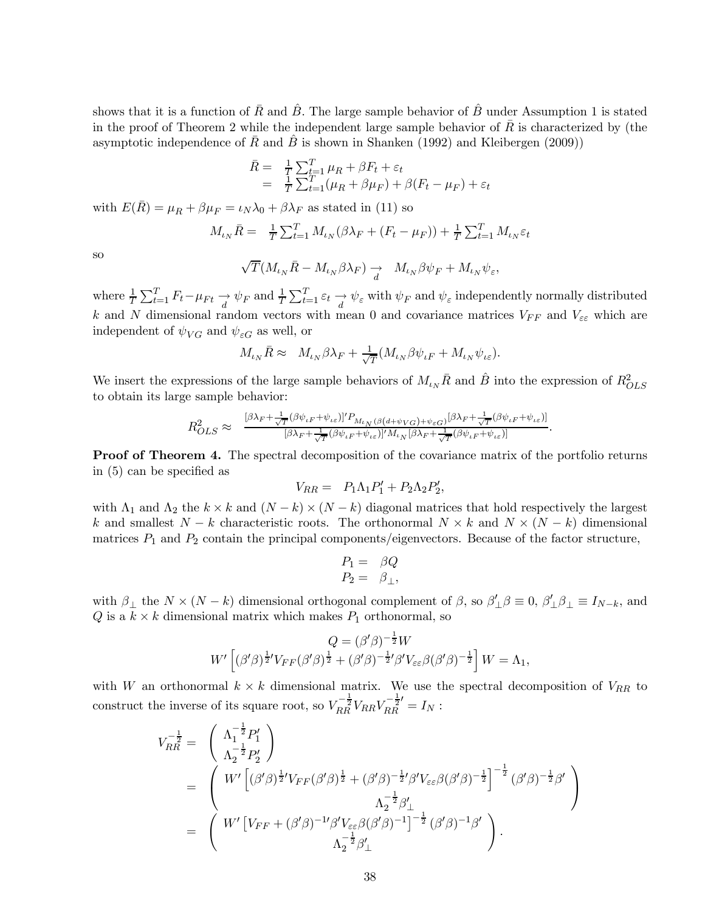shows that it is a function of  $\bar{R}$  and  $\hat{B}$ . The large sample behavior of  $\hat{B}$  under Assumption 1 is stated in the proof of Theorem 2 while the independent large sample behavior of  $\bar{R}$  is characterized by (the asymptotic independence of  $\overline{R}$  and  $\overline{B}$  is shown in Shanken (1992) and Kleibergen (2009))

$$
\begin{array}{rcl}\n\bar{R} &=& \frac{1}{T} \sum_{t=1}^{T} \mu_R + \beta F_t + \varepsilon_t \\
&=& \frac{1}{T} \sum_{t=1}^{T} (\mu_R + \beta \mu_F) + \beta (F_t - \mu_F) + \varepsilon_t\n\end{array}
$$

with  $E(\bar{R}) = \mu_R + \beta \mu_F = \iota_N \lambda_0 + \beta \lambda_F$  as stated in (11) so

$$
M_{\iota_N} \bar{R} = \frac{1}{T} \sum_{t=1}^T M_{\iota_N} (\beta \lambda_F + (F_t - \mu_F)) + \frac{1}{T} \sum_{t=1}^T M_{\iota_N} \varepsilon_t
$$

so

$$
\sqrt{T} \big( M_{\iota_N} \bar{R} - M_{\iota_N} \beta \lambda_F \big) \underset{d}{\rightarrow} \quad M_{\iota_N} \beta \psi_F + M_{\iota_N} \psi_{\varepsilon},
$$

where  $\frac{1}{T} \sum_{t=1}^T F_t - \mu_{Ft} \longrightarrow \psi_F$  and  $\frac{1}{T} \sum_{t=1}^T \varepsilon_t \longrightarrow \psi_{\varepsilon}$  with  $\psi_F$  and  $\psi_{\varepsilon}$  independently normally distributed k and N dimensional random vectors with mean 0 and covariance matrices  $V_{FF}$  and  $V_{\varepsilon\varepsilon}$  which are independent of  $\psi_{VG}$  and  $\psi_{\varepsilon G}$  as well, or

$$
M_{\iota_N} \bar{R} \approx M_{\iota_N} \beta \lambda_F + \frac{1}{\sqrt{T}} (M_{\iota_N} \beta \psi_{\iota F} + M_{\iota_N} \psi_{\iota \varepsilon}).
$$

We insert the expressions of the large sample behaviors of  $M_{\iota_N} \bar{R}$  and  $\hat{B}$  into the expression of  $R_{OLS}^2$ to obtain its large sample behavior:

$$
R_{OLS}^2 \approx \frac{[\beta \lambda_F + \frac{1}{\sqrt{T}} (\beta \psi_{\iota F} + \psi_{\iota \varepsilon})]' P_{M_{\iota_N}(\beta(d+\psi_{VG}) + \psi_{\varepsilon G})} [\beta \lambda_F + \frac{1}{\sqrt{T}} (\beta \psi_{\iota F} + \psi_{\iota \varepsilon})]}{[\beta \lambda_F + \frac{1}{\sqrt{T}} (\beta \psi_{\iota F} + \psi_{\iota \varepsilon})]' M_{\iota_N} [\beta \lambda_F + \frac{1}{\sqrt{T}} (\beta \psi_{\iota F} + \psi_{\iota \varepsilon})]}.
$$

**Proof of Theorem 4.** The spectral decomposition of the covariance matrix of the portfolio returns in (5) can be specified as

$$
V_{RR} = P_1 \Lambda_1 P_1' + P_2 \Lambda_2 P_2',
$$

with  $\Lambda_1$  and  $\Lambda_2$  the  $k \times k$  and  $(N-k) \times (N-k)$  diagonal matrices that hold respectively the largest k and smallest  $N - k$  characteristic roots. The orthonormal  $N \times k$  and  $N \times (N - k)$  dimensional matrices  $P_1$  and  $P_2$  contain the principal components/eigenvectors. Because of the factor structure,

$$
P_1 = \beta Q
$$
  

$$
P_2 = \beta_{\perp},
$$

with  $\beta_{\perp}$  the  $N \times (N - k)$  dimensional orthogonal complement of  $\beta$ , so  $\beta'_{\perp} \beta \equiv 0$ ,  $\beta'_{\perp} \beta_{\perp} \equiv I_{N-k}$ , and  $Q$  is a  $k \times k$  dimensional matrix which makes  $P_1$  orthonormal, so

$$
Q = (\beta'\beta)^{-\frac{1}{2}}W
$$
  

$$
W'\left[ (\beta'\beta)^{\frac{1}{2}}V_{FF}(\beta'\beta)^{\frac{1}{2}} + (\beta'\beta)^{-\frac{1}{2}}\beta'V_{\varepsilon\varepsilon}\beta(\beta'\beta)^{-\frac{1}{2}}\right]W = \Lambda_1,
$$

with W an orthonormal  $k \times k$  dimensional matrix. We use the spectral decomposition of  $V_{RR}$  to construct the inverse of its square root, so  $V_{RR}^{-\frac{1}{2}}V_{RR}V_{RR}^{-\frac{1}{2}'}=I_N$ :

$$
V_{RR}^{-\frac{1}{2}} = \begin{pmatrix} \Lambda_1^{-\frac{1}{2}} P_1' \\ \Lambda_2^{-\frac{1}{2}} P_2' \end{pmatrix}
$$
  
= 
$$
\begin{pmatrix} W' \left[ (\beta' \beta)^{\frac{1}{2}} V_{FF} (\beta' \beta)^{\frac{1}{2}} + (\beta' \beta)^{-\frac{1}{2}} \beta' V_{\varepsilon \varepsilon} \beta (\beta' \beta)^{-\frac{1}{2}} \right]^{-\frac{1}{2}} (\beta' \beta)^{-\frac{1}{2}} \beta' \\ \Lambda_2^{-\frac{1}{2}} \beta'_{\perp} \\ = \begin{pmatrix} W' \left[ V_{FF} + (\beta' \beta)^{-1} \beta' V_{\varepsilon \varepsilon} \beta (\beta' \beta)^{-1} \right]^{-\frac{1}{2}} (\beta' \beta)^{-1} \beta' \\ \Lambda_2^{-\frac{1}{2}} \beta'_{\perp} \end{pmatrix} .\end{pmatrix}
$$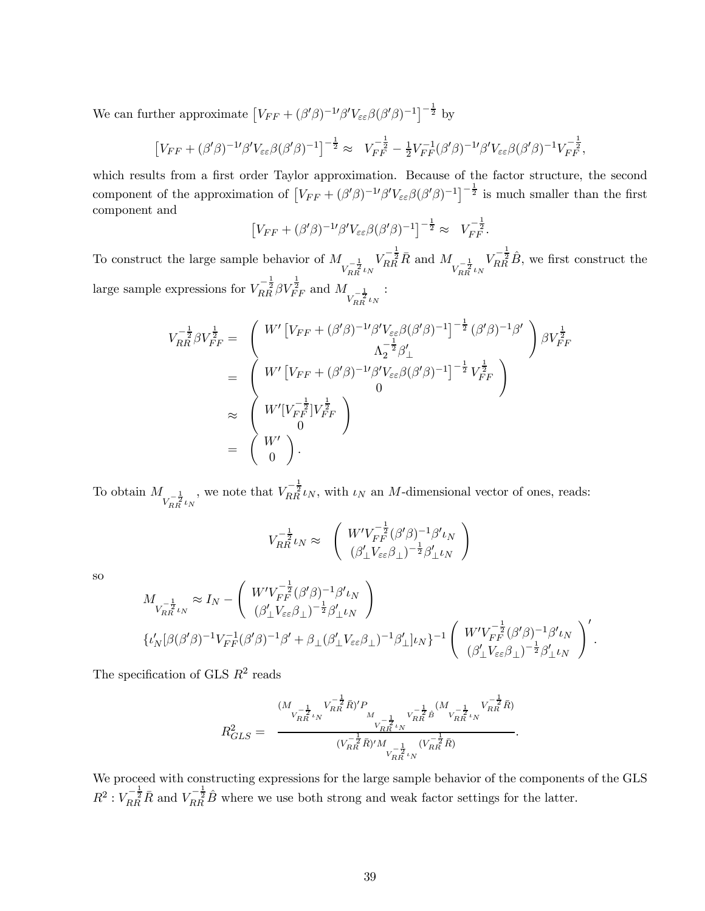We can further approximate  $[V_{FF} + (\beta'\beta)^{-1}\beta'V_{\varepsilon\varepsilon}\beta(\beta'\beta)^{-1}]^{-\frac{1}{2}}$  by

$$
\left[V_{FF} + (\beta'\beta)^{-1}\beta'V_{\varepsilon\varepsilon}\beta(\beta'\beta)^{-1}\right]^{-\frac{1}{2}} \approx V_{FF}^{-\frac{1}{2}} - \frac{1}{2}V_{FF}^{-1}(\beta'\beta)^{-1}\beta'V_{\varepsilon\varepsilon}\beta(\beta'\beta)^{-1}V_{FF}^{-\frac{1}{2}},
$$

which results from a first order Taylor approximation. Because of the factor structure, the second component of the approximation of  $[V_{FF} + (\beta'\beta)^{-1}\beta'V_{\epsilon\epsilon}\beta(\beta'\beta)^{-1}]^{-\frac{1}{2}}$  is much smaller than the first component and

$$
\left[V_{FF} + (\beta'\beta)^{-1}\beta'V_{\varepsilon\varepsilon}\beta(\beta'\beta)^{-1}\right]^{-\frac{1}{2}} \approx V_{FF}^{-\frac{1}{2}}.
$$

To construct the large sample behavior of  $M_{V_{RR}^{-\frac{1}{2}}\iota_N}$  $V_{RR}^{-\frac{1}{2}}\bar{R}$  and  $M_{V_{RR}^{-\frac{1}{2}}\iota_N}$  $V_{RR}^{-\frac{1}{2}}\hat{B}$ , we first construct the large sample expressions for  $V_{RR}^{-\frac{1}{2}} \beta V_{FF}^{\frac{1}{2}}$  and  $M_{V_{RR}^{-\frac{1}{2}} \iota_N}$ :

$$
V_{RR}^{-\frac{1}{2}} \beta V_{FF}^{\frac{1}{2}} = \begin{pmatrix} W' \left[ V_{FF} + (\beta' \beta)^{-1} \beta' V_{\varepsilon \varepsilon} \beta (\beta' \beta)^{-1} \right]^{-\frac{1}{2}} (\beta' \beta)^{-1} \beta' \\ \Lambda_2^{-\frac{1}{2}} \beta'_{\perp} \\ = \begin{pmatrix} W' \left[ V_{FF} + (\beta' \beta)^{-1} \beta' V_{\varepsilon \varepsilon} \beta (\beta' \beta)^{-1} \right]^{-\frac{1}{2}} V_{FF}^{\frac{1}{2}} \\ 0 \\ W' \left[ V_{FF} + (\beta' \beta)^{-1} \beta' V_{\varepsilon \varepsilon} \beta (\beta' \beta)^{-1} \right]^{-\frac{1}{2}} V_{FF}^{\frac{1}{2}} \\ 0 \\ \widetilde{W}' \left[ V_{FF}^{-\frac{1}{2}} \right] V_{FF}^{\frac{1}{2}} \\ 0 \\ \end{pmatrix} \\ = \begin{pmatrix} W' \\ W' \\ 0 \end{pmatrix}.
$$

To obtain  $M_{V_{RR}^{-\frac{1}{2}}\iota_N}$ , we note that  $V_{RR}^{-\frac{1}{2}}\iota_N$ , with  $\iota_N$  an M-dimensional vector of ones, reads:

$$
V_{RR}^{-\frac{1}{2}}\iota_N \approx \begin{pmatrix} W'V_{FF}^{-\frac{1}{2}}(\beta'\beta)^{-1}\beta'\iota_N\\ (\beta'_\perp V_{\varepsilon\varepsilon}\beta_\perp)^{-\frac{1}{2}}\beta'_\perp \iota_N \end{pmatrix}
$$

so

$$
M_{V_{RR}^{-\frac{1}{2}}\iota_N} \approx I_N - \begin{pmatrix} W'V_{FF}^{-\frac{1}{2}}(\beta'\beta)^{-1}\beta'\iota_N \\ (\beta'_\perp V_{\varepsilon\varepsilon}\beta_\perp)^{-\frac{1}{2}}\beta'_\perp \iota_N \end{pmatrix}
$$
  

$$
\{\iota'_N[\beta(\beta'\beta)^{-1}V_{FF}^{-1}(\beta'\beta)^{-1}\beta' + \beta_\perp(\beta'_\perp V_{\varepsilon\varepsilon}\beta_\perp)^{-1}\beta'_\perp]\iota_N\}^{-1} \begin{pmatrix} W'V_{FF}^{-\frac{1}{2}}(\beta'\beta)^{-1}\beta'\iota_N \\ (\beta'_\perp V_{\varepsilon\varepsilon}\beta_\perp)^{-\frac{1}{2}}\beta'_\perp \iota_N \end{pmatrix}'.
$$

The specification of GLS  $R^2$  reads

$$
R_{GLS}^2 = \frac{(M_{\stackrel{-\frac{1}{2}}{VRR} \stackrel{1}{\iota} N})'P_{\stackrel{M}{IR} \stackrel{-\frac{1}{2}}{N}}}{(V_{RR}^{-\frac{1}{2}} \tilde{R})'M_{\stackrel{-\frac{1}{2}}{V_{RR}^{-\frac{1}{2}} \iota} N}} \frac{V_{RR}^{-\frac{1}{2}}}{(V_{RR}^{-\frac{1}{2}} \tilde{R})'M_{\stackrel{-\frac{1}{2}}{V_{RR}^{-\frac{1}{2}} \iota} N}} \cdot \frac{V_{RR}^{-\frac{1}{2}} \tilde{R})}{V_{RR}^{-\frac{1}{2}} \iota N}}.
$$

We proceed with constructing expressions for the large sample behavior of the components of the GLS  $R^2: V_{RR}^{-\frac{1}{2}}\overline{R}$  and  $V_{RR}^{-\frac{1}{2}}\hat{B}$  where we use both strong and weak factor settings for the latter.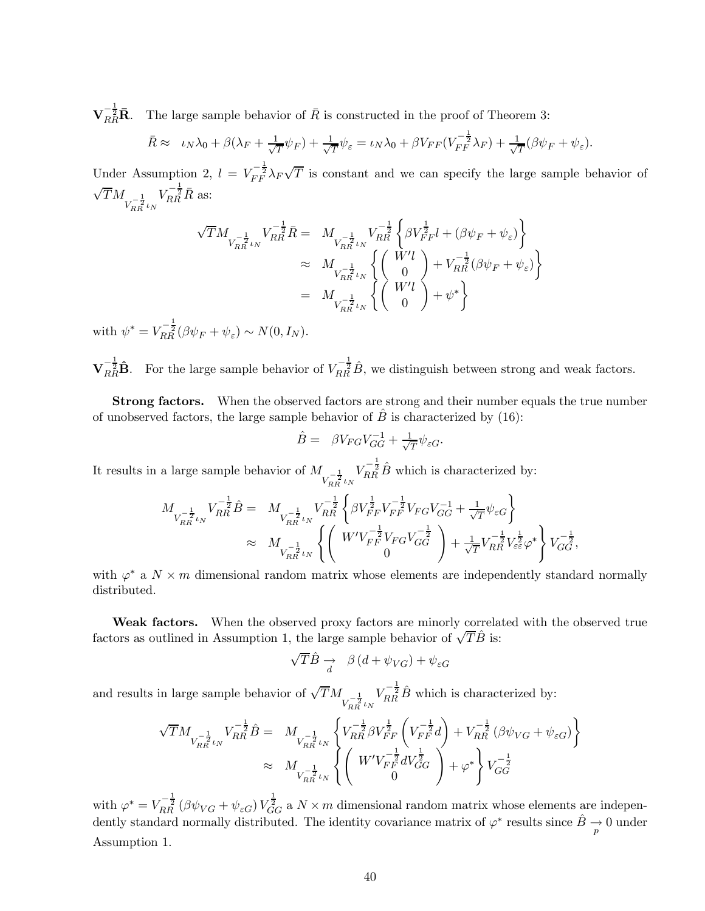$\mathbf{V}_{RR}^{-\frac{1}{2}}\mathbf{\bar{R}}$ . The large sample behavior of  $\bar{R}$  is constructed in the proof of Theorem 3:

$$
\bar{R} \approx \iota_N \lambda_0 + \beta(\lambda_F + \frac{1}{\sqrt{T}}\psi_F) + \frac{1}{\sqrt{T}}\psi_{\varepsilon} = \iota_N \lambda_0 + \beta V_{FF}(V_{FF}^{-\frac{1}{2}}\lambda_F) + \frac{1}{\sqrt{T}}(\beta\psi_F + \psi_{\varepsilon}).
$$

Under Assumption 2,  $l = V_{FF}^{-\frac{1}{2}} \lambda_F \sqrt{T}$  is constant and we can specify the large sample behavior of  $\sqrt{T}M_{V_{RR}^{-\frac{1}{2}}\iota_N}$  $V_{RR}^{-\frac{1}{2}}\bar{R}$  as:

$$
\begin{array}{lll} \sqrt{T} M_{V_{RR}^{-\frac{1}{2}}U_{N}^{-\frac{1}{2}}\bar{R}}&=&M_{V_{RR}^{-\frac{1}{2}}U_{N}^{-\frac{1}{2}}}\begin{Bmatrix} -\frac{1}{2} \left\{\beta V_{FF}^{\frac{1}{2}}l+(\beta\psi_{F}+\psi_{\varepsilon})\right\} \\ & \approx &M_{V_{RR}^{-\frac{1}{2}}\iota_{N}}\end{Bmatrix} \left\{\begin{pmatrix} W'l \\ 0 \end{pmatrix}+V_{RR}^{-\frac{1}{2}}(\beta\psi_{F}+\psi_{\varepsilon})\right\}\\ &=&M_{V_{RR}^{-\frac{1}{2}}\iota_{N}}\begin{Bmatrix} W'l \\ 0 \end{Bmatrix}+\psi^{*}\bigg\} \end{array}
$$

with  $\psi^* = V_{RR}^{-\frac{1}{2}} (\beta \psi_F + \psi_{\varepsilon}) \sim N(0, I_N)$ .

 $\mathbf{V}_{RR}^{-\frac{1}{2}}\hat{\mathbf{B}}$ . For the large sample behavior of  $V_{RR}^{-\frac{1}{2}}\hat{B}$ , we distinguish between strong and weak factors.

Strong factors. When the observed factors are strong and their number equals the true number of unobserved factors, the large sample behavior of  $\hat{B}$  is characterized by (16):

$$
\hat{B} = \beta V_{FG} V_{GG}^{-1} + \frac{1}{\sqrt{T}} \psi_{\varepsilon G}.
$$

It results in a large sample behavior of  $M_{\tilde{V}_{RR}^{-\frac{1}{2}} \iota_N}$  $V_{RR}^{-\frac{1}{2}}\hat{B}$  which is characterized by:

$$
\begin{array}{ll} M_{V_{RR}^{-\frac{1}{2}} \iota_N} V_{RR}^{-\frac{1}{2}} \hat{B} = & M_{V_{RR}^{-\frac{1}{2}} \iota_N} V_{RR}^{-\frac{1}{2}} \left\{ \beta V_{FF}^{\frac{1}{2}} V_{FF}^{-\frac{1}{2}} V_{FG} V_{GG}^{-1} + \frac{1}{\sqrt{T}} \psi_{\varepsilon G} \right\} \\ & \approx & M_{V_{RR}^{-\frac{1}{2}} \iota_N} \left\{ \left( \begin{array}{c} W' V_{FF}^{-\frac{1}{2}} V_{FG} V_{GG}^{-\frac{1}{2}} \\ 0 \end{array} \right) + \frac{1}{\sqrt{T}} V_{RR}^{-\frac{1}{2}} V_{\varepsilon \varepsilon}^{\frac{1}{2}} \varphi^* \right\} V_{GG}^{-\frac{1}{2}}, \end{array}
$$

with  $\varphi^*$  a  $N \times m$  dimensional random matrix whose elements are independently standard normally distributed.

Weak factors. When the observed proxy factors are minorly correlated with the observed true factors as outlined in Assumption 1, the large sample behavior of  $\sqrt{T}\hat{B}$  is:

$$
\sqrt{T}\hat{B} \underset{d}{\rightarrow} \beta (d + \psi_{VG}) + \psi_{\varepsilon G}
$$

and results in large sample behavior of  $\sqrt{T}M_{V_{RR}^{-\frac{1}{2}}\iota_N}$  $V_{RR}^{-\frac{1}{2}}\hat{B}$  which is characterized by:

$$
\begin{split} \sqrt{T} M_{V_{RR}^{-\frac{1}{2}} \iota_N} V_{RR}^{-\frac{1}{2}} \hat{B} &= M_{V_{RR}^{-\frac{1}{2}} \iota_N} \left\{ V_{RR}^{-\frac{1}{2}} \beta V_{FF}^{\frac{1}{2}} \left( V_{FF}^{-\frac{1}{2}} d \right) + V_{RR}^{-\frac{1}{2}} \left( \beta \psi_{VG} + \psi_{\varepsilon G} \right) \right\} \\ &\approx M_{V_{RR}^{-\frac{1}{2}} \iota_N} \left\{ \left( \begin{array}{c} W' V_{FF}^{-\frac{1}{2}} d V_{GG}^{\frac{1}{2}} \\ 0 \end{array} \right) + \varphi^* \right\} V_{GG}^{-\frac{1}{2}} \end{split}
$$

with  $\varphi^* = V_{RR}^{-\frac{1}{2}} (\beta \psi_{VG} + \psi_{\varepsilon G}) V_{GG}^{\frac{1}{2}}$  a  $N \times m$  dimensional random matrix whose elements are independently standard normally distributed. The identity covariance matrix of  $\varphi^*$  results since  $\hat{B} \to 0$  under Assumption 1.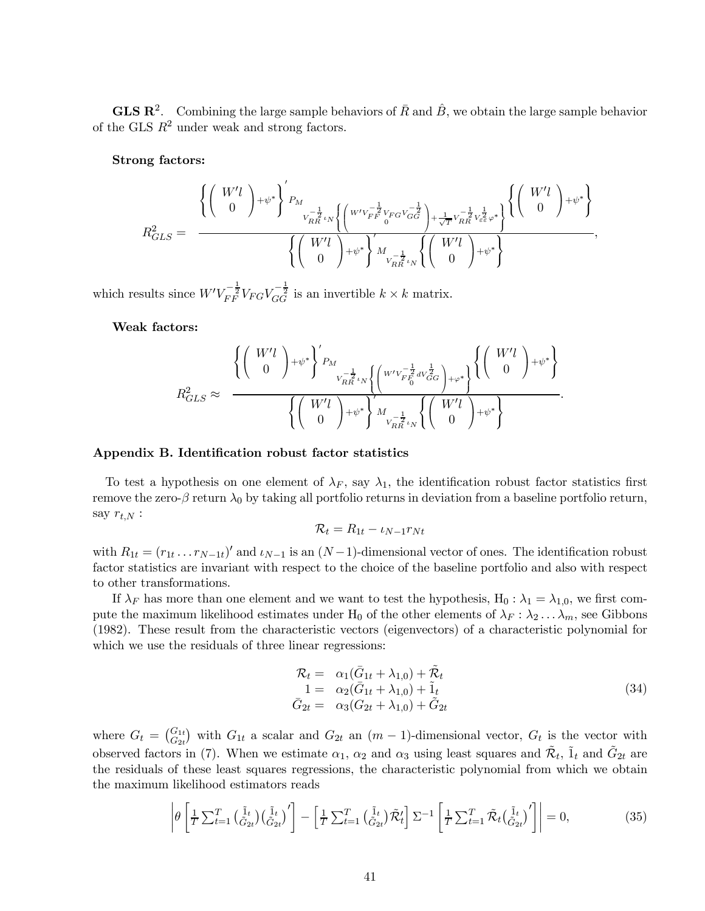**GLS R<sup>2</sup>.** Combining the large sample behaviors of  $\bar{R}$  and  $\hat{B}$ , we obtain the large sample behavior of the GLS  $R^2$  under weak and strong factors.

Strong factors:

$$
R_{GLS}^2 = \frac{\left\{\left(\begin{array}{c} W'l \\ 0 \end{array}\right) + \psi^*\right\}'_{P_M} }{\left\{\left(\begin{array}{c} W'l \\ 0 \end{array}\right) + \psi^*\right\} \left[\left(\begin{array}{c} W'v_{FR}^{-\frac{1}{2}}v_{FG}v_{GG}^{-\frac{1}{2}} \\ V_{RR}^{-\frac{1}{2}}v_{FG}^{-\frac{1}{2}} \\ \sqrt{\frac{1}{T}}v_{RR}^{-\frac{1}{2}}v_{\varepsilon}^2\varphi^*\right}\right\}\left\{\left(\begin{array}{c} W'l \\ 0 \end{array}\right) + \psi^*\right\}}{\left\{\left(\begin{array}{c} W'l \\ 0 \end{array}\right) + \psi^*\right\} \left[\left(\begin{array}{c} W'l \\ 0 \end{array}\right) + \psi^*\right\}},
$$

which results since  $W'V_{FF}^{-\frac{1}{2}}V_{FG}V_{GG}^{-\frac{1}{2}}$  is an invertible  $k \times k$  matrix.

Weak factors:

$$
R_{GLS}^2 \approx \frac{\left\{ \begin{pmatrix} W'l \\ 0 \end{pmatrix} + \psi^* \right\}'_{P_M} \frac{1}{V_{RR}^{-\frac{1}{2}} V_{M} \left\{ \begin{pmatrix} W'l \bar{r}_{F}^{-\frac{1}{2}} d V_{GG}^{\frac{1}{2}} \\ W^{I} \end{pmatrix} + \varphi^* \right\} \left\{ \begin{pmatrix} W'l \\ 0 \end{pmatrix} + \psi^* \right\}}{\left\{ \begin{pmatrix} W'l \\ 0 \end{pmatrix} + \psi^* \right\}'_{V_{RR}^{-\frac{1}{2}} V_{M}} \left\{ \begin{pmatrix} W'l \\ 0 \end{pmatrix} + \psi^* \right\}}.
$$

#### Appendix B. Identification robust factor statistics

To test a hypothesis on one element of  $\lambda_F$ , say  $\lambda_1$ , the identification robust factor statistics first remove the zero- $\beta$  return  $\lambda_0$  by taking all portfolio returns in deviation from a baseline portfolio return, say  $r_{t,N}$ :

$$
\mathcal{R}_t = R_{1t} - \iota_{N-1} r_{Nt}
$$

with  $R_{1t} = (r_{1t} \dots r_{N-1t})'$  and  $\iota_{N-1}$  is an  $(N-1)$ -dimensional vector of ones. The identification robust factor statistics are invariant with respect to the choice of the baseline portfolio and also with respect to other transformations.

If  $\lambda_F$  has more than one element and we want to test the hypothesis, H<sub>0</sub> :  $\lambda_1 = \lambda_{1,0}$ , we first compute the maximum likelihood estimates under H<sub>0</sub> of the other elements of  $\lambda_F : \lambda_2 \dots \lambda_m$ , see Gibbons (1982). These result from the characteristic vectors (eigenvectors) of a characteristic polynomial for which we use the residuals of three linear regressions:

$$
\mathcal{R}_t = \alpha_1(\bar{G}_{1t} + \lambda_{1,0}) + \tilde{\mathcal{R}}_t \n1 = \alpha_2(\bar{G}_{1t} + \lambda_{1,0}) + \tilde{1}_t \n\bar{G}_{2t} = \alpha_3(G_{2t} + \lambda_{1,0}) + \tilde{G}_{2t}
$$
\n(34)

where  $G_t = \begin{pmatrix} G_{1t} \\ G_{2t} \end{pmatrix}$  with  $G_{1t}$  a scalar and  $G_{2t}$  an  $(m-1)$ -dimensional vector,  $G_t$  is the vector with observed factors in (7). When we estimate  $\alpha_1$ ,  $\alpha_2$  and  $\alpha_3$  using least squares and  $\tilde{\mathcal{R}}_t$ ,  $\tilde{1}_t$  and  $\tilde{G}_{2t}$  are the residuals of these least squares regressions, the characteristic polynomial from which we obtain the maximum likelihood estimators reads

$$
\left| \theta \left[ \frac{1}{T} \sum_{t=1}^{T} \left( \tilde{G}_{2t}^{i} \right) \left( \tilde{G}_{2t}^{i} \right)' \right] - \left[ \frac{1}{T} \sum_{t=1}^{T} \left( \tilde{G}_{2t}^{i} \right) \tilde{\mathcal{R}}'_{t} \right] \Sigma^{-1} \left[ \frac{1}{T} \sum_{t=1}^{T} \tilde{\mathcal{R}}_{t} \left( \tilde{G}_{2t}^{i} \right)' \right] \right| = 0, \tag{35}
$$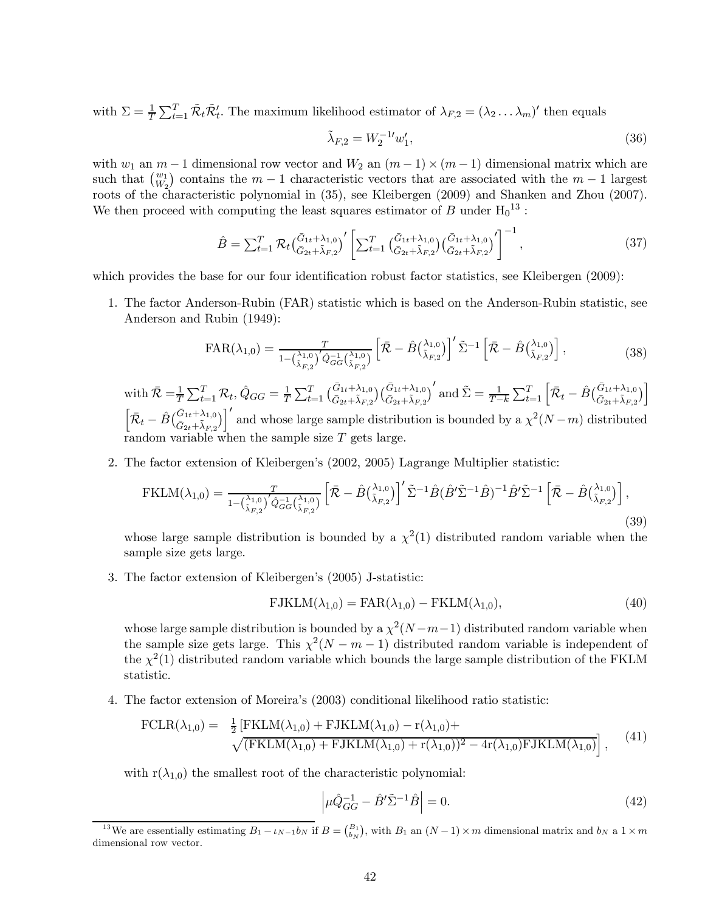with  $\Sigma = \frac{1}{T} \sum_{t=1}^{T} \tilde{\mathcal{R}}_t \tilde{\mathcal{R}}_t'$ . The maximum likelihood estimator of  $\lambda_{F,2} = (\lambda_2 \dots \lambda_m)'$  then equals

$$
\tilde{\lambda}_{F,2} = W_2^{-1} w_1',\tag{36}
$$

with  $w_1$  an  $m-1$  dimensional row vector and  $W_2$  an  $(m-1) \times (m-1)$  dimensional matrix which are such that  $\binom{w_1}{W_2}$  contains the  $m-1$  characteristic vectors that are associated with the  $m-1$  largest roots of the characteristic polynomial in (35), see Kleibergen (2009) and Shanken and Zhou (2007). We then proceed with computing the least squares estimator of  $B$  under  $H_0^{13}$ :

$$
\hat{B} = \sum_{t=1}^{T} \mathcal{R}_t \left( \frac{\bar{G}_{1t} + \lambda_{1,0}}{\bar{G}_{2t} + \tilde{\lambda}_{F,2}} \right)' \left[ \sum_{t=1}^{T} \left( \frac{\bar{G}_{1t} + \lambda_{1,0}}{\bar{G}_{2t} + \tilde{\lambda}_{F,2}} \right) \left( \frac{\bar{G}_{1t} + \lambda_{1,0}}{\bar{G}_{2t} + \tilde{\lambda}_{F,2}} \right)' \right]^{-1}, \tag{37}
$$

which provides the base for our four identification robust factor statistics, see Kleibergen (2009):

1. The factor Anderson-Rubin (FAR) statistic which is based on the Anderson-Rubin statistic, see Anderson and Rubin (1949):

$$
FAR(\lambda_{1,0}) = \frac{T}{1 - \left(\frac{\lambda_{1,0}}{\tilde{\lambda}_{F,2}}\right)' \hat{Q}_{GG}^{-1} \left(\frac{\lambda_{1,0}}{\tilde{\lambda}_{F,2}}\right)} \left[\bar{\mathcal{R}} - \hat{B} \left(\frac{\lambda_{1,0}}{\tilde{\lambda}_{F,2}}\right)\right]' \tilde{\Sigma}^{-1} \left[\bar{\mathcal{R}} - \hat{B} \left(\frac{\lambda_{1,0}}{\tilde{\lambda}_{F,2}}\right)\right],\tag{38}
$$

with  $\bar{\mathcal{R}} = \frac{1}{T} \sum_{t=1}^{T} \mathcal{R}_t$ ,  $\hat{Q}_{GG} = \frac{1}{T} \sum_{t=1}^{T} \left( \frac{\bar{G}_{1t} + \lambda_{1,0}}{\bar{G}_{2t} + \tilde{\lambda}_{F,2}} \right) \left( \frac{\bar{G}_{1t} + \lambda_{1,0}}{\bar{G}_{2t} + \tilde{\lambda}_{F,2}} \right)^t$  and  $\tilde{\Sigma} = \frac{1}{T-k} \sum_{t=1}^{T} \left[ \bar{\mathcal{R}}_t - \hat{B} \left( \frac{\bar{G}_{1t} + \$  $\left[\bar{\mathcal{R}}_t - \hat{B}(\bar{G}_{1t} + \lambda_{1,0})\right]'$  and whose large sample distribution is bounded by a  $\chi^2(N-m)$  distributed random variable when the sample size  $T$  gets large.

2. The factor extension of Kleibergen's (2002, 2005) Lagrange Multiplier statistic:

$$
\text{FKLM}(\lambda_{1,0}) = \frac{T}{1 - \left(\frac{\lambda_{1,0}}{\tilde{\lambda}_{F,2}}\right)' \hat{Q}_{GG}^{-1} \left(\frac{\lambda_{1,0}}{\tilde{\lambda}_{F,2}}\right)} \left[\bar{\mathcal{R}} - \hat{B} \left(\frac{\lambda_{1,0}}{\tilde{\lambda}_{F,2}}\right)\right]' \tilde{\Sigma}^{-1} \hat{B} (\hat{B}' \tilde{\Sigma}^{-1} \hat{B})^{-1} \hat{B}' \tilde{\Sigma}^{-1} \left[\bar{\mathcal{R}} - \hat{B} \left(\frac{\lambda_{1,0}}{\tilde{\lambda}_{F,2}}\right)\right],\tag{39}
$$

whose large sample distribution is bounded by a  $\chi^2(1)$  distributed random variable when the sample size gets large.

3. The factor extension of Kleibergen's (2005) J-statistic:

$$
FJKLM(\lambda_{1,0}) = FAR(\lambda_{1,0}) - FKLM(\lambda_{1,0}),
$$
\n(40)

whose large sample distribution is bounded by a  $\chi^2(N-m-1)$  distributed random variable when the sample size gets large. This  $\chi^2(N-m-1)$  distributed random variable is independent of the  $\chi^2(1)$  distributed random variable which bounds the large sample distribution of the FKLM statistic.

4. The factor extension of Moreira's (2003) conditional likelihood ratio statistic:

$$
\text{FCLR}(\lambda_{1,0}) = \frac{1}{2} \left[ \text{FKLM}(\lambda_{1,0}) + \text{FIKLM}(\lambda_{1,0}) - r(\lambda_{1,0}) + \\ \sqrt{(\text{FKLM}(\lambda_{1,0}) + \text{FIKLM}(\lambda_{1,0}) + r(\lambda_{1,0}))^2 - 4r(\lambda_{1,0}) \text{FIKLM}(\lambda_{1,0})} \right], \quad (41)
$$

with  $r(\lambda_{1,0})$  the smallest root of the characteristic polynomial:

$$
\left| \mu \hat{Q}_{GG}^{-1} - \hat{B}' \tilde{\Sigma}^{-1} \hat{B} \right| = 0. \tag{42}
$$

<sup>&</sup>lt;sup>13</sup>We are essentially estimating  $B_1 - \iota_{N-1} b_N$  if  $B = \binom{B_1}{b_N}$ , with  $B_1$  an  $(N-1) \times m$  dimensional matrix and  $b_N$  a  $1 \times m$ dimensional row vector.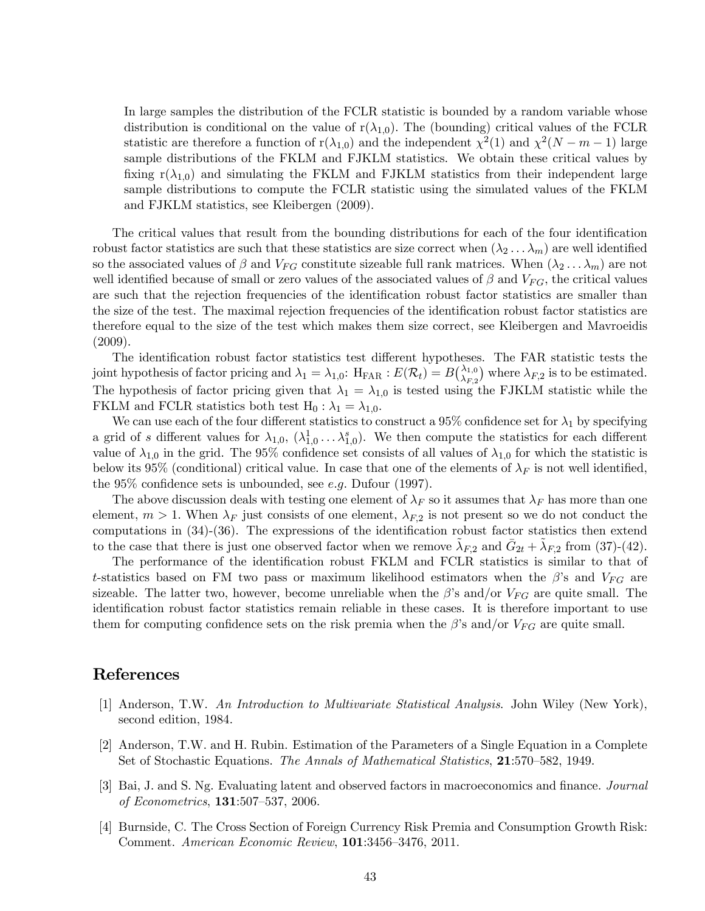In large samples the distribution of the FCLR statistic is bounded by a random variable whose distribution is conditional on the value of  $r(\lambda_{1,0})$ . The (bounding) critical values of the FCLR statistic are therefore a function of r( $\lambda_{1,0}$ ) and the independent  $\chi^2(1)$  and  $\chi^2(N-m-1)$  large sample distributions of the FKLM and FJKLM statistics. We obtain these critical values by fixing  $r(\lambda_{1,0})$  and simulating the FKLM and FJKLM statistics from their independent large sample distributions to compute the FCLR statistic using the simulated values of the FKLM and FJKLM statistics, see Kleibergen (2009).

The critical values that result from the bounding distributions for each of the four identification robust factor statistics are such that these statistics are size correct when  $(\lambda_2 \ldots \lambda_m)$  are well identified so the associated values of  $\beta$  and  $V_{FG}$  constitute sizeable full rank matrices. When  $(\lambda_2 \ldots \lambda_m)$  are not well identified because of small or zero values of the associated values of  $\beta$  and  $V_{FG}$ , the critical values are such that the rejection frequencies of the identification robust factor statistics are smaller than the size of the test. The maximal rejection frequencies of the identification robust factor statistics are therefore equal to the size of the test which makes them size correct, see Kleibergen and Mavroeidis (2009).

The identification robust factor statistics test different hypotheses. The FAR statistic tests the joint hypothesis of factor pricing and  $\lambda_1 = \lambda_{1,0}$ :  $H_{\text{FAR}}$  :  $E(\mathcal{R}_t) = B\begin{pmatrix} \lambda_{1,0} \\ \lambda_{F,2} \end{pmatrix}$  where  $\lambda_{F,2}$  is to be estimated. The hypothesis of factor pricing given that  $\lambda_1 = \lambda_{1,0}$  is tested using the FJKLM statistic while the FKLM and FCLR statistics both test H<sub>0</sub> :  $\lambda_1 = \lambda_{1,0}$ .

We can use each of the four different statistics to construct a 95% confidence set for  $\lambda_1$  by specifying a grid of s different values for  $\lambda_{1,0}, \ (\lambda_{1,0}^1 \ldots \lambda_{1,0}^s)$ . We then compute the statistics for each different value of  $\lambda_{1,0}$  in the grid. The 95% confidence set consists of all values of  $\lambda_{1,0}$  for which the statistic is below its 95% (conditional) critical value. In case that one of the elements of  $\lambda_F$  is not well identified, the 95% confidence sets is unbounded, see e.g. Dufour (1997).

The above discussion deals with testing one element of  $\lambda_F$  so it assumes that  $\lambda_F$  has more than one element,  $m > 1$ . When  $\lambda_F$  just consists of one element,  $\lambda_{F,2}$  is not present so we do not conduct the computations in (34)-(36). The expressions of the identification robust factor statistics then extend to the case that there is just one observed factor when we remove  $\lambda_{F,2}$  and  $G_{2t} + \lambda_{F,2}$  from (37)-(42).

The performance of the identification robust FKLM and FCLR statistics is similar to that of t-statistics based on FM two pass or maximum likelihood estimators when the  $\beta$ 's and  $V_{FG}$  are sizeable. The latter two, however, become unreliable when the  $\beta$ 's and/or  $V_{FG}$  are quite small. The identification robust factor statistics remain reliable in these cases. It is therefore important to use them for computing confidence sets on the risk premia when the  $\beta$ 's and/or  $V_{FG}$  are quite small.

## References

- [1] Anderson, T.W. An Introduction to Multivariate Statistical Analysis. John Wiley (New York), second edition, 1984.
- [2] Anderson, T.W. and H. Rubin. Estimation of the Parameters of a Single Equation in a Complete Set of Stochastic Equations. The Annals of Mathematical Statistics, 21:570—582, 1949.
- [3] Bai, J. and S. Ng. Evaluating latent and observed factors in macroeconomics and finance. Journal of Econometrics, 131:507—537, 2006.
- [4] Burnside, C. The Cross Section of Foreign Currency Risk Premia and Consumption Growth Risk: Comment. American Economic Review, 101:3456—3476, 2011.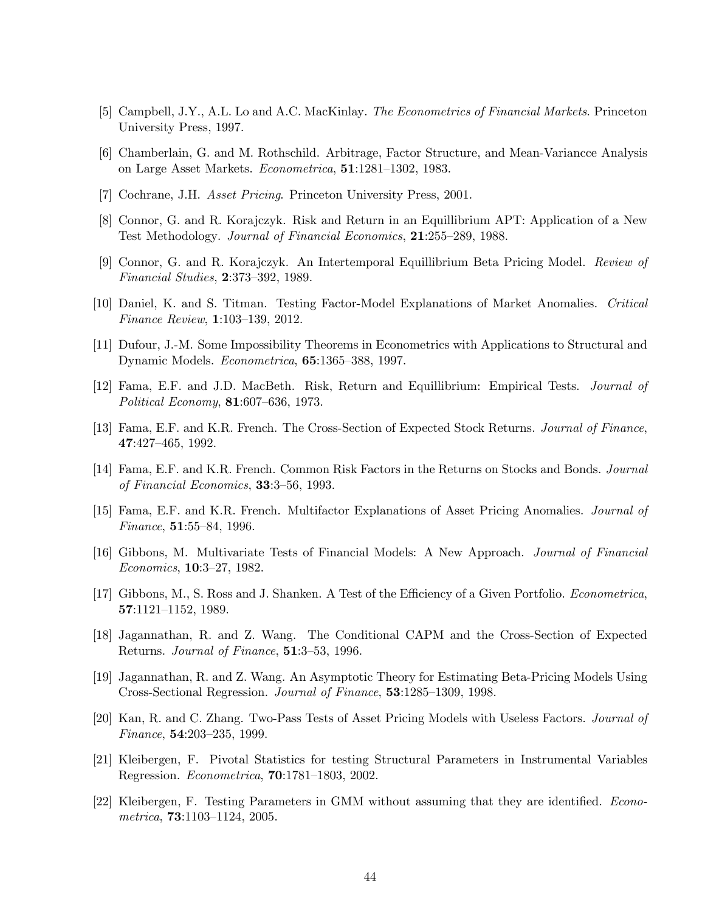- [5] Campbell, J.Y., A.L. Lo and A.C. MacKinlay. The Econometrics of Financial Markets. Princeton University Press, 1997.
- [6] Chamberlain, G. and M. Rothschild. Arbitrage, Factor Structure, and Mean-Variancce Analysis on Large Asset Markets. Econometrica, 51:1281—1302, 1983.
- [7] Cochrane, J.H. *Asset Pricing*. Princeton University Press, 2001.
- [8] Connor, G. and R. Korajczyk. Risk and Return in an Equillibrium APT: Application of a New Test Methodology. Journal of Financial Economics, 21:255—289, 1988.
- [9] Connor, G. and R. Korajczyk. An Intertemporal Equillibrium Beta Pricing Model. Review of Financial Studies, 2:373—392, 1989.
- [10] Daniel, K. and S. Titman. Testing Factor-Model Explanations of Market Anomalies. Critical Finance Review, 1:103—139, 2012.
- [11] Dufour, J.-M. Some Impossibility Theorems in Econometrics with Applications to Structural and Dynamic Models. Econometrica, 65:1365—388, 1997.
- [12] Fama, E.F. and J.D. MacBeth. Risk, Return and Equillibrium: Empirical Tests. Journal of Political Economy, 81:607—636, 1973.
- [13] Fama, E.F. and K.R. French. The Cross-Section of Expected Stock Returns. Journal of Finance, 47:427—465, 1992.
- [14] Fama, E.F. and K.R. French. Common Risk Factors in the Returns on Stocks and Bonds. Journal of Financial Economics, 33:3—56, 1993.
- [15] Fama, E.F. and K.R. French. Multifactor Explanations of Asset Pricing Anomalies. Journal of Finance, 51:55—84, 1996.
- [16] Gibbons, M. Multivariate Tests of Financial Models: A New Approach. Journal of Financial Economics, 10:3—27, 1982.
- [17] Gibbons, M., S. Ross and J. Shanken. A Test of the Efficiency of a Given Portfolio. Econometrica, 57:1121—1152, 1989.
- [18] Jagannathan, R. and Z. Wang. The Conditional CAPM and the Cross-Section of Expected Returns. Journal of Finance, 51:3—53, 1996.
- [19] Jagannathan, R. and Z. Wang. An Asymptotic Theory for Estimating Beta-Pricing Models Using Cross-Sectional Regression. Journal of Finance, 53:1285—1309, 1998.
- [20] Kan, R. and C. Zhang. Two-Pass Tests of Asset Pricing Models with Useless Factors. Journal of Finance, 54:203—235, 1999.
- [21] Kleibergen, F. Pivotal Statistics for testing Structural Parameters in Instrumental Variables Regression. Econometrica, 70:1781—1803, 2002.
- [22] Kleibergen, F. Testing Parameters in GMM without assuming that they are identified. Econometrica, 73:1103—1124, 2005.